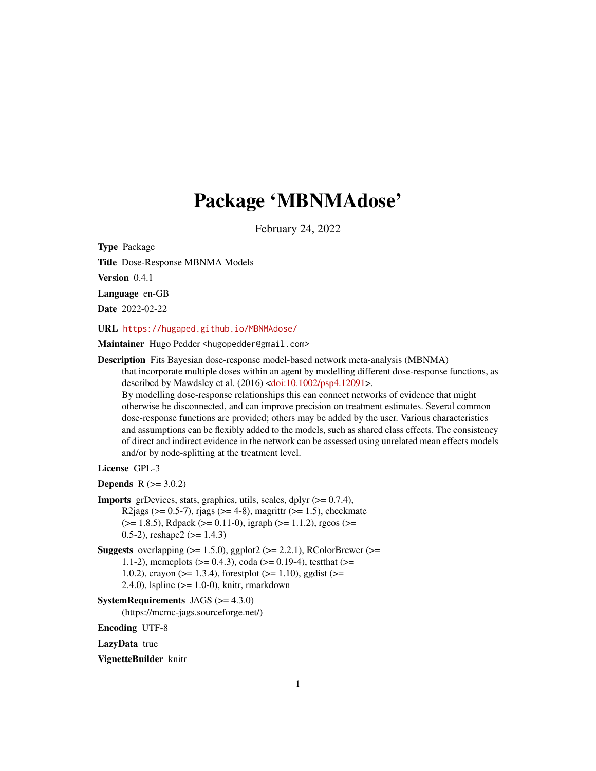# Package 'MBNMAdose'

February 24, 2022

<span id="page-0-0"></span>Type Package

Title Dose-Response MBNMA Models

Version 0.4.1

Language en-GB

Date 2022-02-22

URL <https://hugaped.github.io/MBNMAdose/>

Maintainer Hugo Pedder <hugopedder@gmail.com>

Description Fits Bayesian dose-response model-based network meta-analysis (MBNMA) that incorporate multiple doses within an agent by modelling different dose-response functions, as described by Mawdsley et al. (2016) [<doi:10.1002/psp4.12091>](https://doi.org/10.1002/psp4.12091). By modelling dose-response relationships this can connect networks of evidence that might otherwise be disconnected, and can improve precision on treatment estimates. Several common dose-response functions are provided; others may be added by the user. Various characteristics and assumptions can be flexibly added to the models, such as shared class effects. The consistency of direct and indirect evidence in the network can be assessed using unrelated mean effects models and/or by node-splitting at the treatment level.

# License GPL-3

**Depends**  $R (= 3.0.2)$ 

- **Imports** grDevices, stats, graphics, utils, scales, dplyr  $(>= 0.7.4)$ , R2jags ( $> = 0.5$ -7), rjags ( $> = 4$ -8), magrittr ( $> = 1.5$ ), checkmate (>= 1.8.5), Rdpack (>= 0.11-0), igraph (>= 1.1.2), rgeos (>= 0.5-2), reshape2  $(>= 1.4.3)$
- **Suggests** overlapping  $(>= 1.5.0)$ , ggplot2  $(>= 2.2.1)$ , RColorBrewer  $(>= 1.5.0)$ 1.1-2), mcmcplots ( $>= 0.4.3$ ), coda ( $>= 0.19-4$ ), testthat ( $>=$ 1.0.2), crayon ( $>= 1.3.4$ ), forestplot ( $>= 1.10$ ), ggdist ( $>= 1.10$ 2.4.0), lspline (>= 1.0-0), knitr, rmarkdown

```
SystemRequirements JAGS (>= 4.3.0)
```
(https://mcmc-jags.sourceforge.net/)

Encoding UTF-8

LazyData true

VignetteBuilder knitr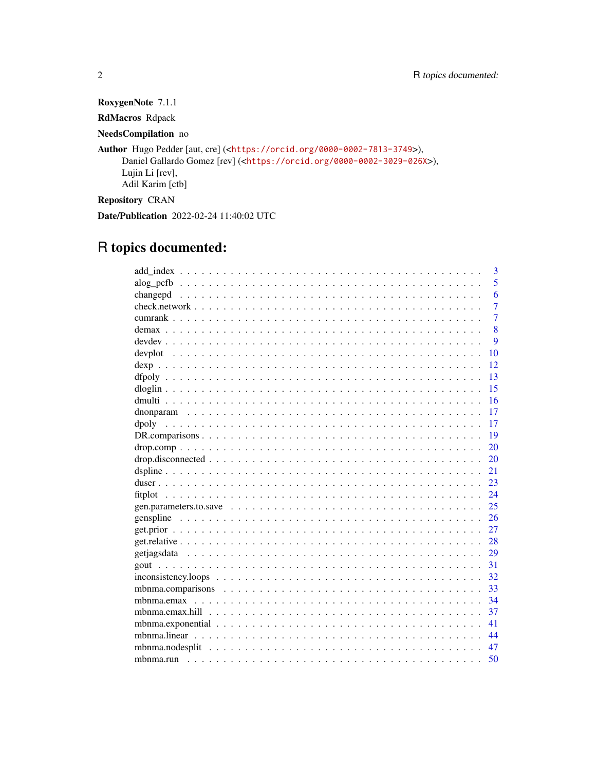RoxygenNote 7.1.1

RdMacros Rdpack

NeedsCompilation no

Author Hugo Pedder [aut, cre] (<<https://orcid.org/0000-0002-7813-3749>>), Daniel Gallardo Gomez [rev] (<<https://orcid.org/0000-0002-3029-026X>>), Lujin Li [rev], Adil Karim [ctb]

Repository CRAN

Date/Publication 2022-02-24 11:40:02 UTC

# R topics documented:

|               | 3              |
|---------------|----------------|
|               | 5              |
|               | 6              |
|               | $\overline{7}$ |
|               | $\overline{7}$ |
|               | 8              |
|               | $\mathbf Q$    |
| 10            |                |
| 12            |                |
| 13            |                |
| 15            |                |
| 16            |                |
| 17            |                |
| 17            |                |
| 19            |                |
| 20            |                |
| 20            |                |
| 21            |                |
| 23            |                |
| 24<br>fitplot |                |
| 25            |                |
| 26            |                |
| 27            |                |
| 28            |                |
| 29            |                |
| 31            |                |
| 32            |                |
| 33            |                |
| 34            |                |
| 37            |                |
| 41            |                |
| 44            |                |
| 47            |                |
| 50            |                |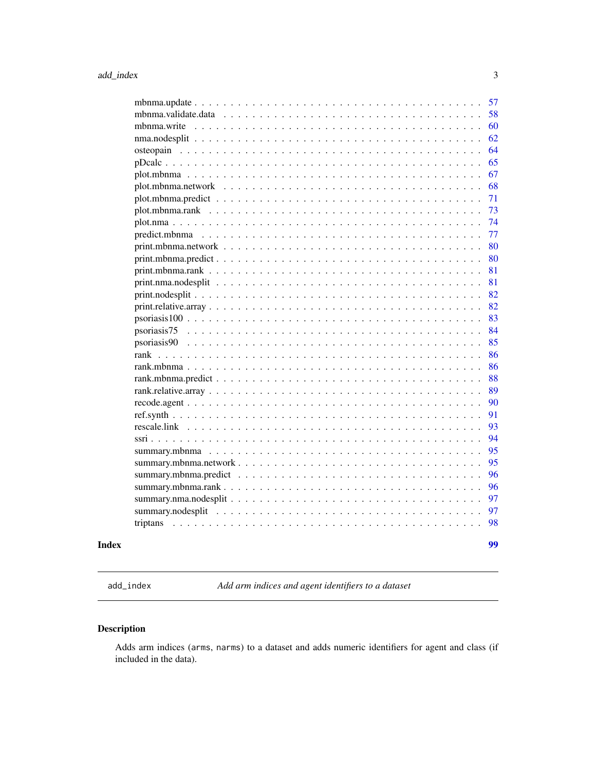<span id="page-2-0"></span>

|       |                                                                                                                       | 62 |
|-------|-----------------------------------------------------------------------------------------------------------------------|----|
|       |                                                                                                                       | 64 |
|       |                                                                                                                       | 65 |
|       |                                                                                                                       | 67 |
|       |                                                                                                                       | 68 |
|       |                                                                                                                       | 71 |
|       |                                                                                                                       | 73 |
|       |                                                                                                                       | 74 |
|       |                                                                                                                       | 77 |
|       |                                                                                                                       | 80 |
|       | $print.mbmma.predict \dots \dots \dots \dots \dots \dots \dots \dots \dots \dots \dots \dots \dots \dots \dots \dots$ | 80 |
|       |                                                                                                                       | 81 |
|       |                                                                                                                       | 81 |
|       |                                                                                                                       | 82 |
|       |                                                                                                                       | 82 |
|       |                                                                                                                       | 83 |
|       |                                                                                                                       | 84 |
|       |                                                                                                                       | 85 |
|       |                                                                                                                       | 86 |
|       |                                                                                                                       | 86 |
|       |                                                                                                                       | 88 |
|       |                                                                                                                       | 89 |
|       |                                                                                                                       | 90 |
|       |                                                                                                                       | 91 |
|       |                                                                                                                       | 93 |
|       |                                                                                                                       | 94 |
|       |                                                                                                                       | 95 |
|       |                                                                                                                       | 95 |
|       |                                                                                                                       | 96 |
|       |                                                                                                                       | 96 |
|       |                                                                                                                       | 97 |
|       |                                                                                                                       | 97 |
|       |                                                                                                                       | 98 |
| Index |                                                                                                                       | 99 |

add\_index *Add arm indices and agent identifiers to a dataset*

# Description

Adds arm indices (arms, narms) to a dataset and adds numeric identifiers for agent and class (if included in the data).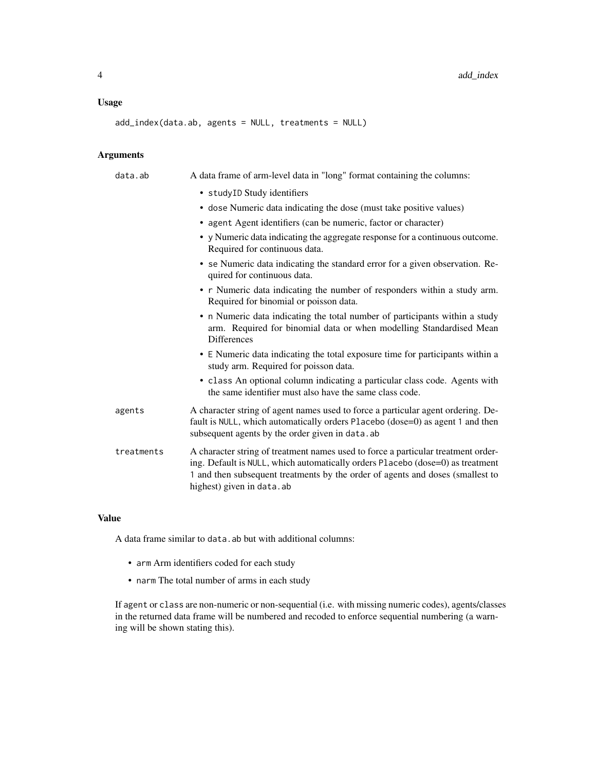# Usage

add\_index(data.ab, agents = NULL, treatments = NULL)

# Arguments

| data.ab    | A data frame of arm-level data in "long" format containing the columns:                                                                                                                                                                                                            |
|------------|------------------------------------------------------------------------------------------------------------------------------------------------------------------------------------------------------------------------------------------------------------------------------------|
|            | • studyID Study identifiers                                                                                                                                                                                                                                                        |
|            | • dose Numeric data indicating the dose (must take positive values)                                                                                                                                                                                                                |
|            | • agent Agent identifiers (can be numeric, factor or character)                                                                                                                                                                                                                    |
|            | • y Numeric data indicating the aggregate response for a continuous outcome.<br>Required for continuous data.                                                                                                                                                                      |
|            | • se Numeric data indicating the standard error for a given observation. Re-<br>quired for continuous data.                                                                                                                                                                        |
|            | • r Numeric data indicating the number of responders within a study arm.<br>Required for binomial or poisson data.                                                                                                                                                                 |
|            | • n Numeric data indicating the total number of participants within a study<br>arm. Required for binomial data or when modelling Standardised Mean<br><b>Differences</b>                                                                                                           |
|            | • E Numeric data indicating the total exposure time for participants within a<br>study arm. Required for poisson data.                                                                                                                                                             |
|            | • class An optional column indicating a particular class code. Agents with<br>the same identifier must also have the same class code.                                                                                                                                              |
| agents     | A character string of agent names used to force a particular agent ordering. De-<br>fault is NULL, which automatically orders Placebo (dose=0) as agent 1 and then<br>subsequent agents by the order given in data. ab                                                             |
| treatments | A character string of treatment names used to force a particular treatment order-<br>ing. Default is NULL, which automatically orders Placebo (dose=0) as treatment<br>1 and then subsequent treatments by the order of agents and doses (smallest to<br>highest) given in data.ab |

# Value

A data frame similar to data.ab but with additional columns:

- arm Arm identifiers coded for each study
- narm The total number of arms in each study

If agent or class are non-numeric or non-sequential (i.e. with missing numeric codes), agents/classes in the returned data frame will be numbered and recoded to enforce sequential numbering (a warning will be shown stating this).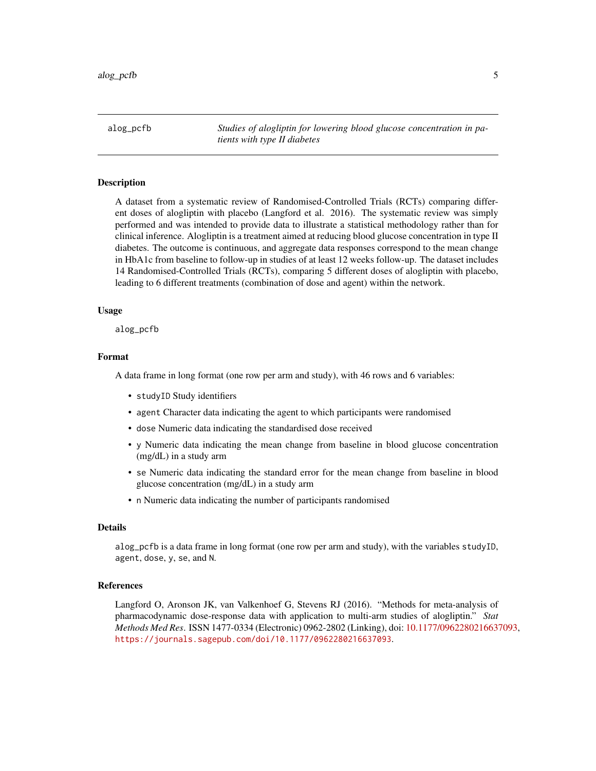<span id="page-4-0"></span>alog\_pcfb *Studies of alogliptin for lowering blood glucose concentration in patients with type II diabetes*

#### Description

A dataset from a systematic review of Randomised-Controlled Trials (RCTs) comparing different doses of alogliptin with placebo (Langford et al. 2016). The systematic review was simply performed and was intended to provide data to illustrate a statistical methodology rather than for clinical inference. Alogliptin is a treatment aimed at reducing blood glucose concentration in type II diabetes. The outcome is continuous, and aggregate data responses correspond to the mean change in HbA1c from baseline to follow-up in studies of at least 12 weeks follow-up. The dataset includes 14 Randomised-Controlled Trials (RCTs), comparing 5 different doses of alogliptin with placebo, leading to 6 different treatments (combination of dose and agent) within the network.

# Usage

alog\_pcfb

#### Format

A data frame in long format (one row per arm and study), with 46 rows and 6 variables:

- studyID Study identifiers
- agent Character data indicating the agent to which participants were randomised
- dose Numeric data indicating the standardised dose received
- y Numeric data indicating the mean change from baseline in blood glucose concentration (mg/dL) in a study arm
- se Numeric data indicating the standard error for the mean change from baseline in blood glucose concentration (mg/dL) in a study arm
- n Numeric data indicating the number of participants randomised

#### Details

alog\_pcfb is a data frame in long format (one row per arm and study), with the variables studyID, agent, dose, y, se, and N.

#### **References**

Langford O, Aronson JK, van Valkenhoef G, Stevens RJ (2016). "Methods for meta-analysis of pharmacodynamic dose-response data with application to multi-arm studies of alogliptin." *Stat Methods Med Res*. ISSN 1477-0334 (Electronic) 0962-2802 (Linking), doi: [10.1177/0962280216637093,](https://doi.org/10.1177/0962280216637093) <https://journals.sagepub.com/doi/10.1177/0962280216637093>.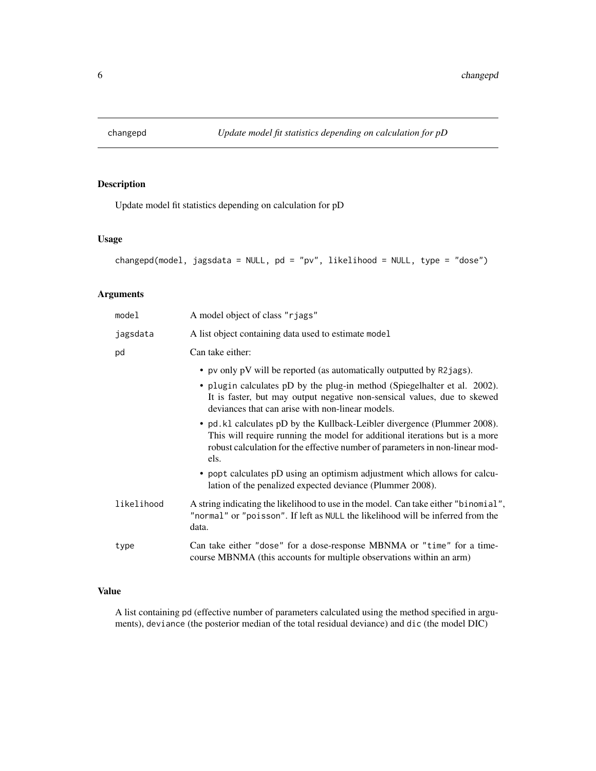<span id="page-5-0"></span>

# Description

Update model fit statistics depending on calculation for pD

#### Usage

```
changepd(model, jagsdata = NULL, pd = "pv", likelihood = NULL, type = "dose")
```
# Arguments

| model      | A model object of class "rjags"                                                                                                                                                                                                                                                                                                                                                                                                                                                                                                                                                                                                                                                   |
|------------|-----------------------------------------------------------------------------------------------------------------------------------------------------------------------------------------------------------------------------------------------------------------------------------------------------------------------------------------------------------------------------------------------------------------------------------------------------------------------------------------------------------------------------------------------------------------------------------------------------------------------------------------------------------------------------------|
| jagsdata   | A list object containing data used to estimate model                                                                                                                                                                                                                                                                                                                                                                                                                                                                                                                                                                                                                              |
| pd         | Can take either:                                                                                                                                                                                                                                                                                                                                                                                                                                                                                                                                                                                                                                                                  |
|            | • pv only pV will be reported (as automatically outputted by R2 jags).<br>• plugin calculates pD by the plug-in method (Spiegelhalter et al. 2002).<br>It is faster, but may output negative non-sensical values, due to skewed<br>deviances that can arise with non-linear models.<br>• pd. k1 calculates pD by the Kullback-Leibler divergence (Plummer 2008).<br>This will require running the model for additional iterations but is a more<br>robust calculation for the effective number of parameters in non-linear mod-<br>els.<br>• popt calculates pD using an optimism adjustment which allows for calcu-<br>lation of the penalized expected deviance (Plummer 2008). |
| likelihood | A string indicating the likelihood to use in the model. Can take either "binomial",<br>"normal" or "poisson". If left as NULL the likelihood will be inferred from the<br>data.                                                                                                                                                                                                                                                                                                                                                                                                                                                                                                   |
| type       | Can take either "dose" for a dose-response MBNMA or "time" for a time-<br>course MBNMA (this accounts for multiple observations within an arm)                                                                                                                                                                                                                                                                                                                                                                                                                                                                                                                                    |

# Value

A list containing pd (effective number of parameters calculated using the method specified in arguments), deviance (the posterior median of the total residual deviance) and dic (the model DIC)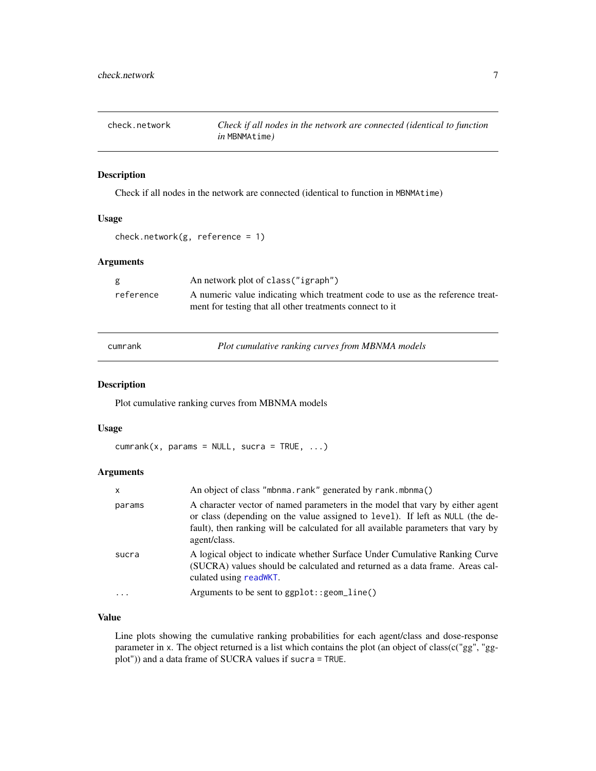<span id="page-6-0"></span>

#### Description

Check if all nodes in the network are connected (identical to function in MBNMAtime)

#### Usage

```
check.network(g, reference = 1)
```
# Arguments

| reference<br>ment for testing that all other treatments connect to it | g | An network plot of class ("igraph")                                            |
|-----------------------------------------------------------------------|---|--------------------------------------------------------------------------------|
|                                                                       |   | A numeric value indicating which treatment code to use as the reference treat- |

cumrank *Plot cumulative ranking curves from MBNMA models*

# Description

Plot cumulative ranking curves from MBNMA models

#### Usage

 $cumrank(x, params = NULL, sur a = TRUE, ...)$ 

# Arguments

| x      | An object of class "mbnma.rank" generated by rank.mbnma()                                                                                                                                                                                                           |
|--------|---------------------------------------------------------------------------------------------------------------------------------------------------------------------------------------------------------------------------------------------------------------------|
| params | A character vector of named parameters in the model that vary by either agent<br>or class (depending on the value assigned to level). If left as NULL (the de-<br>fault), then ranking will be calculated for all available parameters that vary by<br>agent/class. |
| sucra  | A logical object to indicate whether Surface Under Cumulative Ranking Curve<br>(SUCRA) values should be calculated and returned as a data frame. Areas cal-<br>culated using read WKT.                                                                              |
|        | Arguments to be sent to ggplot:: geom_line()                                                                                                                                                                                                                        |

# Value

Line plots showing the cumulative ranking probabilities for each agent/class and dose-response parameter in x. The object returned is a list which contains the plot (an object of class(c("gg", "ggplot")) and a data frame of SUCRA values if sucra = TRUE.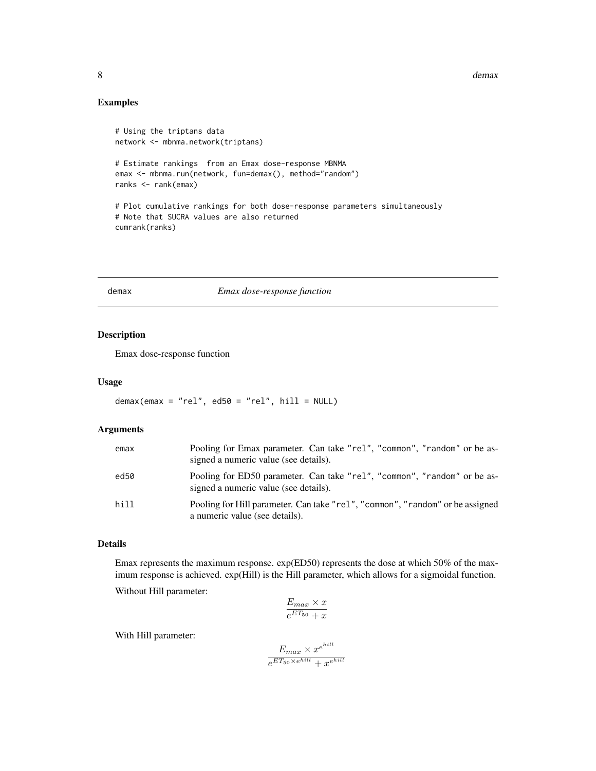<span id="page-7-0"></span>8 demax and the set of the set of the set of the set of the set of the set of the set of the set of the set of the set of the set of the set of the set of the set of the set of the set of the set of the set of the set of t

# Examples

```
# Using the triptans data
network <- mbnma.network(triptans)
# Estimate rankings from an Emax dose-response MBNMA
emax <- mbnma.run(network, fun=demax(), method="random")
ranks <- rank(emax)
# Plot cumulative rankings for both dose-response parameters simultaneously
# Note that SUCRA values are also returned
cumrank(ranks)
```
#### demax *Emax dose-response function*

# Description

Emax dose-response function

#### Usage

 $demax(emax = "rel", ed50 = "rel", hill = NULL)$ 

# Arguments

| emax | Pooling for Emax parameter. Can take "rel", "common", "random" or be as-<br>signed a numeric value (see details). |
|------|-------------------------------------------------------------------------------------------------------------------|
| ed50 | Pooling for ED50 parameter. Can take "rel", "common", "random" or be as-<br>signed a numeric value (see details). |
| hill | Pooling for Hill parameter. Can take "rel", "common", "random" or be assigned<br>a numeric value (see details).   |

# Details

Emax represents the maximum response. exp(ED50) represents the dose at which 50% of the maximum response is achieved. exp(Hill) is the Hill parameter, which allows for a sigmoidal function.

Without Hill parameter:

$$
\frac{E_{max} \times x}{e^{ET_{50}} + x}
$$

With Hill parameter:

$$
\frac{E_{max} \times x^{e^{hill}}}{e^{ET_{50} \times e^{hill}} + x^{e^{hill}}}
$$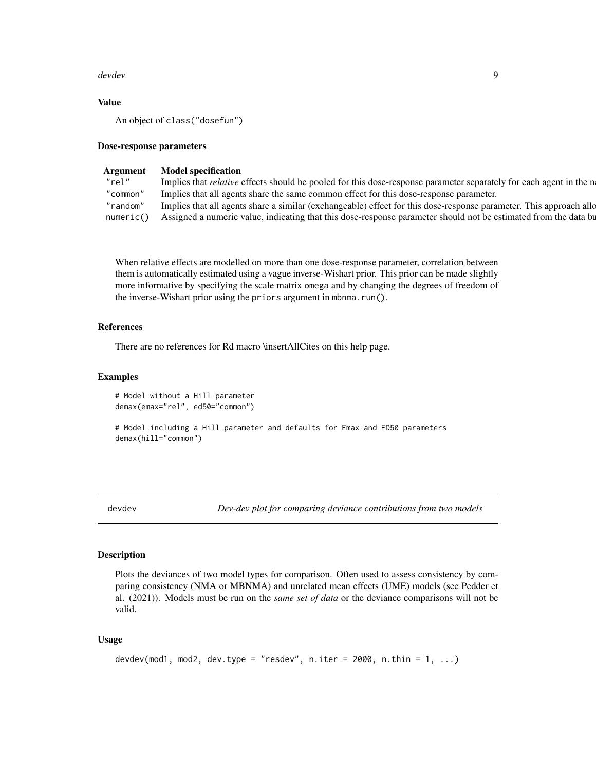#### <span id="page-8-0"></span>devdev and the set of the set of the set of the set of the set of the set of the set of the set of the set of the set of the set of the set of the set of the set of the set of the set of the set of the set of the set of th

# Value

An object of class("dosefun")

#### Dose-response parameters

# Argument Model specification

| "rel" | Implies that <i>relative</i> effects should be pooled for this dose-response parameter separately for each agent in the n   |
|-------|-----------------------------------------------------------------------------------------------------------------------------|
|       | "common" Implies that all agents share the same common effect for this dose-response parameter.                             |
|       | "random" Implies that all agents share a similar (exchangeable) effect for this dose-response parameter. This approach allo |
|       | numeric() Assigned a numeric value, indicating that this dose-response parameter should not be estimated from the data bu   |

When relative effects are modelled on more than one dose-response parameter, correlation between them is automatically estimated using a vague inverse-Wishart prior. This prior can be made slightly more informative by specifying the scale matrix omega and by changing the degrees of freedom of the inverse-Wishart prior using the priors argument in mbnma.run().

# References

There are no references for Rd macro \insertAllCites on this help page.

#### Examples

# Model without a Hill parameter demax(emax="rel", ed50="common")

# Model including a Hill parameter and defaults for Emax and ED50 parameters demax(hill="common")

devdev *Dev-dev plot for comparing deviance contributions from two models*

# Description

Plots the deviances of two model types for comparison. Often used to assess consistency by comparing consistency (NMA or MBNMA) and unrelated mean effects (UME) models (see Pedder et al. (2021)). Models must be run on the *same set of data* or the deviance comparisons will not be valid.

#### Usage

```
devdev(mod1, mod2, dev.type = "resdev", n.iter = 2000, n.thin = 1, ...)
```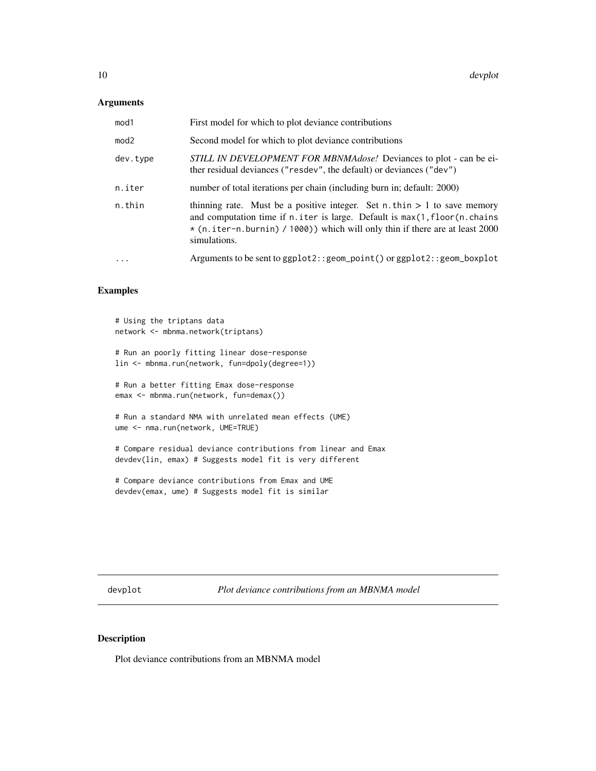# <span id="page-9-0"></span>Arguments

| mod1     | First model for which to plot deviance contributions                                                                                                                                                                                                                     |
|----------|--------------------------------------------------------------------------------------------------------------------------------------------------------------------------------------------------------------------------------------------------------------------------|
| mod2     | Second model for which to plot deviance contributions                                                                                                                                                                                                                    |
| dev.type | <i>STILL IN DEVELOPMENT FOR MBNMAdose!</i> Deviances to plot - can be ei-<br>ther residual deviances ("resdev", the default) or deviances ("dev")                                                                                                                        |
| n.iter   | number of total iterations per chain (including burn in; default: 2000)                                                                                                                                                                                                  |
| n.thin   | thinning rate. Must be a positive integer. Set $n$ , thin $> 1$ to save memory<br>and computation time if $n$ , iter is large. Default is $max(1, floor(n, chains)$<br>$\star$ (n.iter-n.burnin) / 1000) which will only thin if there are at least 2000<br>simulations. |
| $\cdots$ | Arguments to be sent to $ggplot2$ : $geom\_point()$ or $ggplot2$ : $geom\_boxplot$                                                                                                                                                                                       |

# Examples

```
# Using the triptans data
network <- mbnma.network(triptans)
# Run an poorly fitting linear dose-response
lin <- mbnma.run(network, fun=dpoly(degree=1))
# Run a better fitting Emax dose-response
emax <- mbnma.run(network, fun=demax())
# Run a standard NMA with unrelated mean effects (UME)
ume <- nma.run(network, UME=TRUE)
# Compare residual deviance contributions from linear and Emax
devdev(lin, emax) # Suggests model fit is very different
```

```
# Compare deviance contributions from Emax and UME
devdev(emax, ume) # Suggests model fit is similar
```
devplot *Plot deviance contributions from an MBNMA model*

# Description

Plot deviance contributions from an MBNMA model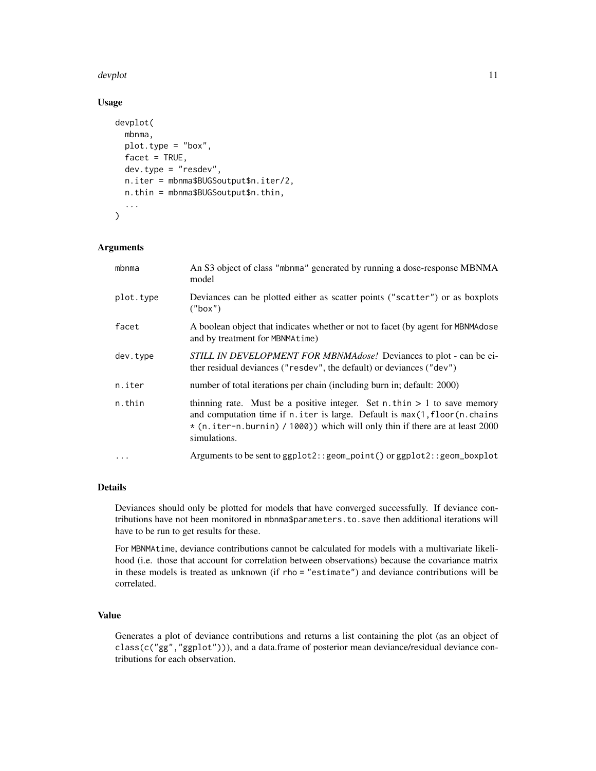#### devplot the state of the state of the state of the state of the state of the state of the state of the state of the state of the state of the state of the state of the state of the state of the state of the state of the st

# Usage

```
devplot(
 mbnma,
 plot.type = "box",
 facet = TRUE,dev.type = "resdev",
 n.iter = mbnma$BUGSoutput$n.iter/2,
 n.thin = mbnma$BUGSoutput$n.thin,
  ...
)
```
# Arguments

| mbnma     | An S3 object of class "mbnma" generated by running a dose-response MBNMA<br>model                                                                                                                                                                          |
|-----------|------------------------------------------------------------------------------------------------------------------------------------------------------------------------------------------------------------------------------------------------------------|
| plot.type | Deviances can be plotted either as scatter points ("scatter") or as boxplots<br>("box")                                                                                                                                                                    |
| facet     | A boolean object that indicates whether or not to facet (by agent for MBNMAdose)<br>and by treatment for MBNMAtime)                                                                                                                                        |
| dev.type  | STILL IN DEVELOPMENT FOR MBNMAdose! Deviances to plot - can be ei-<br>ther residual deviances ("resdev", the default) or deviances ("dev")                                                                                                                 |
| n.iter    | number of total iterations per chain (including burn in; default: 2000)                                                                                                                                                                                    |
| n.thin    | thinning rate. Must be a positive integer. Set n.thin $> 1$ to save memory<br>and computation time if n. iter is large. Default is max(1, floor(n. chains)<br>* (n.iter-n.burnin) / 1000)) which will only thin if there are at least 2000<br>simulations. |
| $\ddots$  | Arguments to be sent to ggplot2:: geom_point() or ggplot2:: geom_boxplot                                                                                                                                                                                   |

# Details

Deviances should only be plotted for models that have converged successfully. If deviance contributions have not been monitored in mbnma\$parameters.to.save then additional iterations will have to be run to get results for these.

For MBNMAtime, deviance contributions cannot be calculated for models with a multivariate likelihood (i.e. those that account for correlation between observations) because the covariance matrix in these models is treated as unknown (if rho = "estimate") and deviance contributions will be correlated.

# Value

Generates a plot of deviance contributions and returns a list containing the plot (as an object of class(c("gg","ggplot"))), and a data.frame of posterior mean deviance/residual deviance contributions for each observation.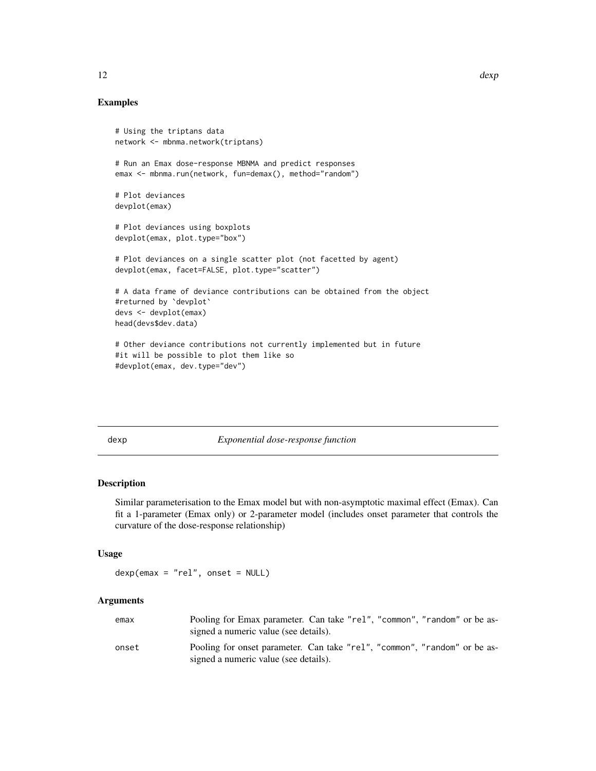# <span id="page-11-0"></span>Examples

```
# Using the triptans data
network <- mbnma.network(triptans)
# Run an Emax dose-response MBNMA and predict responses
emax <- mbnma.run(network, fun=demax(), method="random")
# Plot deviances
devplot(emax)
# Plot deviances using boxplots
devplot(emax, plot.type="box")
# Plot deviances on a single scatter plot (not facetted by agent)
devplot(emax, facet=FALSE, plot.type="scatter")
# A data frame of deviance contributions can be obtained from the object
#returned by `devplot`
devs <- devplot(emax)
head(devs$dev.data)
# Other deviance contributions not currently implemented but in future
#it will be possible to plot them like so
#devplot(emax, dev.type="dev")
```
dexp *Exponential dose-response function*

#### Description

Similar parameterisation to the Emax model but with non-asymptotic maximal effect (Emax). Can fit a 1-parameter (Emax only) or 2-parameter model (includes onset parameter that controls the curvature of the dose-response relationship)

#### Usage

 $dexp(emax = "rel", onset = NULL)$ 

# Arguments

| emax  | Pooling for Emax parameter. Can take "rel", "common", "random" or be as-<br>signed a numeric value (see details).  |
|-------|--------------------------------------------------------------------------------------------------------------------|
| onset | Pooling for onset parameter. Can take "rel", "common", "random" or be as-<br>signed a numeric value (see details). |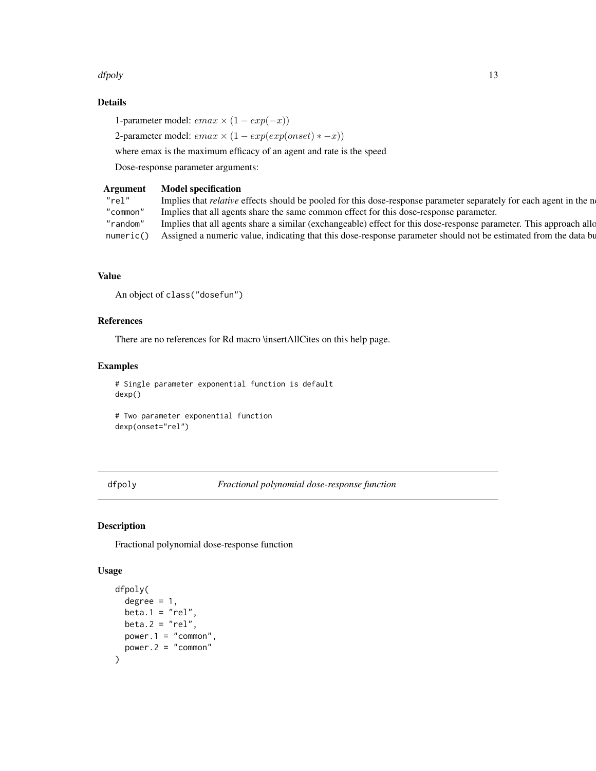#### <span id="page-12-0"></span>dfpoly and the contract of the contract of the contract of the contract of the contract of the contract of the contract of the contract of the contract of the contract of the contract of the contract of the contract of the

# Details

1-parameter model:  $emax \times (1 - exp(-x))$ 

2-parameter model:  $emax \times (1 - exp(exp(onset) * - x))$ 

where emax is the maximum efficacy of an agent and rate is the speed

Dose-response parameter arguments:

# Argument Model specification

| Implies that <i>relative</i> effects should be pooled for this dose-response parameter separately for each agent in the n   |
|-----------------------------------------------------------------------------------------------------------------------------|
| "common" Implies that all agents share the same common effect for this dose-response parameter.                             |
| "random" Implies that all agents share a similar (exchangeable) effect for this dose-response parameter. This approach allo |
| numeric() Assigned a numeric value, indicating that this dose-response parameter should not be estimated from the data bu   |
|                                                                                                                             |

# Value

An object of class("dosefun")

# References

There are no references for Rd macro \insertAllCites on this help page.

# Examples

# Single parameter exponential function is default dexp()

# Two parameter exponential function dexp(onset="rel")

dfpoly *Fractional polynomial dose-response function*

# Description

Fractional polynomial dose-response function

#### Usage

```
dfpoly(
  degree = 1,
  beta.1 = "rel",
  beta.2 = "rel",power.1 = "common",
  power.2 = "common"
\mathcal{E}
```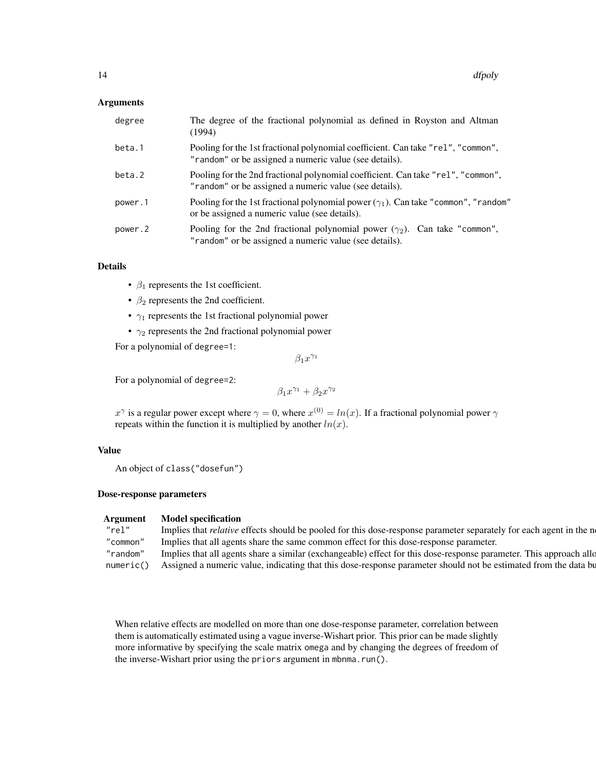# Arguments

| degree  | The degree of the fractional polynomial as defined in Royston and Altman<br>(1994)                                                          |
|---------|---------------------------------------------------------------------------------------------------------------------------------------------|
| beta.1  | Pooling for the 1st fractional polynomial coefficient. Can take "re1", "common",<br>"random" or be assigned a numeric value (see details).  |
| beta.2  | Pooling for the 2nd fractional polynomial coefficient. Can take "rel", "common",<br>"random" or be assigned a numeric value (see details).  |
| power.1 | Pooling for the 1st fractional polynomial power $(\gamma_1)$ . Can take "common", "random"<br>or be assigned a numeric value (see details). |
| power.2 | Pooling for the 2nd fractional polynomial power $(\gamma_2)$ . Can take "common",<br>"random" or be assigned a numeric value (see details). |

# Details

- $\beta_1$  represents the 1st coefficient.
- $\beta_2$  represents the 2nd coefficient.
- $\gamma_1$  represents the 1st fractional polynomial power
- $\gamma_2$  represents the 2nd fractional polynomial power

For a polynomial of degree=1:

 $\beta_1 x^{\gamma_1}$ 

For a polynomial of degree=2:

$$
\beta_1 x^{\gamma_1} + \beta_2 x^{\gamma_2}
$$

 $x^{\gamma}$  is a regular power except where  $\gamma = 0$ , where  $x^{(0)} = ln(x)$ . If a fractional polynomial power  $\gamma$ repeats within the function it is multiplied by another  $ln(x)$ .

# Value

An object of class("dosefun")

# Dose-response parameters

#### Argument Model specification

| "rel"    | Implies that <i>relative</i> effects should be pooled for this dose-response parameter separately for each agent in the n   |
|----------|-----------------------------------------------------------------------------------------------------------------------------|
| "common" | " Implies that all agents share the same common effect for this dose-response parameter.                                    |
|          | "random" Implies that all agents share a similar (exchangeable) effect for this dose-response parameter. This approach allo |
|          | numeric() Assigned a numeric value, indicating that this dose-response parameter should not be estimated from the data bu   |

When relative effects are modelled on more than one dose-response parameter, correlation between them is automatically estimated using a vague inverse-Wishart prior. This prior can be made slightly more informative by specifying the scale matrix omega and by changing the degrees of freedom of the inverse-Wishart prior using the priors argument in mbnma.run().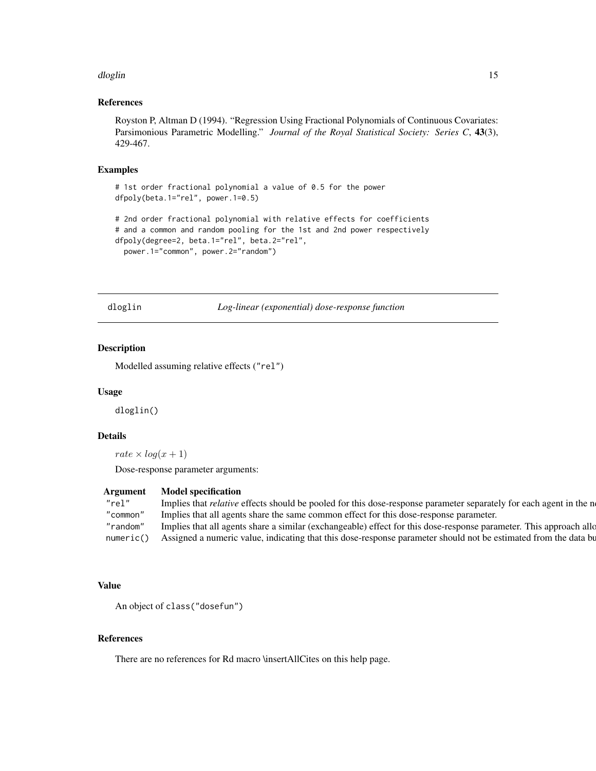#### <span id="page-14-0"></span>dloglin the control of the control of the control of the control of the control of the control of the control of the control of the control of the control of the control of the control of the control of the control of the

# References

Royston P, Altman D (1994). "Regression Using Fractional Polynomials of Continuous Covariates: Parsimonious Parametric Modelling." *Journal of the Royal Statistical Society: Series C*, 43(3), 429-467.

# Examples

```
# 1st order fractional polynomial a value of 0.5 for the power
dfpoly(beta.1="rel", power.1=0.5)
# 2nd order fractional polynomial with relative effects for coefficients
# and a common and random pooling for the 1st and 2nd power respectively
dfpoly(degree=2, beta.1="rel", beta.2="rel",
 power.1="common", power.2="random")
```
dloglin *Log-linear (exponential) dose-response function*

# Description

Modelled assuming relative effects ("rel")

#### Usage

dloglin()

# Details

rate  $\times$  log(x + 1)

Dose-response parameter arguments:

#### Argument Model specification

| "rel"     | Implies that <i>relative</i> effects should be pooled for this dose-response parameter separately for each agent in the n |
|-----------|---------------------------------------------------------------------------------------------------------------------------|
| "common"  | Implies that all agents share the same common effect for this dose-response parameter.                                    |
| "random"  | Implies that all agents share a similar (exchangeable) effect for this dose-response parameter. This approach allow       |
| numeric() | Assigned a numeric value, indicating that this dose-response parameter should not be estimated from the data bu           |

# Value

```
An object of class("dosefun")
```
# References

There are no references for Rd macro \insertAllCites on this help page.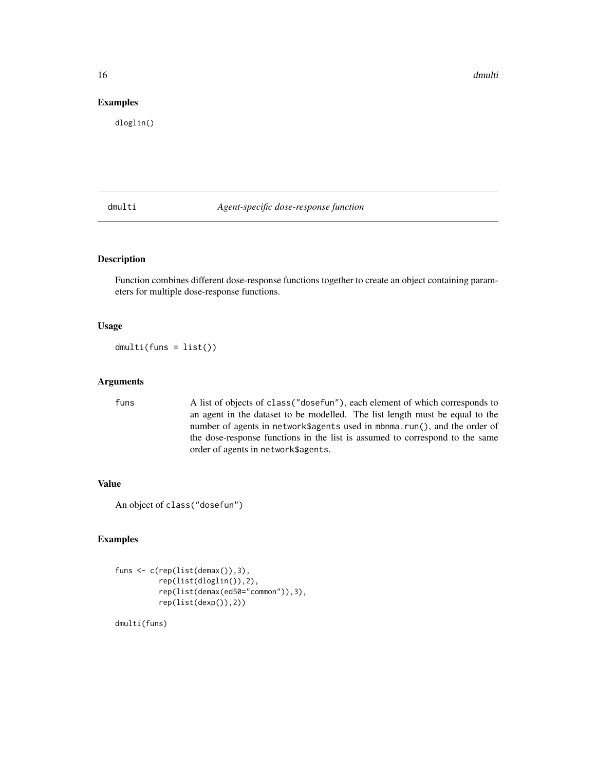16 dmulti

# Examples

dloglin()

dmulti *Agent-specific dose-response function*

# Description

Function combines different dose-response functions together to create an object containing parameters for multiple dose-response functions.

# Usage

dmulti(funs = list())

# Arguments

funs A list of objects of class("dosefun"), each element of which corresponds to an agent in the dataset to be modelled. The list length must be equal to the number of agents in network\$agents used in mbnma.run(), and the order of the dose-response functions in the list is assumed to correspond to the same order of agents in network\$agents.

# Value

```
An object of class("dosefun")
```
# Examples

```
funs <- c(rep(list(demax()),3),
          rep(list(dloglin()),2),
          rep(list(demax(ed50="common")),3),
          rep(list(dexp()),2))
```
dmulti(funs)

<span id="page-15-0"></span>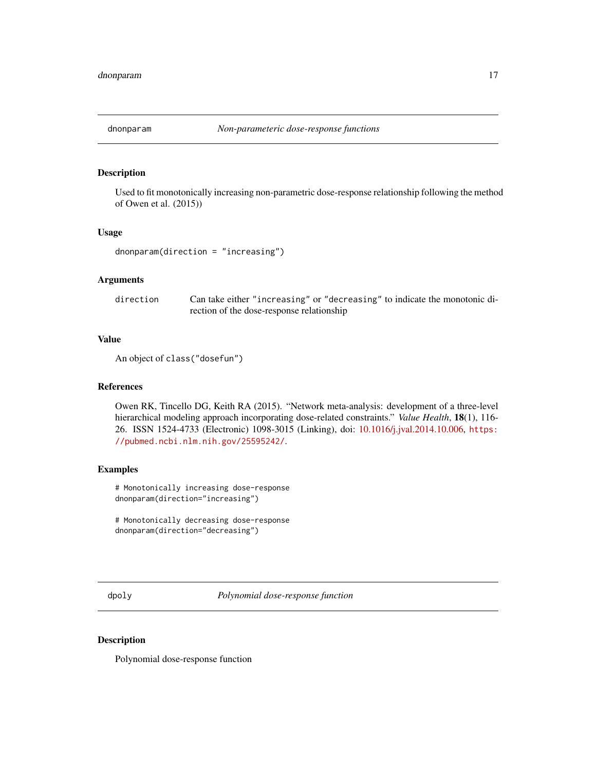<span id="page-16-0"></span>

# Description

Used to fit monotonically increasing non-parametric dose-response relationship following the method of Owen et al. (2015))

#### Usage

```
dnonparam(direction = "increasing")
```
#### Arguments

direction Can take either "increasing" or "decreasing" to indicate the monotonic direction of the dose-response relationship

#### Value

An object of class("dosefun")

#### References

Owen RK, Tincello DG, Keith RA (2015). "Network meta-analysis: development of a three-level hierarchical modeling approach incorporating dose-related constraints." *Value Health*, 18(1), 116- 26. ISSN 1524-4733 (Electronic) 1098-3015 (Linking), doi: [10.1016/j.jval.2014.10.006,](https://doi.org/10.1016/j.jval.2014.10.006) [https:](https://pubmed.ncbi.nlm.nih.gov/25595242/) [//pubmed.ncbi.nlm.nih.gov/25595242/](https://pubmed.ncbi.nlm.nih.gov/25595242/).

# Examples

# Monotonically increasing dose-response dnonparam(direction="increasing")

# Monotonically decreasing dose-response dnonparam(direction="decreasing")

dpoly *Polynomial dose-response function*

# Description

Polynomial dose-response function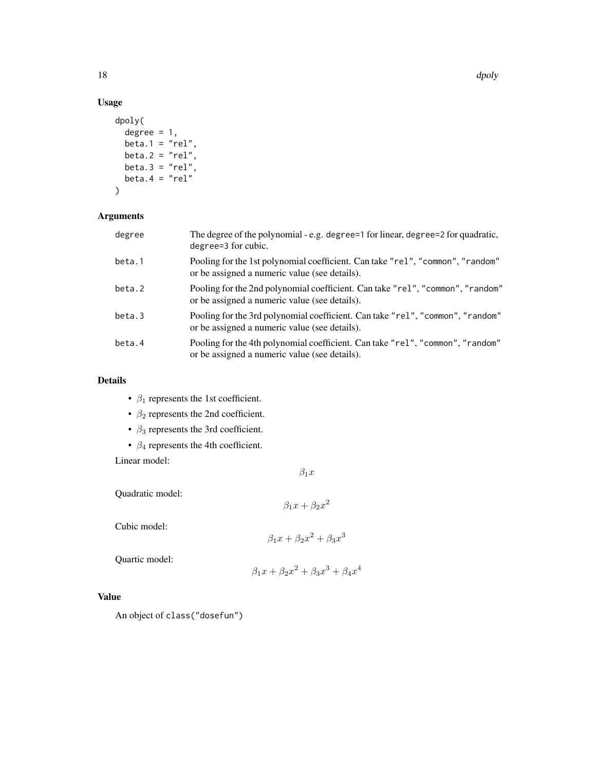# Usage

```
dpoly(
 degree = 1,
 beta.1 = "rel",
 beta.2 = "rel",beta.3 = "rel",beta.4 = "rel"\mathcal{E}
```
# Arguments

| degree | The degree of the polynomial - e.g. degree=1 for linear, degree=2 for quadratic,<br>degree=3 for cubic.                         |
|--------|---------------------------------------------------------------------------------------------------------------------------------|
| beta.1 | Pooling for the 1st polynomial coefficient. Can take "rel", "common", "random"<br>or be assigned a numeric value (see details). |
| beta.2 | Pooling for the 2nd polynomial coefficient. Can take "rel", "common", "random"<br>or be assigned a numeric value (see details). |
| beta.3 | Pooling for the 3rd polynomial coefficient. Can take "rel", "common", "random"<br>or be assigned a numeric value (see details). |
| beta.4 | Pooling for the 4th polynomial coefficient. Can take "rel", "common", "random"<br>or be assigned a numeric value (see details). |

# Details

- $\beta_1$  represents the 1st coefficient.
- $\beta_2$  represents the 2nd coefficient.
- $\beta_3$  represents the 3rd coefficient.
- $\beta_4$  represents the 4th coefficient.

Linear model:

$$
\beta_1 x
$$

Quadratic model:

 $\beta_1 x + \beta_2 x^2$ 

Cubic model:

$$
\beta_1 x + \beta_2 x^2 + \beta_3 x^3
$$

Quartic model:

$$
\beta_1 x + \beta_2 x^2 + \beta_3 x^3 + \beta_4 x^4
$$

# Value

An object of class("dosefun")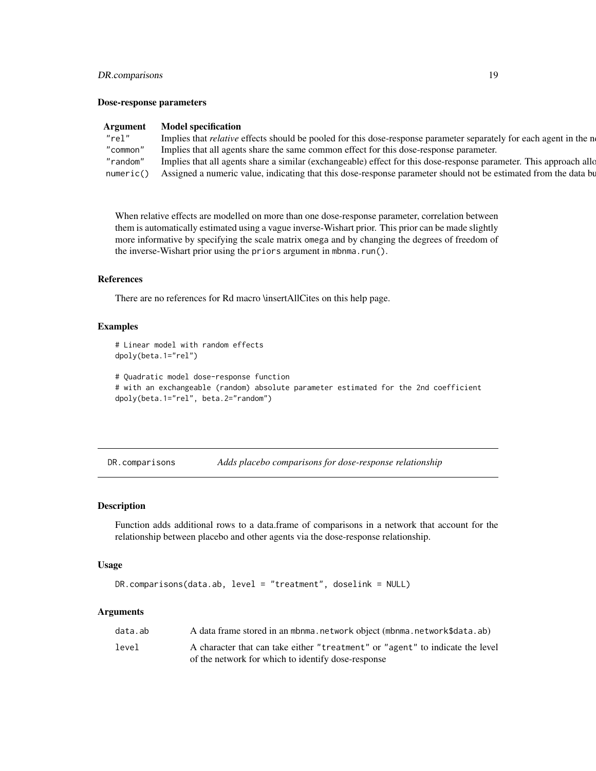# <span id="page-18-0"></span>DR.comparisons 19

#### Dose-response parameters

| <b>Model specification</b>                                                                                                  |
|-----------------------------------------------------------------------------------------------------------------------------|
| Implies that <i>relative</i> effects should be pooled for this dose-response parameter separately for each agent in the n   |
| Implies that all agents share the same common effect for this dose-response parameter.                                      |
| "random" Implies that all agents share a similar (exchangeable) effect for this dose-response parameter. This approach allo |
| numeric() Assigned a numeric value, indicating that this dose-response parameter should not be estimated from the data bu   |
|                                                                                                                             |

When relative effects are modelled on more than one dose-response parameter, correlation between them is automatically estimated using a vague inverse-Wishart prior. This prior can be made slightly more informative by specifying the scale matrix omega and by changing the degrees of freedom of the inverse-Wishart prior using the priors argument in mbnma.run().

# References

There are no references for Rd macro \insertAllCites on this help page.

# Examples

```
# Linear model with random effects
dpoly(beta.1="rel")
```

```
# Quadratic model dose-response function
# with an exchangeable (random) absolute parameter estimated for the 2nd coefficient
dpoly(beta.1="rel", beta.2="random")
```
DR.comparisons *Adds placebo comparisons for dose-response relationship*

#### Description

Function adds additional rows to a data.frame of comparisons in a network that account for the relationship between placebo and other agents via the dose-response relationship.

#### Usage

```
DR.comparisons(data.ab, level = "treatment", doselink = NULL)
```
# Arguments

| data.ab | A data frame stored in an mbnma.network object (mbnma.network\$data.ab)                                                             |
|---------|-------------------------------------------------------------------------------------------------------------------------------------|
| level   | A character that can take either "treatment" or "agent" to indicate the level<br>of the network for which to identify dose-response |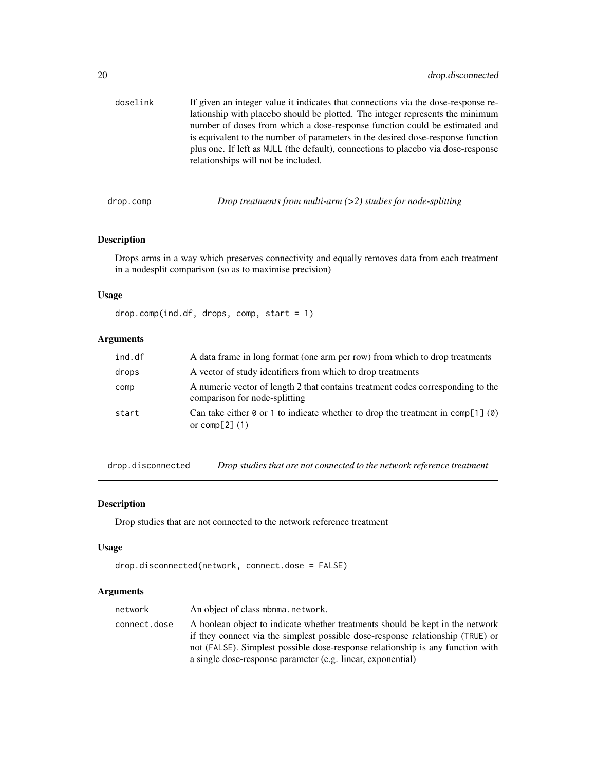<span id="page-19-0"></span>

| doselink | If given an integer value it indicates that connections via the dose-response re-<br>lationship with placebo should be plotted. The integer represents the minimum<br>number of doses from which a dose-response function could be estimated and<br>is equivalent to the number of parameters in the desired dose-response function<br>plus one. If left as NULL (the default), connections to place bo via dose-response<br>relationships will not be included. |
|----------|------------------------------------------------------------------------------------------------------------------------------------------------------------------------------------------------------------------------------------------------------------------------------------------------------------------------------------------------------------------------------------------------------------------------------------------------------------------|
|          |                                                                                                                                                                                                                                                                                                                                                                                                                                                                  |

drop.comp *Drop treatments from multi-arm (>2) studies for node-splitting*

# Description

Drops arms in a way which preserves connectivity and equally removes data from each treatment in a nodesplit comparison (so as to maximise precision)

# Usage

drop.comp(ind.df, drops, comp, start = 1)

# Arguments

| ind.df | A data frame in long format (one arm per row) from which to drop treatments                                      |
|--------|------------------------------------------------------------------------------------------------------------------|
| drops  | A vector of study identifiers from which to drop treatments                                                      |
| comp   | A numeric vector of length 2 that contains treatment codes corresponding to the<br>comparison for node-splitting |
| start  | Can take either 0 or 1 to indicate whether to drop the treatment in comp[1] (0)<br>or comp $[2]$ (1)             |

drop.disconnected *Drop studies that are not connected to the network reference treatment*

# Description

Drop studies that are not connected to the network reference treatment

# Usage

```
drop.disconnected(network, connect.dose = FALSE)
```
# Arguments

| network      | An object of class mbnma, network.                                                                                                                                                                                                                                                                               |  |
|--------------|------------------------------------------------------------------------------------------------------------------------------------------------------------------------------------------------------------------------------------------------------------------------------------------------------------------|--|
| connect.dose | A boolean object to indicate whether treatments should be kept in the network<br>if they connect via the simplest possible dose-response relationship (TRUE) or<br>not (FALSE). Simplest possible dose-response relationship is any function with<br>a single dose-response parameter (e.g. linear, exponential) |  |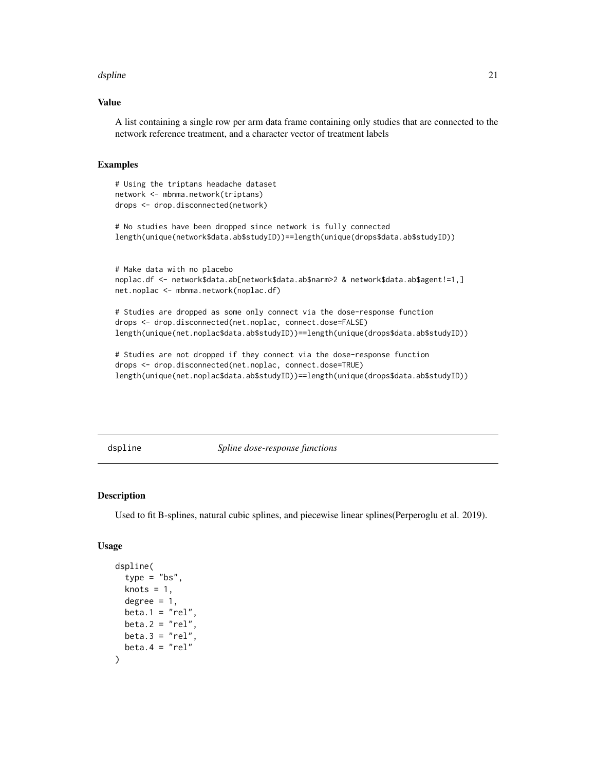#### <span id="page-20-0"></span>dspline 21

# Value

A list containing a single row per arm data frame containing only studies that are connected to the network reference treatment, and a character vector of treatment labels

#### Examples

```
# Using the triptans headache dataset
network <- mbnma.network(triptans)
drops <- drop.disconnected(network)
```
# No studies have been dropped since network is fully connected length(unique(network\$data.ab\$studyID))==length(unique(drops\$data.ab\$studyID))

```
# Make data with no placebo
noplac.df <- network$data.ab[network$data.ab$narm>2 & network$data.ab$agent!=1,]
net.noplac <- mbnma.network(noplac.df)
```
# Studies are dropped as some only connect via the dose-response function drops <- drop.disconnected(net.noplac, connect.dose=FALSE) length(unique(net.noplac\$data.ab\$studyID))==length(unique(drops\$data.ab\$studyID))

```
# Studies are not dropped if they connect via the dose-response function
drops <- drop.disconnected(net.noplac, connect.dose=TRUE)
length(unique(net.noplac$data.ab$studyID))==length(unique(drops$data.ab$studyID))
```
dspline *Spline dose-response functions*

#### Description

Used to fit B-splines, natural cubic splines, and piecewise linear splines(Perperoglu et al. 2019).

#### Usage

```
dspline(
  type = "bs",
  knots = 1,
  degree = 1,
 beta.1 = "rel",
 beta.2 = "rel".
 beta.3 = "rel",
 beta.4 = "rel")
```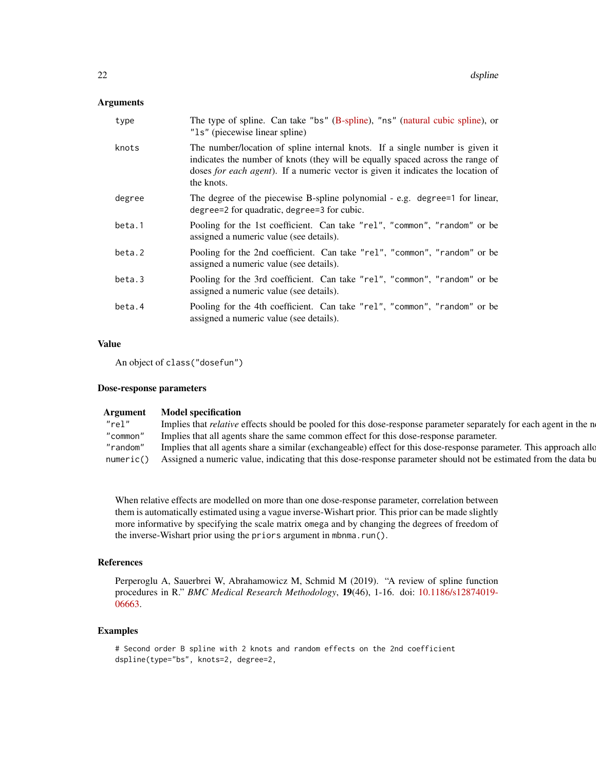# Arguments

| type   | The type of spline. Can take "bs" (B-spline), "ns" (natural cubic spline), or<br>"1s" (piecewise linear spline)                                                                                                                                                  |  |
|--------|------------------------------------------------------------------------------------------------------------------------------------------------------------------------------------------------------------------------------------------------------------------|--|
| knots  | The number/location of spline internal knots. If a single number is given it<br>indicates the number of knots (they will be equally spaced across the range of<br>doses for each agent). If a numeric vector is given it indicates the location of<br>the knots. |  |
| degree | The degree of the piecewise B-spline polynomial - e.g. degree=1 for linear,<br>degree=2 for quadratic, degree=3 for cubic.                                                                                                                                       |  |
| beta.1 | Pooling for the 1st coefficient. Can take "rel", "common", "random" or be<br>assigned a numeric value (see details).                                                                                                                                             |  |
| beta.2 | Pooling for the 2nd coefficient. Can take "rel", "common", "random" or be<br>assigned a numeric value (see details).                                                                                                                                             |  |
| beta.3 | Pooling for the 3rd coefficient. Can take "rel", "common", "random" or be<br>assigned a numeric value (see details).                                                                                                                                             |  |
| beta.4 | Pooling for the 4th coefficient. Can take "rel", "common", "random" or be<br>assigned a numeric value (see details).                                                                                                                                             |  |

# Value

An object of class("dosefun")

#### Dose-response parameters

| Argument | <b>Model specification</b>                                                                                                  |
|----------|-----------------------------------------------------------------------------------------------------------------------------|
| "rel"    | Implies that <i>relative</i> effects should be pooled for this dose-response parameter separately for each agent in the n   |
| "common" | Implies that all agents share the same common effect for this dose-response parameter.                                      |
|          | "random" Implies that all agents share a similar (exchangeable) effect for this dose-response parameter. This approach allo |
|          | numeric() Assigned a numeric value, indicating that this dose-response parameter should not be estimated from the data bu   |

When relative effects are modelled on more than one dose-response parameter, correlation between them is automatically estimated using a vague inverse-Wishart prior. This prior can be made slightly more informative by specifying the scale matrix omega and by changing the degrees of freedom of the inverse-Wishart prior using the priors argument in mbnma.run().

# References

Perperoglu A, Sauerbrei W, Abrahamowicz M, Schmid M (2019). "A review of spline function procedures in R." *BMC Medical Research Methodology*, 19(46), 1-16. doi: [10.1186/s12874019-](https://doi.org/10.1186/s12874-019-0666-3) [06663.](https://doi.org/10.1186/s12874-019-0666-3)

# Examples

```
# Second order B spline with 2 knots and random effects on the 2nd coefficient
dspline(type="bs", knots=2, degree=2,
```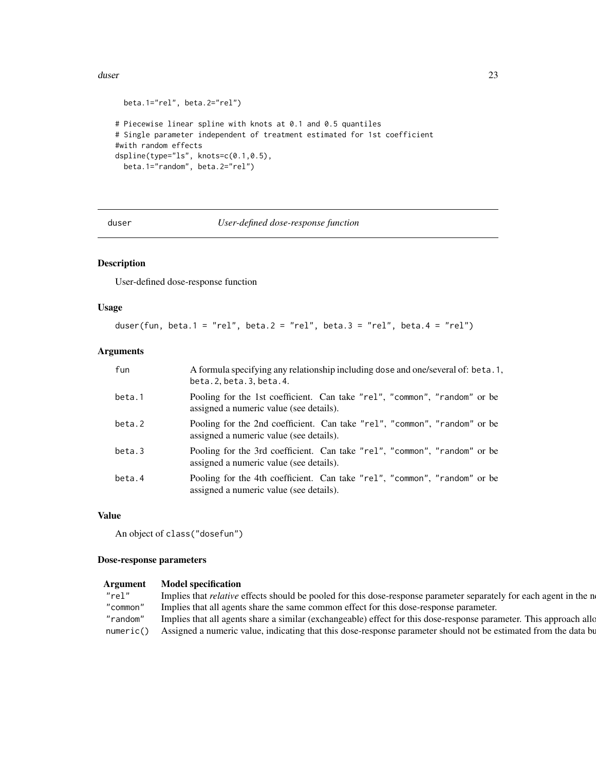#### <span id="page-22-0"></span>duser 23

```
beta.1="rel", beta.2="rel")
# Piecewise linear spline with knots at 0.1 and 0.5 quantiles
# Single parameter independent of treatment estimated for 1st coefficient
#with random effects
dspline(type="ls", knots=c(0.1,0.5),
 beta.1="random", beta.2="rel")
```
duser *User-defined dose-response function*

# Description

User-defined dose-response function

# Usage

duser(fun, beta. $1 = "rel", beta.2 = "rel", beta.3 = "rel", beta.4 = "rel"$ )

# Arguments

| fun    | A formula specifying any relationship including dose and one/several of: beta.1,<br>beta. 2, beta. 3, beta. 4.       |  |
|--------|----------------------------------------------------------------------------------------------------------------------|--|
| beta.1 | Pooling for the 1st coefficient. Can take "rel", "common", "random" or be<br>assigned a numeric value (see details). |  |
| beta.2 | Pooling for the 2nd coefficient. Can take "rel", "common", "random" or be<br>assigned a numeric value (see details). |  |
| beta.3 | Pooling for the 3rd coefficient. Can take "rel", "common", "random" or be<br>assigned a numeric value (see details). |  |
| beta.4 | Pooling for the 4th coefficient. Can take "rel", "common", "random" or be<br>assigned a numeric value (see details). |  |

# Value

```
An object of class("dosefun")
```
#### Dose-response parameters

# Argument Model specification

| 'rel" | Implies that <i>relative</i> effects should be pooled for this dose-response parameter separately for each agent in the n   |
|-------|-----------------------------------------------------------------------------------------------------------------------------|
|       | "common" Implies that all agents share the same common effect for this dose-response parameter.                             |
|       | "random" Implies that all agents share a similar (exchangeable) effect for this dose-response parameter. This approach allo |
|       | numeric() Assigned a numeric value, indicating that this dose-response parameter should not be estimated from the data bu   |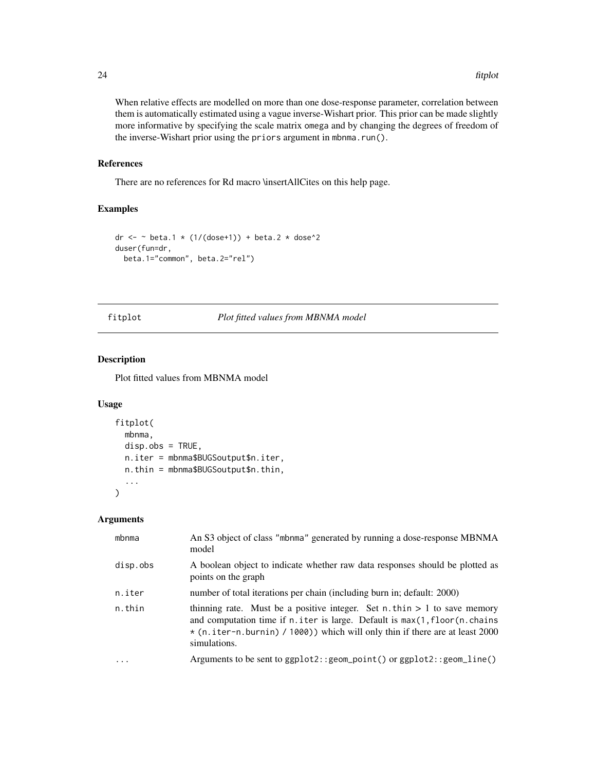When relative effects are modelled on more than one dose-response parameter, correlation between them is automatically estimated using a vague inverse-Wishart prior. This prior can be made slightly more informative by specifying the scale matrix omega and by changing the degrees of freedom of the inverse-Wishart prior using the priors argument in mbnma.run().

#### References

There are no references for Rd macro \insertAllCites on this help page.

# Examples

```
dr <- ~ beta.1 * (1/(\text{dose+1})) + beta.2 * dose^2
duser(fun=dr,
 beta.1="common", beta.2="rel")
```
#### fitplot *Plot fitted values from MBNMA model*

# Description

Plot fitted values from MBNMA model

# Usage

```
fitplot(
  mbnma,
  disp.obs = TRUE,n.iter = mbnma$BUGSoutput$n.iter,
  n.thin = mbnma$BUGSoutput$n.thin,
  ...
\overline{\phantom{a}}
```
# Arguments

| mbnma    | An S3 object of class "mbnma" generated by running a dose-response MBNMA<br>model                                                                                                                                                                                |
|----------|------------------------------------------------------------------------------------------------------------------------------------------------------------------------------------------------------------------------------------------------------------------|
| disp.obs | A boolean object to indicate whether raw data responses should be plotted as<br>points on the graph                                                                                                                                                              |
| n.iter   | number of total iterations per chain (including burn in; default: 2000)                                                                                                                                                                                          |
| n.thin   | thinning rate. Must be a positive integer. Set n.thin $> 1$ to save memory<br>and computation time if $n$ , iter is large. Default is $max(1, floor(n, chains))$<br>* (n.iter-n.burnin) / 1000)) which will only thin if there are at least 2000<br>simulations. |
| .        | Arguments to be sent to $ggplot2::geom\_point()$ or $ggplot2::geom\_line()$                                                                                                                                                                                      |
|          |                                                                                                                                                                                                                                                                  |

<span id="page-23-0"></span>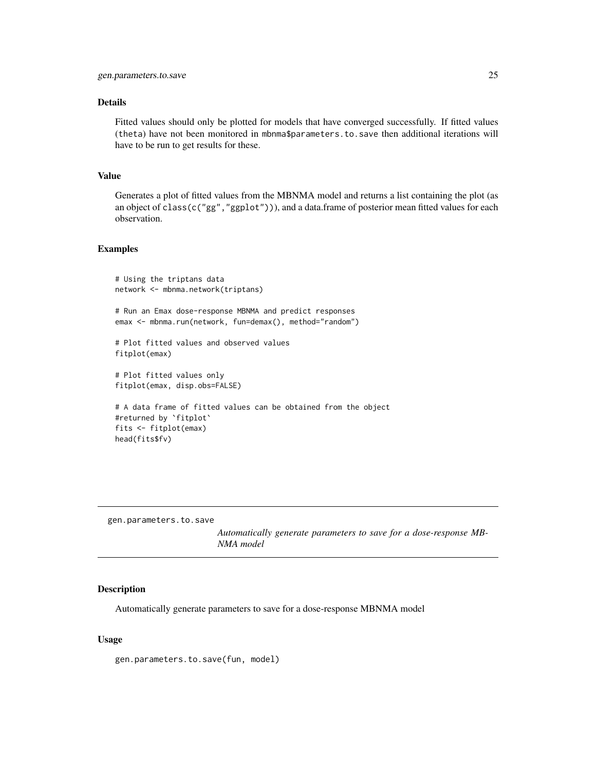# <span id="page-24-0"></span>Details

Fitted values should only be plotted for models that have converged successfully. If fitted values (theta) have not been monitored in mbnma\$parameters.to.save then additional iterations will have to be run to get results for these.

# Value

Generates a plot of fitted values from the MBNMA model and returns a list containing the plot (as an object of class(c("gg","ggplot"))), and a data.frame of posterior mean fitted values for each observation.

#### Examples

```
# Using the triptans data
network <- mbnma.network(triptans)
# Run an Emax dose-response MBNMA and predict responses
emax <- mbnma.run(network, fun=demax(), method="random")
# Plot fitted values and observed values
fitplot(emax)
# Plot fitted values only
fitplot(emax, disp.obs=FALSE)
# A data frame of fitted values can be obtained from the object
#returned by `fitplot`
fits <- fitplot(emax)
head(fits$fv)
```
gen.parameters.to.save

*Automatically generate parameters to save for a dose-response MB-NMA model*

# Description

Automatically generate parameters to save for a dose-response MBNMA model

#### Usage

gen.parameters.to.save(fun, model)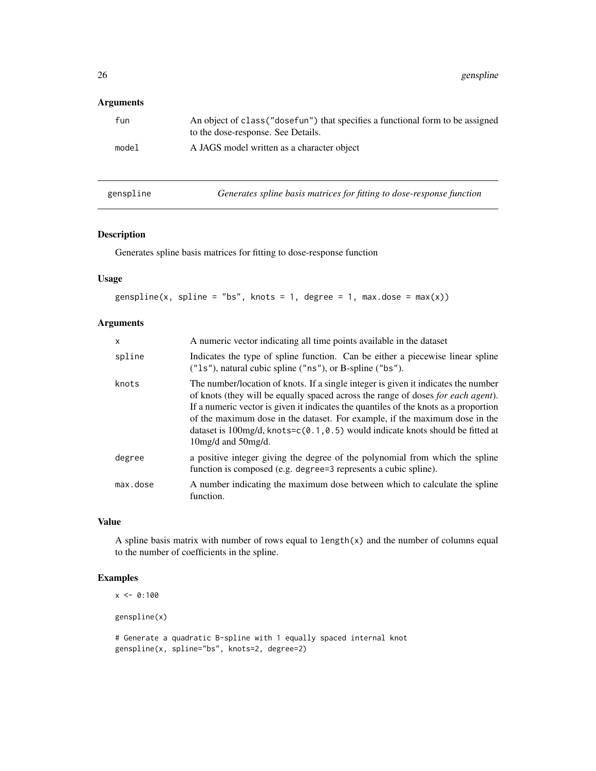# <span id="page-25-0"></span>Arguments

| fun   | An object of class ("dosefun") that specifies a functional form to be assigned<br>to the dose-response. See Details. |
|-------|----------------------------------------------------------------------------------------------------------------------|
| model | A JAGS model written as a character object                                                                           |
|       |                                                                                                                      |

- 
- genspline *Generates spline basis matrices for fitting to dose-response function*

# Description

Generates spline basis matrices for fitting to dose-response function

# Usage

```
genspline(x, spline = "bs", knots = 1, degree = 1, max.dose = max(x))
```
# Arguments

| $\times$ | A numeric vector indicating all time points available in the dataset                                                                                                                                                                                                                                                                                                                                                                                                  |
|----------|-----------------------------------------------------------------------------------------------------------------------------------------------------------------------------------------------------------------------------------------------------------------------------------------------------------------------------------------------------------------------------------------------------------------------------------------------------------------------|
| spline   | Indicates the type of spline function. Can be either a piecewise linear spline<br>$("ls")$ , natural cubic spline $("ns")$ , or B-spline $("bs")$ .                                                                                                                                                                                                                                                                                                                   |
| knots    | The number/location of knots. If a single integer is given it indicates the number<br>of knots (they will be equally spaced across the range of doses <i>for each agent</i> ).<br>If a numeric vector is given it indicates the quantiles of the knots as a proportion<br>of the maximum dose in the dataset. For example, if the maximum dose in the<br>dataset is 100mg/d, knots= $c(0.1, 0.5)$ would indicate knots should be fitted at<br>$10mg/d$ and $50mg/d$ . |
| degree   | a positive integer giving the degree of the polynomial from which the spline<br>function is composed (e.g. degree=3 represents a cubic spline).                                                                                                                                                                                                                                                                                                                       |
| max.dose | A number indicating the maximum dose between which to calculate the spline<br>function.                                                                                                                                                                                                                                                                                                                                                                               |

# Value

A spline basis matrix with number of rows equal to  $length(x)$  and the number of columns equal to the number of coefficients in the spline.

# Examples

```
x < -0:100
```
genspline(x)

```
# Generate a quadratic B-spline with 1 equally spaced internal knot
genspline(x, spline="bs", knots=2, degree=2)
```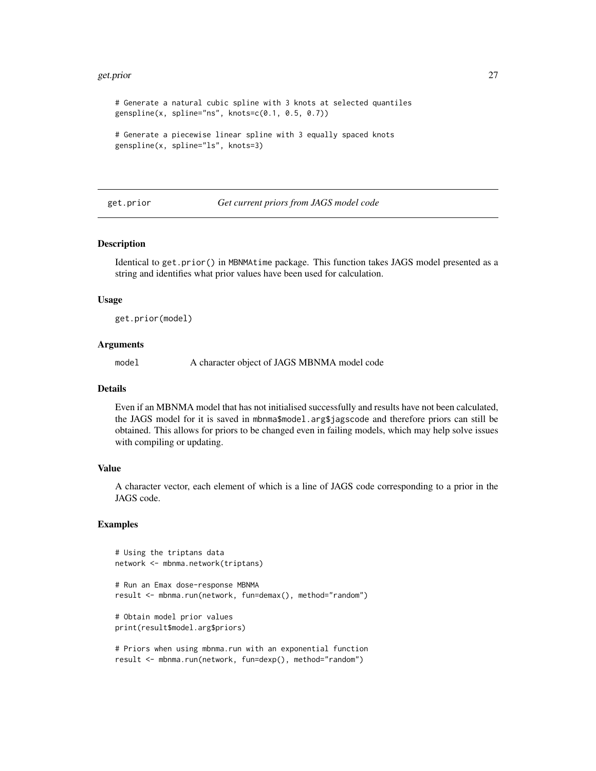#### <span id="page-26-0"></span>get.prior 27

# Generate a natural cubic spline with 3 knots at selected quantiles genspline(x, spline="ns", knots=c(0.1, 0.5, 0.7)) # Generate a piecewise linear spline with 3 equally spaced knots

```
genspline(x, spline="ls", knots=3)
```
get.prior *Get current priors from JAGS model code*

#### **Description**

Identical to get.prior() in MBNMAtime package. This function takes JAGS model presented as a string and identifies what prior values have been used for calculation.

#### Usage

get.prior(model)

# Arguments

model A character object of JAGS MBNMA model code

# Details

Even if an MBNMA model that has not initialised successfully and results have not been calculated, the JAGS model for it is saved in mbnma\$model.arg\$jagscode and therefore priors can still be obtained. This allows for priors to be changed even in failing models, which may help solve issues with compiling or updating.

#### Value

A character vector, each element of which is a line of JAGS code corresponding to a prior in the JAGS code.

# Examples

```
# Using the triptans data
network <- mbnma.network(triptans)
# Run an Emax dose-response MBNMA
result <- mbnma.run(network, fun=demax(), method="random")
# Obtain model prior values
print(result$model.arg$priors)
# Priors when using mbnma.run with an exponential function
result <- mbnma.run(network, fun=dexp(), method="random")
```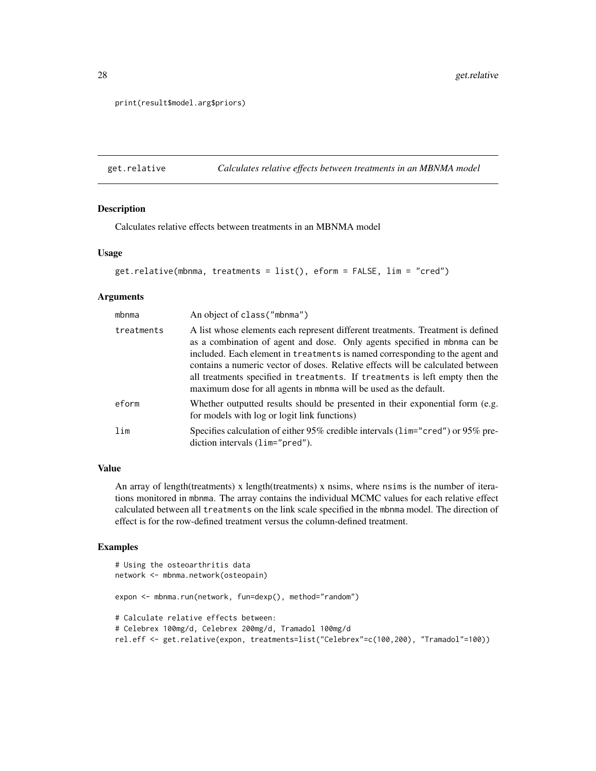print(result\$model.arg\$priors)

get.relative *Calculates relative effects between treatments in an MBNMA model*

# Description

Calculates relative effects between treatments in an MBNMA model

# Usage

```
get.relative(mbnma, treatments = list(), eform = FALSE, lim = "cred")
```
#### Arguments

| mbnma      | An object of class ("mbnma")                                                                                                                                                                                                                                                                                                                                                                                                                                                         |
|------------|--------------------------------------------------------------------------------------------------------------------------------------------------------------------------------------------------------------------------------------------------------------------------------------------------------------------------------------------------------------------------------------------------------------------------------------------------------------------------------------|
| treatments | A list whose elements each represent different treatments. Treatment is defined<br>as a combination of agent and dose. Only agents specified in mbnma can be<br>included. Each element in treatments is named corresponding to the agent and<br>contains a numeric vector of doses. Relative effects will be calculated between<br>all treatments specified in treatments. If treatments is left empty then the<br>maximum dose for all agents in mbnma will be used as the default. |
| eform      | Whether outputted results should be presented in their exponential form (e.g.<br>for models with log or logit link functions)                                                                                                                                                                                                                                                                                                                                                        |
| lim        | Specifies calculation of either $95\%$ credible intervals ( $1$ im="cred") or $95\%$ pre-<br>diction intervals $(lim="pred").$                                                                                                                                                                                                                                                                                                                                                       |

# Value

An array of length(treatments) x length(treatments) x nsims, where nsims is the number of iterations monitored in mbnma. The array contains the individual MCMC values for each relative effect calculated between all treatments on the link scale specified in the mbnma model. The direction of effect is for the row-defined treatment versus the column-defined treatment.

#### Examples

```
# Using the osteoarthritis data
network <- mbnma.network(osteopain)
expon <- mbnma.run(network, fun=dexp(), method="random")
# Calculate relative effects between:
# Celebrex 100mg/d, Celebrex 200mg/d, Tramadol 100mg/d
rel.eff <- get.relative(expon, treatments=list("Celebrex"=c(100,200), "Tramadol"=100))
```
<span id="page-27-0"></span>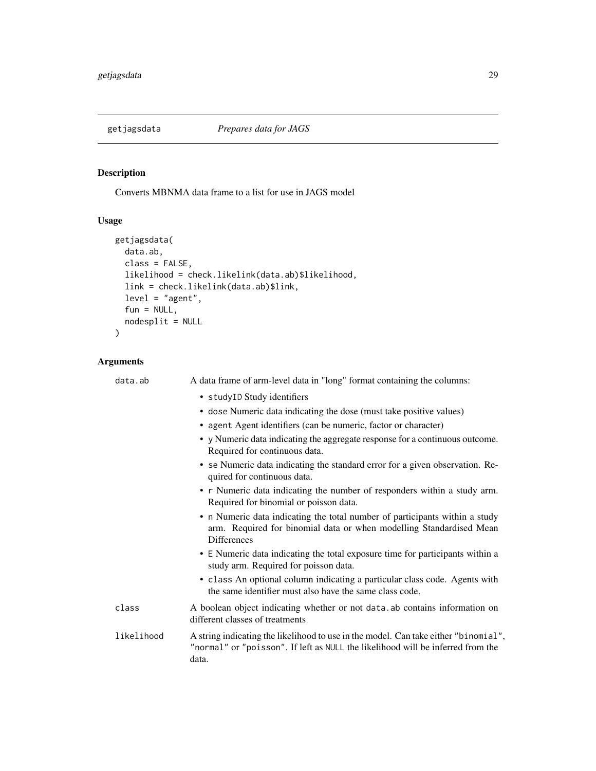<span id="page-28-0"></span>

# Description

Converts MBNMA data frame to a list for use in JAGS model

# Usage

```
getjagsdata(
  data.ab,
  class = FALSE,
  likelihood = check.likelink(data.ab)$likelihood,
  link = check.likelink(data.ab)$link,
  level = "agent",
  fun = NULL,nodesplit = NULL\overline{\phantom{a}}
```
# Arguments

| data.ab    | A data frame of arm-level data in "long" format containing the columns:                                                                                                         |
|------------|---------------------------------------------------------------------------------------------------------------------------------------------------------------------------------|
|            | • studyID Study identifiers                                                                                                                                                     |
|            | • dose Numeric data indicating the dose (must take positive values)                                                                                                             |
|            | • agent Agent identifiers (can be numeric, factor or character)                                                                                                                 |
|            | • y Numeric data indicating the aggregate response for a continuous outcome.<br>Required for continuous data.                                                                   |
|            | • se Numeric data indicating the standard error for a given observation. Re-<br>quired for continuous data.                                                                     |
|            | • r Numeric data indicating the number of responders within a study arm.<br>Required for binomial or poisson data.                                                              |
|            | • n Numeric data indicating the total number of participants within a study<br>arm. Required for binomial data or when modelling Standardised Mean<br><b>Differences</b>        |
|            | • E Numeric data indicating the total exposure time for participants within a<br>study arm. Required for poisson data.                                                          |
|            | • class An optional column indicating a particular class code. Agents with<br>the same identifier must also have the same class code.                                           |
| class      | A boolean object indicating whether or not data ab contains information on<br>different classes of treatments                                                                   |
| likelihood | A string indicating the likelihood to use in the model. Can take either "binomial",<br>"normal" or "poisson". If left as NULL the likelihood will be inferred from the<br>data. |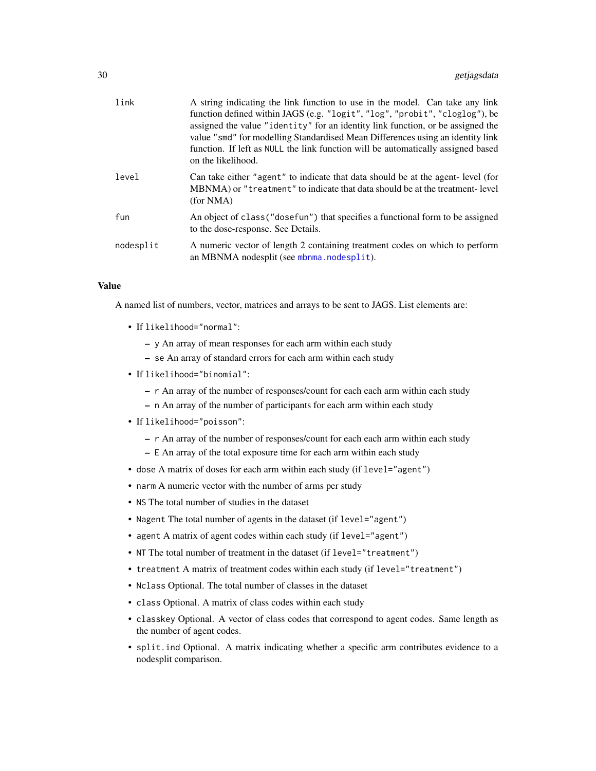| link      | A string indicating the link function to use in the model. Can take any link<br>function defined within JAGS (e.g. "logit", "log", "probit", "cloglog"), be<br>assigned the value "identity" for an identity link function, or be assigned the<br>value "smd" for modelling Standardised Mean Differences using an identity link<br>function. If left as NULL the link function will be automatically assigned based<br>on the likelihood. |
|-----------|--------------------------------------------------------------------------------------------------------------------------------------------------------------------------------------------------------------------------------------------------------------------------------------------------------------------------------------------------------------------------------------------------------------------------------------------|
| level     | Can take either "agent" to indicate that data should be at the agent-level (for<br>MBNMA) or "treatment" to indicate that data should be at the treatment-level<br>(for NMA)                                                                                                                                                                                                                                                               |
| fun       | An object of class ("dosefun") that specifies a functional form to be assigned<br>to the dose-response. See Details.                                                                                                                                                                                                                                                                                                                       |
| nodesplit | A numeric vector of length 2 containing treatment codes on which to perform<br>an MBNMA nodesplit (see mbnma.nodesplit).                                                                                                                                                                                                                                                                                                                   |

### Value

A named list of numbers, vector, matrices and arrays to be sent to JAGS. List elements are:

- If likelihood="normal":
	- y An array of mean responses for each arm within each study
	- se An array of standard errors for each arm within each study
- If likelihood="binomial":
	- r An array of the number of responses/count for each each arm within each study
	- n An array of the number of participants for each arm within each study
- If likelihood="poisson":
	- r An array of the number of responses/count for each each arm within each study
	- E An array of the total exposure time for each arm within each study
- dose A matrix of doses for each arm within each study (if level="agent")
- narm A numeric vector with the number of arms per study
- NS The total number of studies in the dataset
- Nagent The total number of agents in the dataset (if level="agent")
- agent A matrix of agent codes within each study (if level="agent")
- NT The total number of treatment in the dataset (if level="treatment")
- treatment A matrix of treatment codes within each study (if level="treatment")
- Nclass Optional. The total number of classes in the dataset
- class Optional. A matrix of class codes within each study
- classkey Optional. A vector of class codes that correspond to agent codes. Same length as the number of agent codes.
- split.ind Optional. A matrix indicating whether a specific arm contributes evidence to a nodesplit comparison.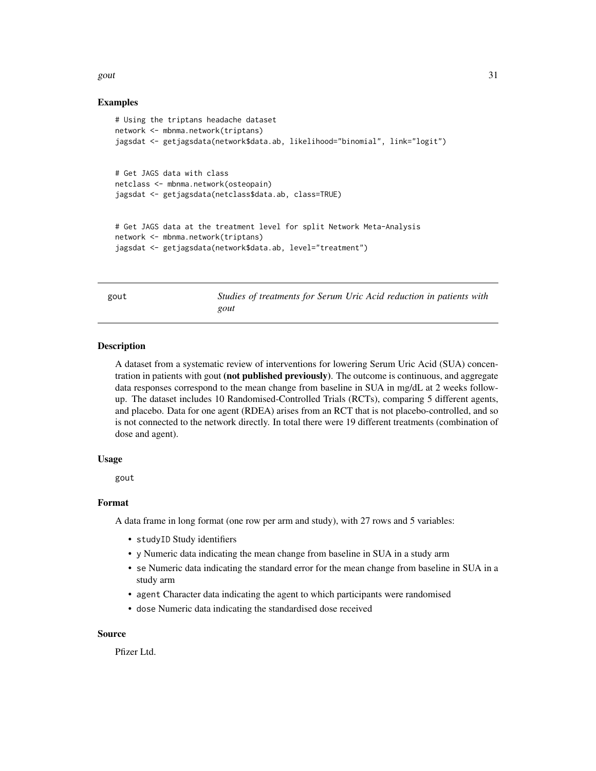#### <span id="page-30-0"></span>gout  $31$

# Examples

```
# Using the triptans headache dataset
network <- mbnma.network(triptans)
jagsdat <- getjagsdata(network$data.ab, likelihood="binomial", link="logit")
# Get JAGS data with class
netclass <- mbnma.network(osteopain)
jagsdat <- getjagsdata(netclass$data.ab, class=TRUE)
# Get JAGS data at the treatment level for split Network Meta-Analysis
network <- mbnma.network(triptans)
jagsdat <- getjagsdata(network$data.ab, level="treatment")
```
gout *Studies of treatments for Serum Uric Acid reduction in patients with gout*

#### Description

A dataset from a systematic review of interventions for lowering Serum Uric Acid (SUA) concentration in patients with gout (not published previously). The outcome is continuous, and aggregate data responses correspond to the mean change from baseline in SUA in mg/dL at 2 weeks followup. The dataset includes 10 Randomised-Controlled Trials (RCTs), comparing 5 different agents, and placebo. Data for one agent (RDEA) arises from an RCT that is not placebo-controlled, and so is not connected to the network directly. In total there were 19 different treatments (combination of dose and agent).

#### Usage

gout

# Format

A data frame in long format (one row per arm and study), with 27 rows and 5 variables:

- studyID Study identifiers
- y Numeric data indicating the mean change from baseline in SUA in a study arm
- se Numeric data indicating the standard error for the mean change from baseline in SUA in a study arm
- agent Character data indicating the agent to which participants were randomised
- dose Numeric data indicating the standardised dose received

#### Source

Pfizer Ltd.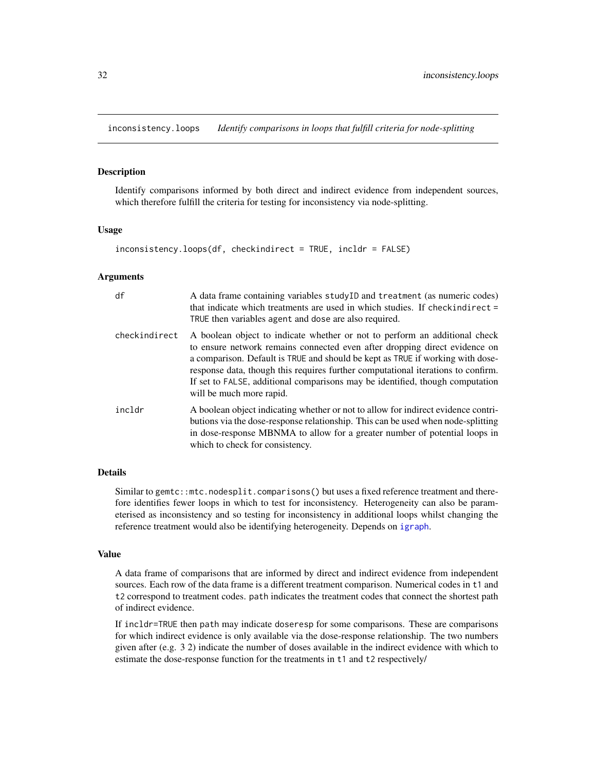<span id="page-31-0"></span>inconsistency.loops *Identify comparisons in loops that fulfill criteria for node-splitting*

#### Description

Identify comparisons informed by both direct and indirect evidence from independent sources, which therefore fulfill the criteria for testing for inconsistency via node-splitting.

#### Usage

```
inconsistency.loops(df, checkindirect = TRUE, incldr = FALSE)
```
#### Arguments

| df            | A data frame containing variables studyID and treatment (as numeric codes)<br>that indicate which treatments are used in which studies. If checkindirect =<br>TRUE then variables agent and dose are also required.                                                                                                                                                                                                                         |
|---------------|---------------------------------------------------------------------------------------------------------------------------------------------------------------------------------------------------------------------------------------------------------------------------------------------------------------------------------------------------------------------------------------------------------------------------------------------|
| checkindirect | A boolean object to indicate whether or not to perform an additional check<br>to ensure network remains connected even after dropping direct evidence on<br>a comparison. Default is TRUE and should be kept as TRUE if working with dose-<br>response data, though this requires further computational iterations to confirm.<br>If set to FALSE, additional comparisons may be identified, though computation<br>will be much more rapid. |
| incldr        | A boolean object indicating whether or not to allow for indirect evidence contri-<br>butions via the dose-response relationship. This can be used when node-splitting<br>in dose-response MBNMA to allow for a greater number of potential loops in<br>which to check for consistency.                                                                                                                                                      |

# Details

Similar to gemtc::mtc.nodesplit.comparisons() but uses a fixed reference treatment and therefore identifies fewer loops in which to test for inconsistency. Heterogeneity can also be parameterised as inconsistency and so testing for inconsistency in additional loops whilst changing the reference treatment would also be identifying heterogeneity. Depends on [igraph](#page-0-0).

#### Value

A data frame of comparisons that are informed by direct and indirect evidence from independent sources. Each row of the data frame is a different treatment comparison. Numerical codes in t1 and t2 correspond to treatment codes. path indicates the treatment codes that connect the shortest path of indirect evidence.

If incldr=TRUE then path may indicate doseresp for some comparisons. These are comparisons for which indirect evidence is only available via the dose-response relationship. The two numbers given after (e.g. 3 2) indicate the number of doses available in the indirect evidence with which to estimate the dose-response function for the treatments in t1 and t2 respectively/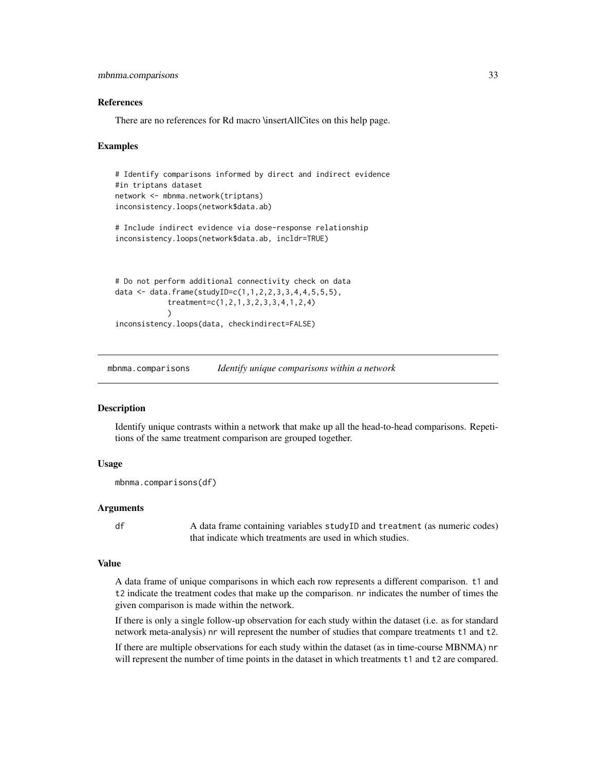```
mbnma.comparisons 33
```
#### References

There are no references for Rd macro \insertAllCites on this help page.

#### Examples

```
# Identify comparisons informed by direct and indirect evidence
#in triptans dataset
network <- mbnma.network(triptans)
inconsistency.loops(network$data.ab)
# Include indirect evidence via dose-response relationship
inconsistency.loops(network$data.ab, incldr=TRUE)
# Do not perform additional connectivity check on data
data <- data.frame(studyID=c(1,1,2,2,3,3,4,4,5,5,5),
```

```
treatment=c(1,2,1,3,2,3,3,4,1,2,4)
            )
inconsistency.loops(data, checkindirect=FALSE)
```
mbnma.comparisons *Identify unique comparisons within a network*

#### Description

Identify unique contrasts within a network that make up all the head-to-head comparisons. Repetitions of the same treatment comparison are grouped together.

#### Usage

```
mbnma.comparisons(df)
```
#### Arguments

df A data frame containing variables studyID and treatment (as numeric codes) that indicate which treatments are used in which studies.

# Value

A data frame of unique comparisons in which each row represents a different comparison. t1 and t2 indicate the treatment codes that make up the comparison. nr indicates the number of times the given comparison is made within the network.

If there is only a single follow-up observation for each study within the dataset (i.e. as for standard network meta-analysis) nr will represent the number of studies that compare treatments t1 and t2.

If there are multiple observations for each study within the dataset (as in time-course MBNMA) nr will represent the number of time points in the dataset in which treatments t1 and t2 are compared.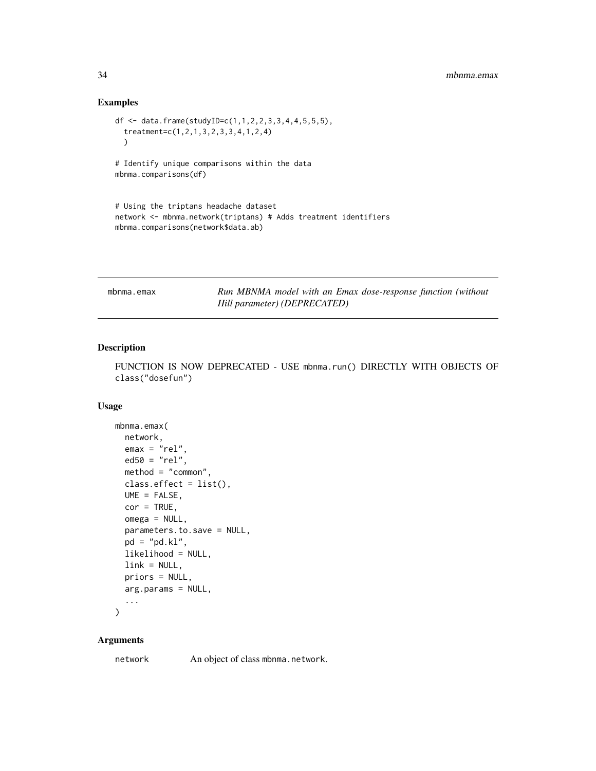# <span id="page-33-0"></span>Examples

```
df <- data.frame(studyID=c(1,1,2,2,3,3,4,4,5,5,5),
  treatment=c(1,2,1,3,2,3,3,4,1,2,4)
  \lambda# Identify unique comparisons within the data
mbnma.comparisons(df)
# Using the triptans headache dataset
network <- mbnma.network(triptans) # Adds treatment identifiers
mbnma.comparisons(network$data.ab)
```

| mbnma.emax |                              |  | Run MBNMA model with an Emax dose-response function (without |  |
|------------|------------------------------|--|--------------------------------------------------------------|--|
|            | Hill parameter) (DEPRECATED) |  |                                                              |  |

# Description

FUNCTION IS NOW DEPRECATED - USE mbnma.run() DIRECTLY WITH OBJECTS OF class("dosefun")

# Usage

```
mbnma.emax(
 network,
 emax = "rel",ed50 = "rel",method = "common",
 class.effect = list(),
 UME = FALSE,cor = TRUE,omega = NULL,
 parameters.to.save = NULL,
 pd = "pd.kl",likelihood = NULL,
 link = NULL,priors = NULL,
 arg.params = NULL,
  ...
```
 $\mathcal{L}$ 

#### Arguments

network An object of class mbnma.network.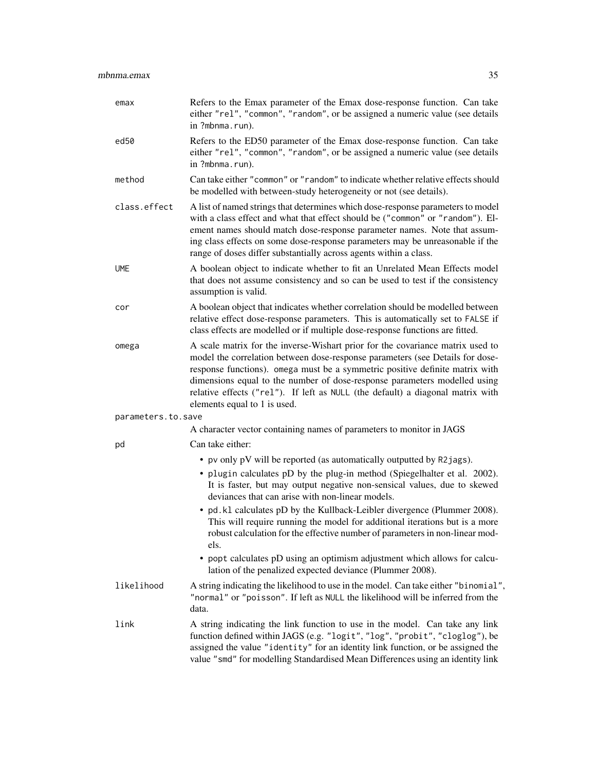| emax               | Refers to the Emax parameter of the Emax dose-response function. Can take<br>either "rel", "common", "random", or be assigned a numeric value (see details<br>in ?mbnma.run).                                                                                                                                                                                                                                                                  |
|--------------------|------------------------------------------------------------------------------------------------------------------------------------------------------------------------------------------------------------------------------------------------------------------------------------------------------------------------------------------------------------------------------------------------------------------------------------------------|
| ed50               | Refers to the ED50 parameter of the Emax dose-response function. Can take<br>either "rel", "common", "random", or be assigned a numeric value (see details<br>in ?mbnma.run).                                                                                                                                                                                                                                                                  |
| method             | Can take either "common" or "random" to indicate whether relative effects should<br>be modelled with between-study heterogeneity or not (see details).                                                                                                                                                                                                                                                                                         |
| class.effect       | A list of named strings that determines which dose-response parameters to model<br>with a class effect and what that effect should be ("common" or "random"). El-<br>ement names should match dose-response parameter names. Note that assum-<br>ing class effects on some dose-response parameters may be unreasonable if the<br>range of doses differ substantially across agents within a class.                                            |
| <b>UME</b>         | A boolean object to indicate whether to fit an Unrelated Mean Effects model<br>that does not assume consistency and so can be used to test if the consistency<br>assumption is valid.                                                                                                                                                                                                                                                          |
| cor                | A boolean object that indicates whether correlation should be modelled between<br>relative effect dose-response parameters. This is automatically set to FALSE if<br>class effects are modelled or if multiple dose-response functions are fitted.                                                                                                                                                                                             |
| omega              | A scale matrix for the inverse-Wishart prior for the covariance matrix used to<br>model the correlation between dose-response parameters (see Details for dose-<br>response functions). omega must be a symmetric positive definite matrix with<br>dimensions equal to the number of dose-response parameters modelled using<br>relative effects ("rel"). If left as NULL (the default) a diagonal matrix with<br>elements equal to 1 is used. |
| parameters.to.save |                                                                                                                                                                                                                                                                                                                                                                                                                                                |
|                    | A character vector containing names of parameters to monitor in JAGS                                                                                                                                                                                                                                                                                                                                                                           |
| pd                 | Can take either:                                                                                                                                                                                                                                                                                                                                                                                                                               |
|                    | • pv only pV will be reported (as automatically outputted by R2jags).<br>• plugin calculates pD by the plug-in method (Spiegelhalter et al. 2002).<br>It is faster, but may output negative non-sensical values, due to skewed<br>deviances that can arise with non-linear models.                                                                                                                                                             |
|                    | • pd. k1 calculates pD by the Kullback-Leibler divergence (Plummer 2008).<br>This will require running the model for additional iterations but is a more<br>robust calculation for the effective number of parameters in non-linear mod-<br>els.                                                                                                                                                                                               |
|                    | • popt calculates pD using an optimism adjustment which allows for calcu-<br>lation of the penalized expected deviance (Plummer 2008).                                                                                                                                                                                                                                                                                                         |
| likelihood         | A string indicating the likelihood to use in the model. Can take either "binomial",<br>"normal" or "poisson". If left as NULL the likelihood will be inferred from the<br>data.                                                                                                                                                                                                                                                                |
| link               | A string indicating the link function to use in the model. Can take any link<br>function defined within JAGS (e.g. "logit", "log", "probit", "cloglog"), be<br>assigned the value "identity" for an identity link function, or be assigned the<br>value "smd" for modelling Standardised Mean Differences using an identity link                                                                                                               |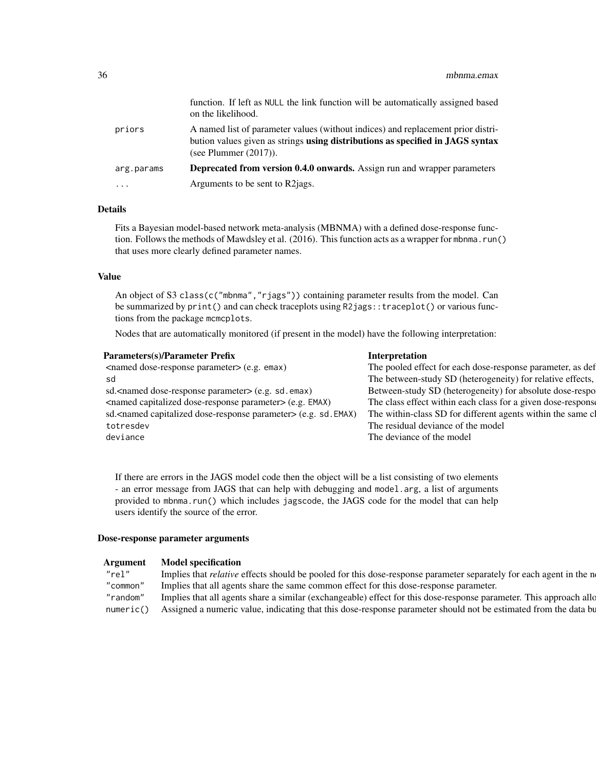|            | function. If left as NULL the link function will be automatically assigned based<br>on the likelihood.                                                                                         |
|------------|------------------------------------------------------------------------------------------------------------------------------------------------------------------------------------------------|
| priors     | A named list of parameter values (without indices) and replacement prior distri-<br>bution values given as strings using distributions as specified in JAGS syntax<br>(see Plummer $(2017)$ ). |
| arg.params | <b>Deprecated from version 0.4.0 onwards.</b> Assign run and wrapper parameters                                                                                                                |
| .          | Arguments to be sent to R2 jags.                                                                                                                                                               |

# Details

Fits a Bayesian model-based network meta-analysis (MBNMA) with a defined dose-response function. Follows the methods of Mawdsley et al. (2016). This function acts as a wrapper for mbnma.run() that uses more clearly defined parameter names.

#### Value

An object of S3 class(c("mbnma", "rjags")) containing parameter results from the model. Can be summarized by print() and can check traceplots using R2jags::traceplot() or various functions from the package mcmcplots.

Nodes that are automatically monitored (if present in the model) have the following interpretation:

| <named dose-response="" parameter=""> (e.g. emax)<br/>The pooled effect for each dose-response parameter, as def</named>                        |
|-------------------------------------------------------------------------------------------------------------------------------------------------|
|                                                                                                                                                 |
| The between-study SD (heterogeneity) for relative effects,<br>sd                                                                                |
| Between-study SD (heterogeneity) for absolute dose-respo<br>sd. <named dose-response="" parameter=""> (e.g. sd. emax)</named>                   |
| The class effect within each class for a given dose-response<br><named capitalized="" dose-response="" parameter=""> (e.g. EMAX)</named>        |
| The within-class SD for different agents within the same cl<br>sd. <named capitalized="" dose-response="" parameter=""> (e.g. sd. EMAX)</named> |
| The residual deviance of the model<br>totresdev                                                                                                 |
| The deviance of the model<br>deviance                                                                                                           |

If there are errors in the JAGS model code then the object will be a list consisting of two elements - an error message from JAGS that can help with debugging and model.arg, a list of arguments provided to mbnma.run() which includes jagscode, the JAGS code for the model that can help users identify the source of the error.

#### Dose-response parameter arguments

| <b>Argument</b> | <b>Model specification</b> |
|-----------------|----------------------------|
|-----------------|----------------------------|

| "rel"    | Implies that <i>relative</i> effects should be pooled for this dose-response parameter separately for each agent in the n   |  |
|----------|-----------------------------------------------------------------------------------------------------------------------------|--|
| "common" | " Implies that all agents share the same common effect for this dose-response parameter.                                    |  |
|          | "random" Implies that all agents share a similar (exchangeable) effect for this dose-response parameter. This approach allo |  |
|          | numeric() Assigned a numeric value, indicating that this dose-response parameter should not be estimated from the data bu   |  |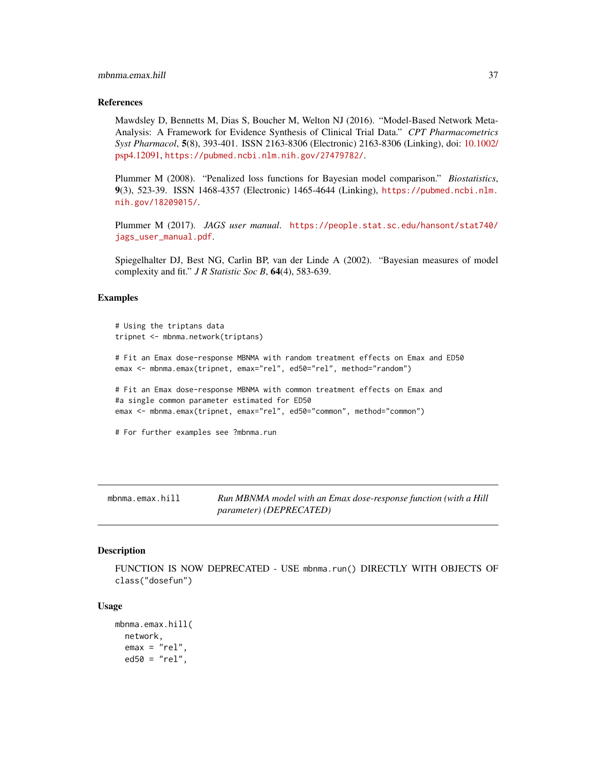#### References

Mawdsley D, Bennetts M, Dias S, Boucher M, Welton NJ (2016). "Model-Based Network Meta-Analysis: A Framework for Evidence Synthesis of Clinical Trial Data." *CPT Pharmacometrics Syst Pharmacol*, 5(8), 393-401. ISSN 2163-8306 (Electronic) 2163-8306 (Linking), doi: [10.1002/](https://doi.org/10.1002/psp4.12091) [psp4.12091,](https://doi.org/10.1002/psp4.12091) <https://pubmed.ncbi.nlm.nih.gov/27479782/>.

Plummer M (2008). "Penalized loss functions for Bayesian model comparison." *Biostatistics*, 9(3), 523-39. ISSN 1468-4357 (Electronic) 1465-4644 (Linking), [https://pubmed.ncbi.nlm.](https://pubmed.ncbi.nlm.nih.gov/18209015/) [nih.gov/18209015/](https://pubmed.ncbi.nlm.nih.gov/18209015/).

Plummer M (2017). *JAGS user manual*. [https://people.stat.sc.edu/hansont/stat740/](https://people.stat.sc.edu/hansont/stat740/jags_user_manual.pdf) [jags\\_user\\_manual.pdf](https://people.stat.sc.edu/hansont/stat740/jags_user_manual.pdf).

Spiegelhalter DJ, Best NG, Carlin BP, van der Linde A (2002). "Bayesian measures of model complexity and fit." *J R Statistic Soc B*, 64(4), 583-639.

#### Examples

```
# Using the triptans data
tripnet <- mbnma.network(triptans)
# Fit an Emax dose-response MBNMA with random treatment effects on Emax and ED50
emax <- mbnma.emax(tripnet, emax="rel", ed50="rel", method="random")
# Fit an Emax dose-response MBNMA with common treatment effects on Emax and
#a single common parameter estimated for ED50
emax <- mbnma.emax(tripnet, emax="rel", ed50="common", method="common")
# For further examples see ?mbnma.run
```
mbnma.emax.hill *Run MBNMA model with an Emax dose-response function (with a Hill parameter) (DEPRECATED)*

#### Description

FUNCTION IS NOW DEPRECATED - USE mbnma.run() DIRECTLY WITH OBJECTS OF class("dosefun")

#### Usage

```
mbnma.emax.hill(
  network,
  emax = "rel",ed50 = "rel",
```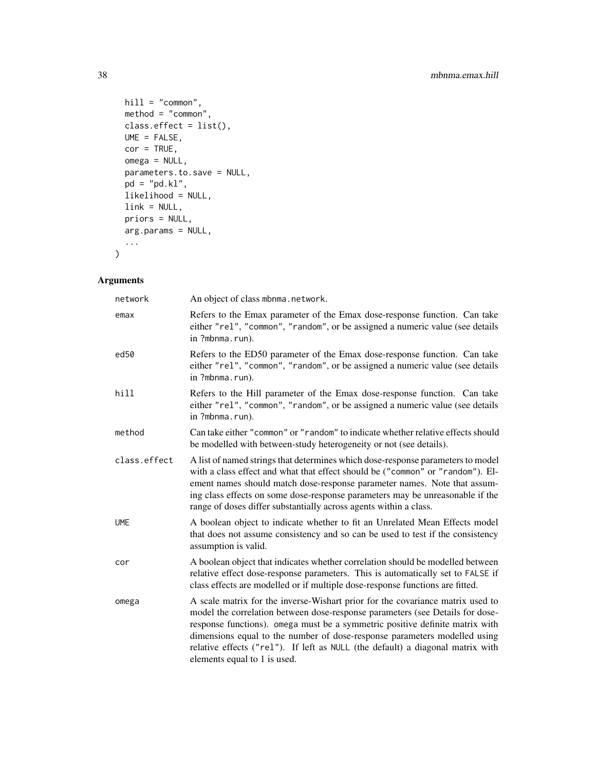```
hill = "common",
 method = "common",
 class.effect = list(),
 UME = FALSE,cor = TRUE,omega = NULL,
 parameters.to.save = NULL,
 pd = "pd.kl",likelihood = NULL,
 link = NULL,
 priors = NULL,
 arg.params = NULL,
 ...
\mathcal{L}
```

| network          | An object of class mbnma.network.                                                                                                                                                                                                                                                                                                                                                                                                              |
|------------------|------------------------------------------------------------------------------------------------------------------------------------------------------------------------------------------------------------------------------------------------------------------------------------------------------------------------------------------------------------------------------------------------------------------------------------------------|
| emax             | Refers to the Emax parameter of the Emax dose-response function. Can take<br>either "rel", "common", "random", or be assigned a numeric value (see details<br>in ?mbnma.run).                                                                                                                                                                                                                                                                  |
| ed <sub>50</sub> | Refers to the ED50 parameter of the Emax dose-response function. Can take<br>either "rel", "common", "random", or be assigned a numeric value (see details<br>in ?mbnma.run).                                                                                                                                                                                                                                                                  |
| hill             | Refers to the Hill parameter of the Emax dose-response function. Can take<br>either "rel", "common", "random", or be assigned a numeric value (see details<br>in ?mbnma.run).                                                                                                                                                                                                                                                                  |
| method           | Can take either "common" or "random" to indicate whether relative effects should<br>be modelled with between-study heterogeneity or not (see details).                                                                                                                                                                                                                                                                                         |
| class.effect     | A list of named strings that determines which dose-response parameters to model<br>with a class effect and what that effect should be ("common" or "random"). El-<br>ement names should match dose-response parameter names. Note that assum-<br>ing class effects on some dose-response parameters may be unreasonable if the<br>range of doses differ substantially across agents within a class.                                            |
| <b>UME</b>       | A boolean object to indicate whether to fit an Unrelated Mean Effects model<br>that does not assume consistency and so can be used to test if the consistency<br>assumption is valid.                                                                                                                                                                                                                                                          |
| cor              | A boolean object that indicates whether correlation should be modelled between<br>relative effect dose-response parameters. This is automatically set to FALSE if<br>class effects are modelled or if multiple dose-response functions are fitted.                                                                                                                                                                                             |
| omega            | A scale matrix for the inverse-Wishart prior for the covariance matrix used to<br>model the correlation between dose-response parameters (see Details for dose-<br>response functions). omega must be a symmetric positive definite matrix with<br>dimensions equal to the number of dose-response parameters modelled using<br>relative effects ("rel"). If left as NULL (the default) a diagonal matrix with<br>elements equal to 1 is used. |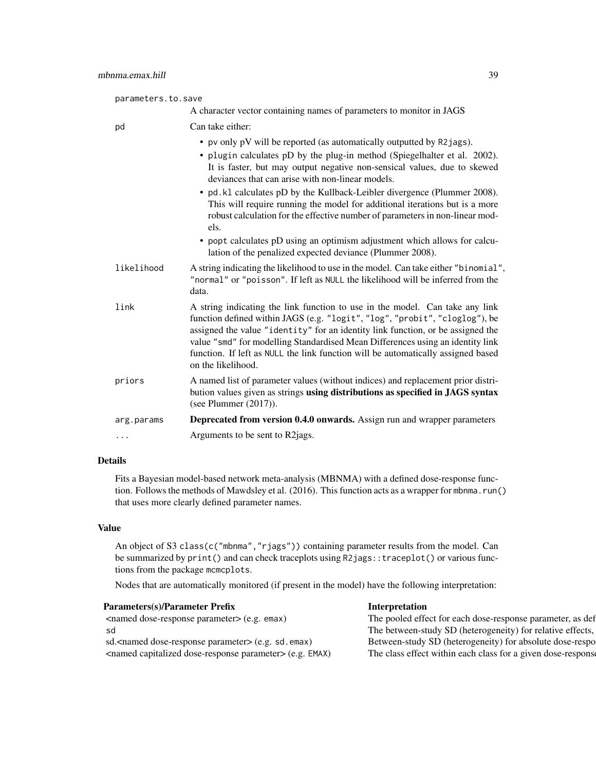| parameters.to.save |                                                                                                                                                                                                                                                                                                                                                                                                                                            |
|--------------------|--------------------------------------------------------------------------------------------------------------------------------------------------------------------------------------------------------------------------------------------------------------------------------------------------------------------------------------------------------------------------------------------------------------------------------------------|
|                    | A character vector containing names of parameters to monitor in JAGS                                                                                                                                                                                                                                                                                                                                                                       |
| pd                 | Can take either:                                                                                                                                                                                                                                                                                                                                                                                                                           |
|                    | • pv only pV will be reported (as automatically outputted by R2jags).                                                                                                                                                                                                                                                                                                                                                                      |
|                    | • plugin calculates pD by the plug-in method (Spiegelhalter et al. 2002).<br>It is faster, but may output negative non-sensical values, due to skewed<br>deviances that can arise with non-linear models.                                                                                                                                                                                                                                  |
|                    | • pd. k1 calculates pD by the Kullback-Leibler divergence (Plummer 2008).<br>This will require running the model for additional iterations but is a more<br>robust calculation for the effective number of parameters in non-linear mod-<br>els.                                                                                                                                                                                           |
|                    | • popt calculates pD using an optimism adjustment which allows for calcu-<br>lation of the penalized expected deviance (Plummer 2008).                                                                                                                                                                                                                                                                                                     |
| likelihood         | A string indicating the likelihood to use in the model. Can take either "binomial",<br>"normal" or "poisson". If left as NULL the likelihood will be inferred from the<br>data.                                                                                                                                                                                                                                                            |
| link               | A string indicating the link function to use in the model. Can take any link<br>function defined within JAGS (e.g. "logit", "log", "probit", "cloglog"), be<br>assigned the value "identity" for an identity link function, or be assigned the<br>value "smd" for modelling Standardised Mean Differences using an identity link<br>function. If left as NULL the link function will be automatically assigned based<br>on the likelihood. |
| priors             | A named list of parameter values (without indices) and replacement prior distri-<br>bution values given as strings using distributions as specified in JAGS syntax<br>(see Plummer $(2017)$ ).                                                                                                                                                                                                                                             |
| arg.params         | Deprecated from version 0.4.0 onwards. Assign run and wrapper parameters                                                                                                                                                                                                                                                                                                                                                                   |
| .                  | Arguments to be sent to R2 jags.                                                                                                                                                                                                                                                                                                                                                                                                           |

Fits a Bayesian model-based network meta-analysis (MBNMA) with a defined dose-response function. Follows the methods of Mawdsley et al. (2016). This function acts as a wrapper for mbnma.run() that uses more clearly defined parameter names.

#### Value

An object of S3 class(c("mbnma", "rjags")) containing parameter results from the model. Can be summarized by print() and can check traceplots using R2jags:: traceplot() or various functions from the package mcmcplots.

Nodes that are automatically monitored (if present in the model) have the following interpretation:

| <b>Parameters(s)/Parameter Prefix</b>                                                          | Interpretation                                               |
|------------------------------------------------------------------------------------------------|--------------------------------------------------------------|
| $\epsilon$ <named <math="" dose-response="" parameter="">(\epsilon, g, \epsilon) emax)</named> | The pooled effect for each dose-response parameter, as def   |
|                                                                                                | The between-study SD (heterogeneity) for relative effects,   |
| sd. <named dose-response="" parameter=""> (e.g. sd. emax)</named>                              | Between-study SD (heterogeneity) for absolute dose-respo     |
| <named capitalized="" dose-response="" parameter=""> (e.g. EMAX)</named>                       | The class effect within each class for a given dose-response |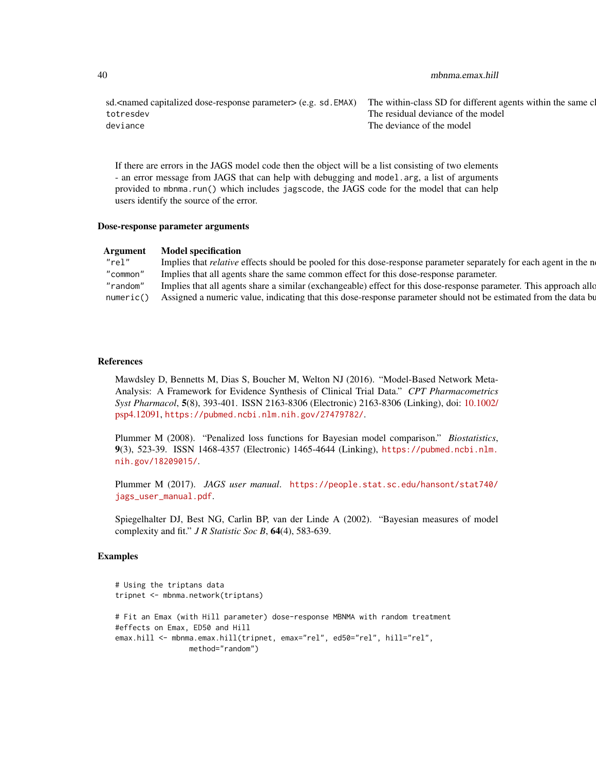| 40 | mbnma.emax.hill |
|----|-----------------|
|----|-----------------|

sd.<named capitalized dose-response parameter> (e.g. sd. EMAX) The within-class SD for different agents within the same c totresdev The residual deviance of the model deviance deviation of the model of the model of the model of the model of the model of the model

If there are errors in the JAGS model code then the object will be a list consisting of two elements - an error message from JAGS that can help with debugging and model.arg, a list of arguments provided to mbnma.run() which includes jagscode, the JAGS code for the model that can help users identify the source of the error.

#### Dose-response parameter arguments

| Argument | <b>Model specification</b>                                                                                                  |
|----------|-----------------------------------------------------------------------------------------------------------------------------|
| "rel"    | Implies that <i>relative</i> effects should be pooled for this dose-response parameter separately for each agent in the n   |
|          | "common" Implies that all agents share the same common effect for this dose-response parameter.                             |
|          | "random" Implies that all agents share a similar (exchangeable) effect for this dose-response parameter. This approach allo |
|          | numeric() Assigned a numeric value, indicating that this dose-response parameter should not be estimated from the data bu   |

#### References

Mawdsley D, Bennetts M, Dias S, Boucher M, Welton NJ (2016). "Model-Based Network Meta-Analysis: A Framework for Evidence Synthesis of Clinical Trial Data." *CPT Pharmacometrics Syst Pharmacol*, 5(8), 393-401. ISSN 2163-8306 (Electronic) 2163-8306 (Linking), doi: [10.1002/](https://doi.org/10.1002/psp4.12091) [psp4.12091,](https://doi.org/10.1002/psp4.12091) <https://pubmed.ncbi.nlm.nih.gov/27479782/>.

Plummer M (2008). "Penalized loss functions for Bayesian model comparison." *Biostatistics*, 9(3), 523-39. ISSN 1468-4357 (Electronic) 1465-4644 (Linking), [https://pubmed.ncbi.nlm.](https://pubmed.ncbi.nlm.nih.gov/18209015/) [nih.gov/18209015/](https://pubmed.ncbi.nlm.nih.gov/18209015/).

Plummer M (2017). *JAGS user manual*. [https://people.stat.sc.edu/hansont/stat740/](https://people.stat.sc.edu/hansont/stat740/jags_user_manual.pdf) [jags\\_user\\_manual.pdf](https://people.stat.sc.edu/hansont/stat740/jags_user_manual.pdf).

Spiegelhalter DJ, Best NG, Carlin BP, van der Linde A (2002). "Bayesian measures of model complexity and fit." *J R Statistic Soc B*, 64(4), 583-639.

### Examples

```
# Using the triptans data
tripnet <- mbnma.network(triptans)
# Fit an Emax (with Hill parameter) dose-response MBNMA with random treatment
#effects on Emax, ED50 and Hill
emax.hill <- mbnma.emax.hill(tripnet, emax="rel", ed50="rel", hill="rel",
                method="random")
```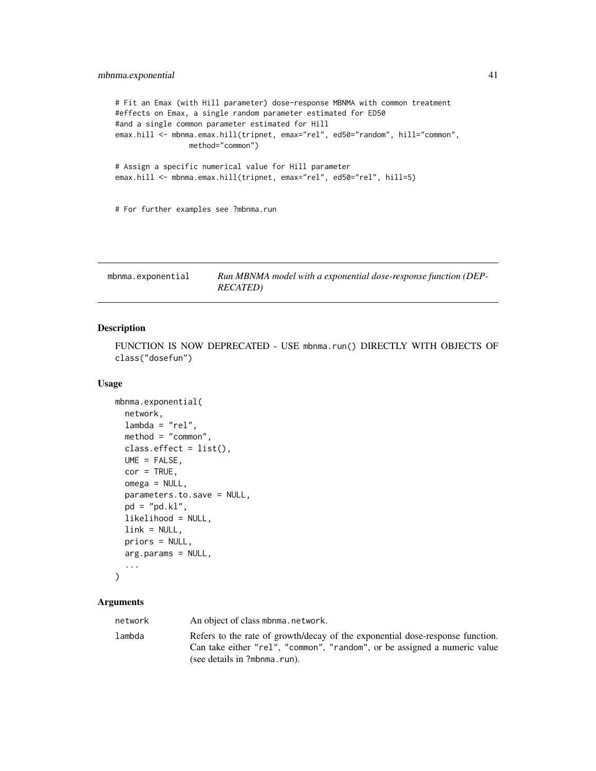```
# Fit an Emax (with Hill parameter) dose-response MBNMA with common treatment
#effects on Emax, a single random parameter estimated for ED50
#and a single common parameter estimated for Hill
emax.hill <- mbnma.emax.hill(tripnet, emax="rel", ed50="random", hill="common",
                method="common")
# Assign a specific numerical value for Hill parameter
emax.hill <- mbnma.emax.hill(tripnet, emax="rel", ed50="rel", hill=5)
# For further examples see ?mbnma.run
```
mbnma.exponential *Run MBNMA model with a exponential dose-response function (DEP-RECATED)*

#### Description

FUNCTION IS NOW DEPRECATED - USE mbnma.run() DIRECTLY WITH OBJECTS OF class("dosefun")

#### Usage

```
mbnma.exponential(
 network,
  lambda = "rel",method = "common",
 class.effect = list(),
 UME = FALSE,
  cor = TRUE,omega = NULL,
 parameters.to.save = NULL,
 pd = "pd.kl",likelihood = NULL,
  link = NULL,priors = NULL,
 arg.params = NULL,
  ...
)
```
# Arguments

network An object of class mbnma.network. lambda Refers to the rate of growth/decay of the exponential dose-response function.

Can take either "rel", "common", "random", or be assigned a numeric value (see details in ?mbnma.run).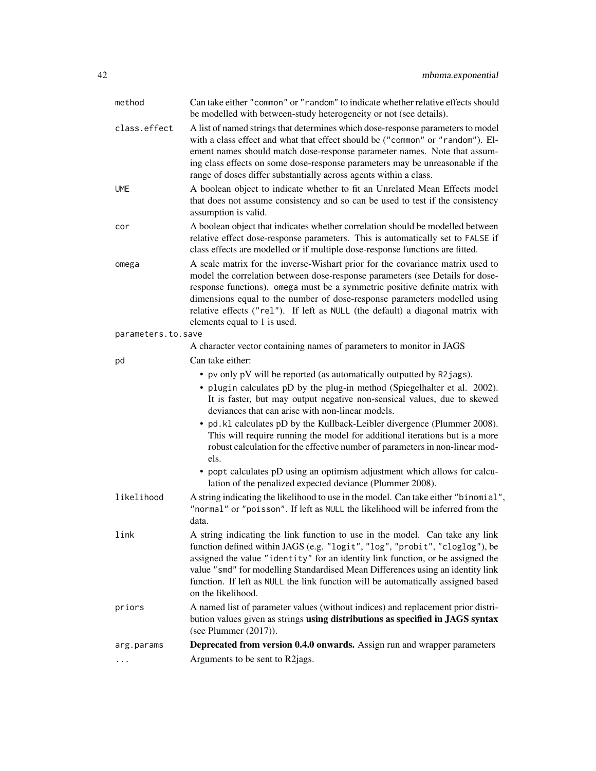| $\cdots$           | Arguments to be sent to R2jags.                                                                                                                                                                                                                                                                                                                                                                                                                                                                                                                                                                                                                                                                                                                                         |
|--------------------|-------------------------------------------------------------------------------------------------------------------------------------------------------------------------------------------------------------------------------------------------------------------------------------------------------------------------------------------------------------------------------------------------------------------------------------------------------------------------------------------------------------------------------------------------------------------------------------------------------------------------------------------------------------------------------------------------------------------------------------------------------------------------|
| arg.params         | Deprecated from version 0.4.0 onwards. Assign run and wrapper parameters                                                                                                                                                                                                                                                                                                                                                                                                                                                                                                                                                                                                                                                                                                |
| priors             | A named list of parameter values (without indices) and replacement prior distri-<br>bution values given as strings using distributions as specified in JAGS syntax<br>(see Plummer $(2017)$ ).                                                                                                                                                                                                                                                                                                                                                                                                                                                                                                                                                                          |
| link               | A string indicating the link function to use in the model. Can take any link<br>function defined within JAGS (e.g. "logit", "log", "probit", "cloglog"), be<br>assigned the value "identity" for an identity link function, or be assigned the<br>value "smd" for modelling Standardised Mean Differences using an identity link<br>function. If left as NULL the link function will be automatically assigned based<br>on the likelihood.                                                                                                                                                                                                                                                                                                                              |
|                    | "normal" or "poisson". If left as NULL the likelihood will be inferred from the<br>data.                                                                                                                                                                                                                                                                                                                                                                                                                                                                                                                                                                                                                                                                                |
| likelihood         | • pv only pV will be reported (as automatically outputted by R2jags).<br>• plugin calculates pD by the plug-in method (Spiegelhalter et al. 2002).<br>It is faster, but may output negative non-sensical values, due to skewed<br>deviances that can arise with non-linear models.<br>• pd. k1 calculates pD by the Kullback-Leibler divergence (Plummer 2008).<br>This will require running the model for additional iterations but is a more<br>robust calculation for the effective number of parameters in non-linear mod-<br>els.<br>• popt calculates pD using an optimism adjustment which allows for calcu-<br>lation of the penalized expected deviance (Plummer 2008).<br>A string indicating the likelihood to use in the model. Can take either "binomial", |
| pd                 | Can take either:                                                                                                                                                                                                                                                                                                                                                                                                                                                                                                                                                                                                                                                                                                                                                        |
|                    | A character vector containing names of parameters to monitor in JAGS                                                                                                                                                                                                                                                                                                                                                                                                                                                                                                                                                                                                                                                                                                    |
| parameters.to.save | elements equal to 1 is used.                                                                                                                                                                                                                                                                                                                                                                                                                                                                                                                                                                                                                                                                                                                                            |
| omega              | A scale matrix for the inverse-Wishart prior for the covariance matrix used to<br>model the correlation between dose-response parameters (see Details for dose-<br>response functions). omega must be a symmetric positive definite matrix with<br>dimensions equal to the number of dose-response parameters modelled using<br>relative effects ("rel"). If left as NULL (the default) a diagonal matrix with                                                                                                                                                                                                                                                                                                                                                          |
| cor                | A boolean object that indicates whether correlation should be modelled between<br>relative effect dose-response parameters. This is automatically set to FALSE if<br>class effects are modelled or if multiple dose-response functions are fitted.                                                                                                                                                                                                                                                                                                                                                                                                                                                                                                                      |
| <b>UME</b>         | A boolean object to indicate whether to fit an Unrelated Mean Effects model<br>that does not assume consistency and so can be used to test if the consistency<br>assumption is valid.                                                                                                                                                                                                                                                                                                                                                                                                                                                                                                                                                                                   |
| class.effect       | A list of named strings that determines which dose-response parameters to model<br>with a class effect and what that effect should be ("common" or "random"). El-<br>ement names should match dose-response parameter names. Note that assum-<br>ing class effects on some dose-response parameters may be unreasonable if the<br>range of doses differ substantially across agents within a class.                                                                                                                                                                                                                                                                                                                                                                     |
| method             | Can take either "common" or "random" to indicate whether relative effects should<br>be modelled with between-study heterogeneity or not (see details).                                                                                                                                                                                                                                                                                                                                                                                                                                                                                                                                                                                                                  |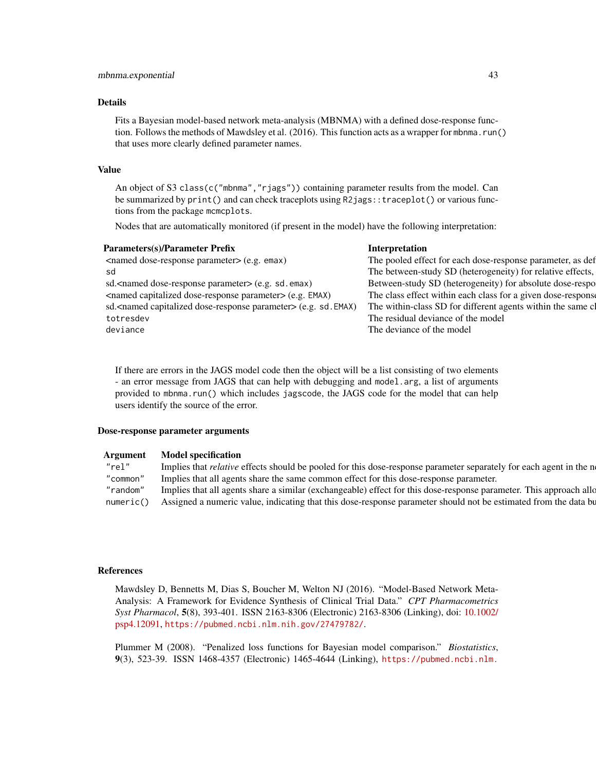Fits a Bayesian model-based network meta-analysis (MBNMA) with a defined dose-response function. Follows the methods of Mawdsley et al. (2016). This function acts as a wrapper for mbnma.run() that uses more clearly defined parameter names.

#### Value

An object of S3 class(c("mbnma", "rjags")) containing parameter results from the model. Can be summarized by print() and can check traceplots using R2jags::traceplot() or various functions from the package mcmcplots.

Nodes that are automatically monitored (if present in the model) have the following interpretation:

| <b>Parameters(s)/Parameter Prefix</b>                                            | Interpretation                                               |
|----------------------------------------------------------------------------------|--------------------------------------------------------------|
| <named dose-response="" parameter=""> (e.g. emax)</named>                        | The pooled effect for each dose-response parameter, as def   |
| sd                                                                               | The between-study SD (heterogeneity) for relative effects,   |
| sd. <named dose-response="" parameter=""> (e.g. sd. emax)</named>                | Between-study SD (heterogeneity) for absolute dose-respo     |
| <named capitalized="" dose-response="" parameter=""> (e.g. EMAX)</named>         | The class effect within each class for a given dose-response |
| sd. <named capitalized="" dose-response="" parameter=""> (e.g. sd. EMAX)</named> | The within-class SD for different agents within the same cl  |
| totresdev                                                                        | The residual deviance of the model                           |
| deviance                                                                         | The deviance of the model                                    |
|                                                                                  |                                                              |

If there are errors in the JAGS model code then the object will be a list consisting of two elements - an error message from JAGS that can help with debugging and model.arg, a list of arguments provided to mbnma.run() which includes jagscode, the JAGS code for the model that can help users identify the source of the error.

#### Dose-response parameter arguments

| Argument | <b>Model specification</b>                                                                                                  |
|----------|-----------------------------------------------------------------------------------------------------------------------------|
| "rel"    | Implies that <i>relative</i> effects should be pooled for this dose-response parameter separately for each agent in the n   |
| "common" | Implies that all agents share the same common effect for this dose-response parameter.                                      |
|          | "random" Implies that all agents share a similar (exchangeable) effect for this dose-response parameter. This approach allo |
|          | numeric() Assigned a numeric value, indicating that this dose-response parameter should not be estimated from the data bu   |
|          |                                                                                                                             |

#### References

Mawdsley D, Bennetts M, Dias S, Boucher M, Welton NJ (2016). "Model-Based Network Meta-Analysis: A Framework for Evidence Synthesis of Clinical Trial Data." *CPT Pharmacometrics Syst Pharmacol*, 5(8), 393-401. ISSN 2163-8306 (Electronic) 2163-8306 (Linking), doi: [10.1002/](https://doi.org/10.1002/psp4.12091) [psp4.12091,](https://doi.org/10.1002/psp4.12091) <https://pubmed.ncbi.nlm.nih.gov/27479782/>.

Plummer M (2008). "Penalized loss functions for Bayesian model comparison." *Biostatistics*, 9(3), 523-39. ISSN 1468-4357 (Electronic) 1465-4644 (Linking), [https://pubmed.ncbi.nlm.](https://pubmed.ncbi.nlm.nih.gov/18209015/)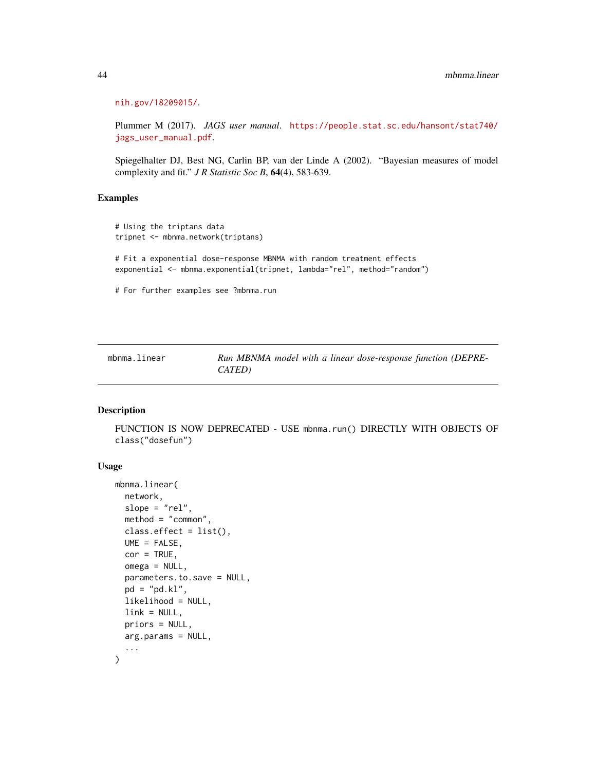```
nih.gov/18209015/.
```
Plummer M (2017). *JAGS user manual*. [https://people.stat.sc.edu/hansont/stat740/](https://people.stat.sc.edu/hansont/stat740/jags_user_manual.pdf) [jags\\_user\\_manual.pdf](https://people.stat.sc.edu/hansont/stat740/jags_user_manual.pdf).

Spiegelhalter DJ, Best NG, Carlin BP, van der Linde A (2002). "Bayesian measures of model complexity and fit." *J R Statistic Soc B*, 64(4), 583-639.

## Examples

```
# Using the triptans data
tripnet <- mbnma.network(triptans)
# Fit a exponential dose-response MBNMA with random treatment effects
exponential <- mbnma.exponential(tripnet, lambda="rel", method="random")
# For further examples see ?mbnma.run
```

| mbnma.linear | Run MBNMA model with a linear dose-response function (DEPRE- |
|--------------|--------------------------------------------------------------|
|              | CATED)                                                       |

#### Description

FUNCTION IS NOW DEPRECATED - USE mbnma.run() DIRECTLY WITH OBJECTS OF class("dosefun")

#### Usage

```
mbnma.linear(
  network,
  slope = "rel",
  method = "common",
  class. effect = list(),
 UME = FALSE,
  cor = TRUE,omega = NULL,
  parameters.to.save = NULL,
 pd = "pd.kl",likelihood = NULL,
  link = NULL,
 priors = NULL,
 arg.params = NULL,
  ...
)
```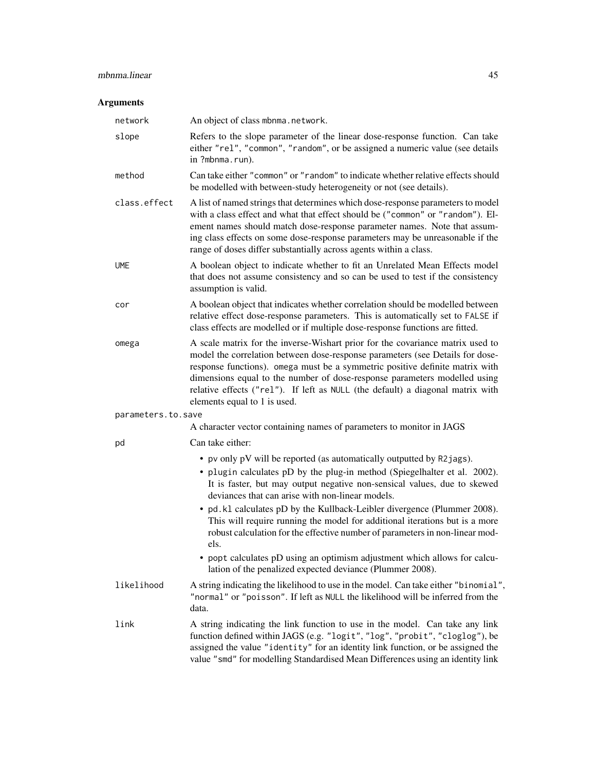## mbnma.linear 45

| network            | An object of class mbnma.network.                                                                                                                                                                                                                                                                                                                                                                                                              |
|--------------------|------------------------------------------------------------------------------------------------------------------------------------------------------------------------------------------------------------------------------------------------------------------------------------------------------------------------------------------------------------------------------------------------------------------------------------------------|
| slope              | Refers to the slope parameter of the linear dose-response function. Can take<br>either "rel", "common", "random", or be assigned a numeric value (see details<br>in ?mbnma.run).                                                                                                                                                                                                                                                               |
| method             | Can take either "common" or "random" to indicate whether relative effects should<br>be modelled with between-study heterogeneity or not (see details).                                                                                                                                                                                                                                                                                         |
| class.effect       | A list of named strings that determines which dose-response parameters to model<br>with a class effect and what that effect should be ("common" or "random"). El-<br>ement names should match dose-response parameter names. Note that assum-<br>ing class effects on some dose-response parameters may be unreasonable if the<br>range of doses differ substantially across agents within a class.                                            |
| <b>UME</b>         | A boolean object to indicate whether to fit an Unrelated Mean Effects model<br>that does not assume consistency and so can be used to test if the consistency<br>assumption is valid.                                                                                                                                                                                                                                                          |
| cor                | A boolean object that indicates whether correlation should be modelled between<br>relative effect dose-response parameters. This is automatically set to FALSE if<br>class effects are modelled or if multiple dose-response functions are fitted.                                                                                                                                                                                             |
| omega              | A scale matrix for the inverse-Wishart prior for the covariance matrix used to<br>model the correlation between dose-response parameters (see Details for dose-<br>response functions). omega must be a symmetric positive definite matrix with<br>dimensions equal to the number of dose-response parameters modelled using<br>relative effects ("rel"). If left as NULL (the default) a diagonal matrix with<br>elements equal to 1 is used. |
| parameters.to.save |                                                                                                                                                                                                                                                                                                                                                                                                                                                |
|                    | A character vector containing names of parameters to monitor in JAGS                                                                                                                                                                                                                                                                                                                                                                           |
| pd                 | Can take either:                                                                                                                                                                                                                                                                                                                                                                                                                               |
|                    | • pv only pV will be reported (as automatically outputted by R2jags).<br>• plugin calculates pD by the plug-in method (Spiegelhalter et al. 2002).<br>It is faster, but may output negative non-sensical values, due to skewed<br>deviances that can arise with non-linear models.                                                                                                                                                             |
|                    | • pd. k1 calculates pD by the Kullback-Leibler divergence (Plummer 2008).<br>This will require running the model for additional iterations but is a more<br>robust calculation for the effective number of parameters in non-linear mod-<br>els.                                                                                                                                                                                               |
|                    | • popt calculates pD using an optimism adjustment which allows for calcu-<br>lation of the penalized expected deviance (Plummer 2008).                                                                                                                                                                                                                                                                                                         |
| likelihood         | A string indicating the likelihood to use in the model. Can take either "binomial",<br>"normal" or "poisson". If left as NULL the likelihood will be inferred from the<br>data.                                                                                                                                                                                                                                                                |
| link               | A string indicating the link function to use in the model. Can take any link<br>function defined within JAGS (e.g. "logit", "log", "probit", "cloglog"), be<br>assigned the value "identity" for an identity link function, or be assigned the<br>value "smd" for modelling Standardised Mean Differences using an identity link                                                                                                               |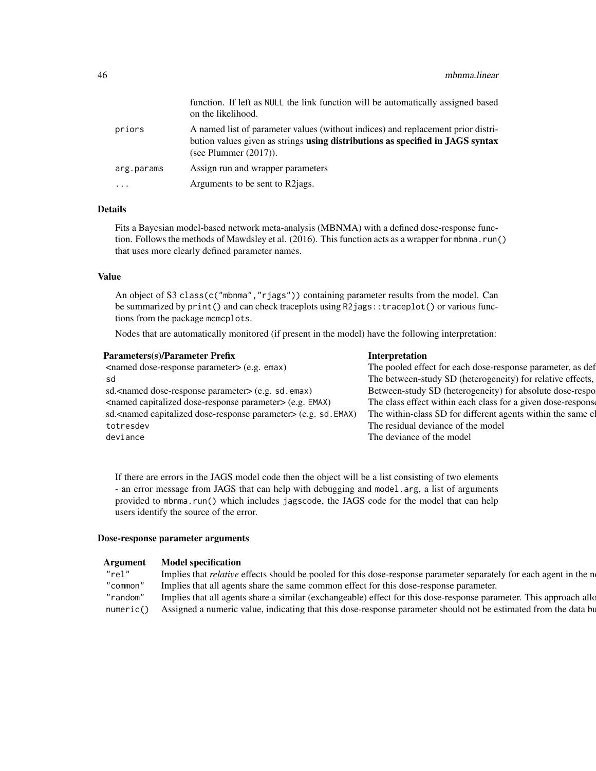|            | function. If left as NULL the link function will be automatically assigned based<br>on the likelihood.                                                                                         |
|------------|------------------------------------------------------------------------------------------------------------------------------------------------------------------------------------------------|
| priors     | A named list of parameter values (without indices) and replacement prior distri-<br>bution values given as strings using distributions as specified in JAGS syntax<br>(see Plummer $(2017)$ ). |
| arg.params | Assign run and wrapper parameters                                                                                                                                                              |
| $\cdots$   | Arguments to be sent to R2 jags.                                                                                                                                                               |

Fits a Bayesian model-based network meta-analysis (MBNMA) with a defined dose-response function. Follows the methods of Mawdsley et al. (2016). This function acts as a wrapper for mbnma.run() that uses more clearly defined parameter names.

#### Value

An object of S3 class(c("mbnma", "rjags")) containing parameter results from the model. Can be summarized by print() and can check traceplots using R2jags::traceplot() or various functions from the package mcmcplots.

Nodes that are automatically monitored (if present in the model) have the following interpretation:

| Interpretation                                               |
|--------------------------------------------------------------|
| The pooled effect for each dose-response parameter, as def   |
| The between-study SD (heterogeneity) for relative effects,   |
| Between-study SD (heterogeneity) for absolute dose-respo     |
| The class effect within each class for a given dose-response |
| The within-class SD for different agents within the same cl  |
| The residual deviance of the model                           |
| The deviance of the model                                    |
|                                                              |

If there are errors in the JAGS model code then the object will be a list consisting of two elements - an error message from JAGS that can help with debugging and model.arg, a list of arguments provided to mbnma.run() which includes jagscode, the JAGS code for the model that can help users identify the source of the error.

#### Dose-response parameter arguments

| <b>Argument</b> | <b>Model specification</b> |
|-----------------|----------------------------|
|                 |                            |

| "rel" | Implies that <i>relative</i> effects should be pooled for this dose-response parameter separately for each agent in the n   |  |
|-------|-----------------------------------------------------------------------------------------------------------------------------|--|
|       | "common" Implies that all agents share the same common effect for this dose-response parameter.                             |  |
|       | "random" Implies that all agents share a similar (exchangeable) effect for this dose-response parameter. This approach allo |  |
|       | numeric() Assigned a numeric value, indicating that this dose-response parameter should not be estimated from the data bu   |  |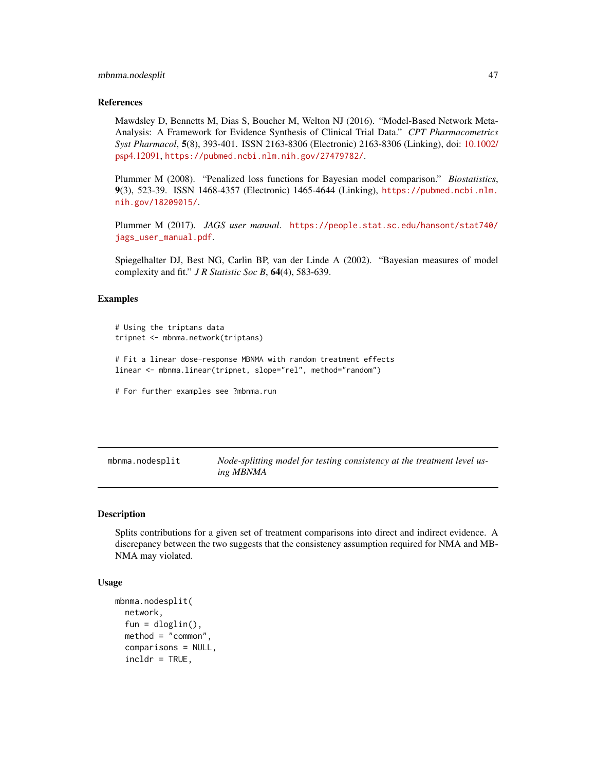#### mbnma.nodesplit 47

#### References

Mawdsley D, Bennetts M, Dias S, Boucher M, Welton NJ (2016). "Model-Based Network Meta-Analysis: A Framework for Evidence Synthesis of Clinical Trial Data." *CPT Pharmacometrics Syst Pharmacol*, 5(8), 393-401. ISSN 2163-8306 (Electronic) 2163-8306 (Linking), doi: [10.1002/](https://doi.org/10.1002/psp4.12091) [psp4.12091,](https://doi.org/10.1002/psp4.12091) <https://pubmed.ncbi.nlm.nih.gov/27479782/>.

Plummer M (2008). "Penalized loss functions for Bayesian model comparison." *Biostatistics*, 9(3), 523-39. ISSN 1468-4357 (Electronic) 1465-4644 (Linking), [https://pubmed.ncbi.nlm.](https://pubmed.ncbi.nlm.nih.gov/18209015/) [nih.gov/18209015/](https://pubmed.ncbi.nlm.nih.gov/18209015/).

Plummer M (2017). *JAGS user manual*. [https://people.stat.sc.edu/hansont/stat740/](https://people.stat.sc.edu/hansont/stat740/jags_user_manual.pdf) [jags\\_user\\_manual.pdf](https://people.stat.sc.edu/hansont/stat740/jags_user_manual.pdf).

Spiegelhalter DJ, Best NG, Carlin BP, van der Linde A (2002). "Bayesian measures of model complexity and fit." *J R Statistic Soc B*, 64(4), 583-639.

#### Examples

```
# Using the triptans data
tripnet <- mbnma.network(triptans)
# Fit a linear dose-response MBNMA with random treatment effects
linear <- mbnma.linear(tripnet, slope="rel", method="random")
# For further examples see ?mbnma.run
```
mbnma.nodesplit *Node-splitting model for testing consistency at the treatment level using MBNMA*

#### Description

Splits contributions for a given set of treatment comparisons into direct and indirect evidence. A discrepancy between the two suggests that the consistency assumption required for NMA and MB-NMA may violated.

#### Usage

```
mbnma.nodesplit(
  network,
  fun = dloglin(),
  \mathsf{method} = "common",comparisons = NULL,
  incldr = TRUE,
```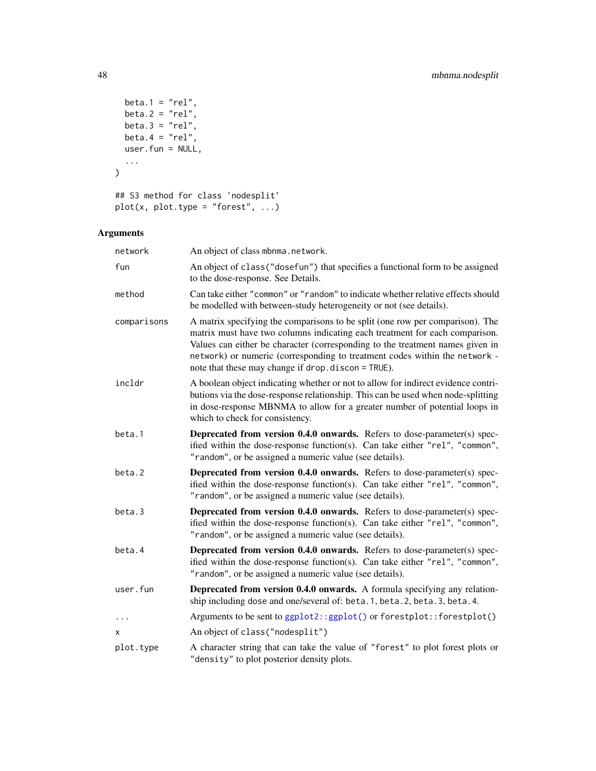```
beta.1 = "rel",beta.2 = "rel",beta.3 = "rel",
 beta.4 = "rel",user.fun = NULL,
  ...
\mathcal{L}## S3 method for class 'nodesplit'
plot(x, plot_type = "forest", ...)
```

| network     | An object of class mbnma.network.                                                                                                                                                                                                                                                                                                                                                 |
|-------------|-----------------------------------------------------------------------------------------------------------------------------------------------------------------------------------------------------------------------------------------------------------------------------------------------------------------------------------------------------------------------------------|
| fun         | An object of class ("dosefun") that specifies a functional form to be assigned<br>to the dose-response. See Details.                                                                                                                                                                                                                                                              |
| method      | Can take either "common" or "random" to indicate whether relative effects should<br>be modelled with between-study heterogeneity or not (see details).                                                                                                                                                                                                                            |
| comparisons | A matrix specifying the comparisons to be split (one row per comparison). The<br>matrix must have two columns indicating each treatment for each comparison.<br>Values can either be character (corresponding to the treatment names given in<br>network) or numeric (corresponding to treatment codes within the network -<br>note that these may change if drop.discon = TRUE). |
| incldr      | A boolean object indicating whether or not to allow for indirect evidence contri-<br>butions via the dose-response relationship. This can be used when node-splitting<br>in dose-response MBNMA to allow for a greater number of potential loops in<br>which to check for consistency.                                                                                            |
| beta.1      | Deprecated from version 0.4.0 onwards. Refers to dose-parameter(s) spec-<br>ified within the dose-response function(s). Can take either "rel", "common",<br>"random", or be assigned a numeric value (see details).                                                                                                                                                               |
| beta.2      | Deprecated from version 0.4.0 onwards. Refers to dose-parameter(s) spec-<br>ified within the dose-response function(s). Can take either "rel", "common",<br>"random", or be assigned a numeric value (see details).                                                                                                                                                               |
| beta.3      | Deprecated from version 0.4.0 onwards. Refers to dose-parameter(s) spec-<br>ified within the dose-response function(s). Can take either "rel", "common",<br>"random", or be assigned a numeric value (see details).                                                                                                                                                               |
| beta.4      | Deprecated from version 0.4.0 onwards. Refers to dose-parameter(s) spec-<br>ified within the dose-response function(s). Can take either "rel", "common",<br>"random", or be assigned a numeric value (see details).                                                                                                                                                               |
| user.fun    | Deprecated from version 0.4.0 onwards. A formula specifying any relation-<br>ship including dose and one/several of: beta.1, beta.2, beta.3, beta.4.                                                                                                                                                                                                                              |
| $\ddots$    | Arguments to be sent to ggplot2::ggplot() or forestplot::forestplot()                                                                                                                                                                                                                                                                                                             |
| x           | An object of class ("nodesplit")                                                                                                                                                                                                                                                                                                                                                  |
| plot.type   | A character string that can take the value of "forest" to plot forest plots or<br>"density" to plot posterior density plots.                                                                                                                                                                                                                                                      |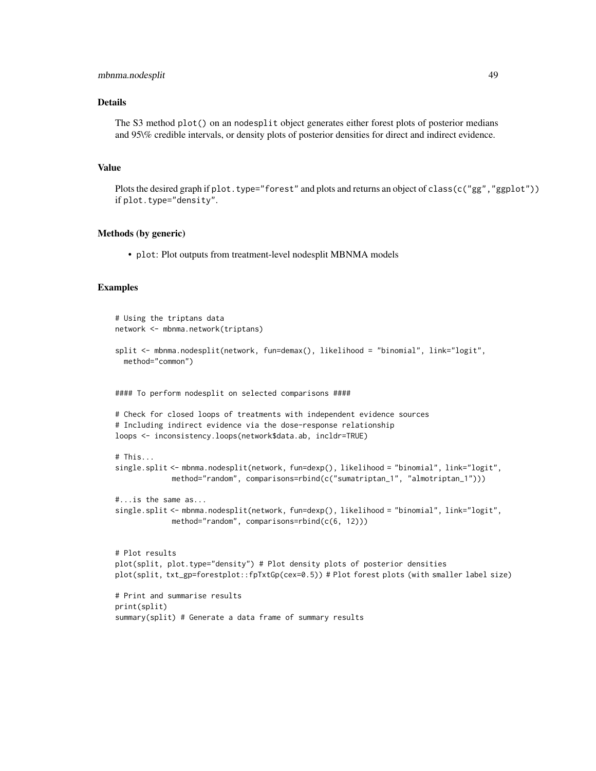### mbnma.nodesplit 49

## Details

The S3 method plot() on an nodesplit object generates either forest plots of posterior medians and 95\% credible intervals, or density plots of posterior densities for direct and indirect evidence.

## Value

Plots the desired graph if plot.type="forest" and plots and returns an object of class(c("gg","ggplot")) if plot.type="density".

#### Methods (by generic)

• plot: Plot outputs from treatment-level nodesplit MBNMA models

#### Examples

```
# Using the triptans data
network <- mbnma.network(triptans)
split <- mbnma.nodesplit(network, fun=demax(), likelihood = "binomial", link="logit",
  method="common")
#### To perform nodesplit on selected comparisons ####
# Check for closed loops of treatments with independent evidence sources
# Including indirect evidence via the dose-response relationship
loops <- inconsistency.loops(network$data.ab, incldr=TRUE)
# This...
single.split <- mbnma.nodesplit(network, fun=dexp(), likelihood = "binomial", link="logit",
             method="random", comparisons=rbind(c("sumatriptan_1", "almotriptan_1")))
#...is the same as...
single.split <- mbnma.nodesplit(network, fun=dexp(), likelihood = "binomial", link="logit",
             method="random", comparisons=rbind(c(6, 12)))
# Plot results
plot(split, plot.type="density") # Plot density plots of posterior densities
plot(split, txt_gp=forestplot::fpTxtGp(cex=0.5)) # Plot forest plots (with smaller label size)
# Print and summarise results
print(split)
summary(split) # Generate a data frame of summary results
```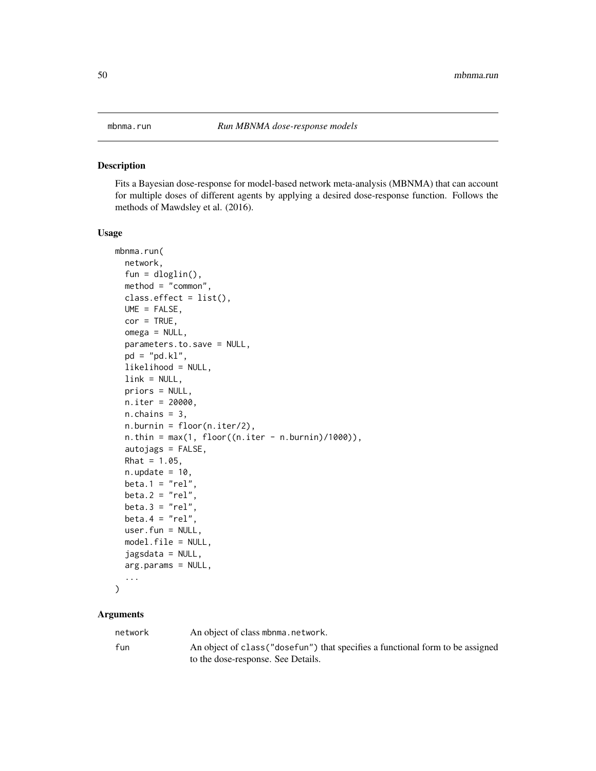## Description

Fits a Bayesian dose-response for model-based network meta-analysis (MBNMA) that can account for multiple doses of different agents by applying a desired dose-response function. Follows the methods of Mawdsley et al. (2016).

#### Usage

```
mbnma.run(
 network,
  fun = dloglin(),
 method = "common",
  class. effect = list(),UME = FALSE,
  cor = TRUE,omega = NULL,
  parameters.to.save = NULL,
 pd = "pd.kl",likelihood = NULL,
  link = NULL,
 priors = NULL,
 n.iter = 20000,
 n.chains = 3.n.burnin = floor(n.iter/2),
  n.thin = max(1, floor((n.iter - n.burnin)/1000)),autojags = FALSE,
 Rhat = 1.05,
 n.update = 10,
 beta.1 = "rel",beta.2 = "rel",
 beta.3 = "rel",beta.4 = "rel",
 user.fun = NULL,
 model.file = NULL,
  jagsdata = NULL,
  arg.params = NULL,
  ...
\mathcal{L}
```

| network | An object of class mbnma.network.                                              |
|---------|--------------------------------------------------------------------------------|
| fun     | An object of class ("dosefun") that specifies a functional form to be assigned |
|         | to the dose-response. See Details.                                             |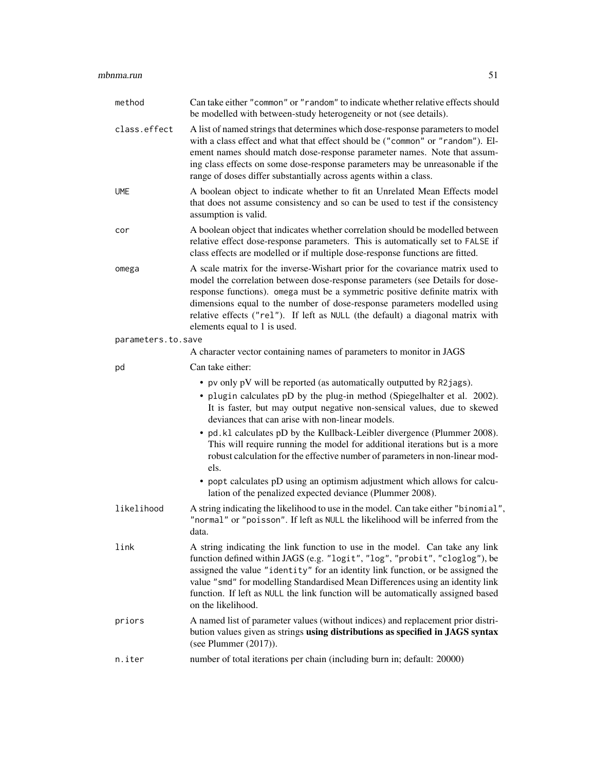## mbnma.run 51

| method             | Can take either "common" or "random" to indicate whether relative effects should<br>be modelled with between-study heterogeneity or not (see details).                                                                                                                                                                                                                                                                                         |  |
|--------------------|------------------------------------------------------------------------------------------------------------------------------------------------------------------------------------------------------------------------------------------------------------------------------------------------------------------------------------------------------------------------------------------------------------------------------------------------|--|
| class.effect       | A list of named strings that determines which dose-response parameters to model<br>with a class effect and what that effect should be ("common" or "random"). El-<br>ement names should match dose-response parameter names. Note that assum-<br>ing class effects on some dose-response parameters may be unreasonable if the<br>range of doses differ substantially across agents within a class.                                            |  |
| <b>UME</b>         | A boolean object to indicate whether to fit an Unrelated Mean Effects model<br>that does not assume consistency and so can be used to test if the consistency<br>assumption is valid.                                                                                                                                                                                                                                                          |  |
| cor                | A boolean object that indicates whether correlation should be modelled between<br>relative effect dose-response parameters. This is automatically set to FALSE if<br>class effects are modelled or if multiple dose-response functions are fitted.                                                                                                                                                                                             |  |
| omega              | A scale matrix for the inverse-Wishart prior for the covariance matrix used to<br>model the correlation between dose-response parameters (see Details for dose-<br>response functions). omega must be a symmetric positive definite matrix with<br>dimensions equal to the number of dose-response parameters modelled using<br>relative effects ("rel"). If left as NULL (the default) a diagonal matrix with<br>elements equal to 1 is used. |  |
| parameters.to.save |                                                                                                                                                                                                                                                                                                                                                                                                                                                |  |
|                    | A character vector containing names of parameters to monitor in JAGS                                                                                                                                                                                                                                                                                                                                                                           |  |
| pd                 | Can take either:                                                                                                                                                                                                                                                                                                                                                                                                                               |  |
|                    | • pv only pV will be reported (as automatically outputted by R2jags).<br>• plugin calculates pD by the plug-in method (Spiegelhalter et al. 2002).<br>It is faster, but may output negative non-sensical values, due to skewed<br>deviances that can arise with non-linear models.                                                                                                                                                             |  |
|                    | • pd. k1 calculates pD by the Kullback-Leibler divergence (Plummer 2008).<br>This will require running the model for additional iterations but is a more<br>robust calculation for the effective number of parameters in non-linear mod-<br>els.                                                                                                                                                                                               |  |
|                    | • popt calculates pD using an optimism adjustment which allows for calcu-<br>lation of the penalized expected deviance (Plummer 2008).                                                                                                                                                                                                                                                                                                         |  |
| likelihood         | A string indicating the likelihood to use in the model. Can take either "binomial",<br>"normal" or "poisson". If left as NULL the likelihood will be inferred from the<br>data.                                                                                                                                                                                                                                                                |  |
| link               | A string indicating the link function to use in the model. Can take any link<br>function defined within JAGS (e.g. "logit", "log", "probit", "cloglog"), be<br>assigned the value "identity" for an identity link function, or be assigned the<br>value "smd" for modelling Standardised Mean Differences using an identity link<br>function. If left as NULL the link function will be automatically assigned based<br>on the likelihood.     |  |
| priors             | A named list of parameter values (without indices) and replacement prior distri-<br>bution values given as strings using distributions as specified in JAGS syntax<br>(see Plummer $(2017)$ ).                                                                                                                                                                                                                                                 |  |
| n.iter             | number of total iterations per chain (including burn in; default: 20000)                                                                                                                                                                                                                                                                                                                                                                       |  |
|                    |                                                                                                                                                                                                                                                                                                                                                                                                                                                |  |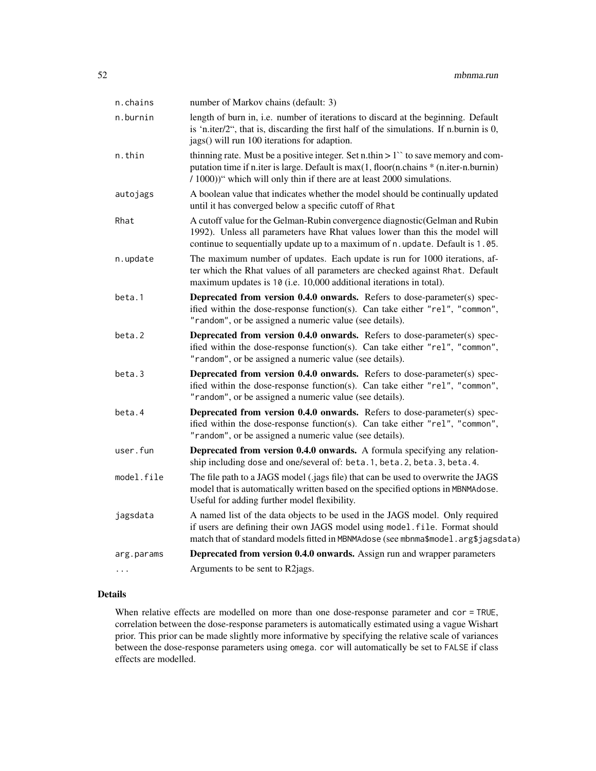| n.chains   | number of Markov chains (default: 3)                                                                                                                                                                                                                      |  |
|------------|-----------------------------------------------------------------------------------------------------------------------------------------------------------------------------------------------------------------------------------------------------------|--|
| n.burnin   | length of burn in, i.e. number of iterations to discard at the beginning. Default<br>is 'n.iter/2", that is, discarding the first half of the simulations. If n.burnin is 0,<br>jags() will run 100 iterations for adaption.                              |  |
| n.thin     | thinning rate. Must be a positive integer. Set n.thin $> 1$ " to save memory and com-<br>putation time if n.iter is large. Default is max(1, floor(n.chains * (n.iter-n.burnin)<br>/ 1000))" which will only thin if there are at least 2000 simulations. |  |
| autojags   | A boolean value that indicates whether the model should be continually updated<br>until it has converged below a specific cutoff of Rhat                                                                                                                  |  |
| Rhat       | A cutoff value for the Gelman-Rubin convergence diagnostic (Gelman and Rubin<br>1992). Unless all parameters have Rhat values lower than this the model will<br>continue to sequentially update up to a maximum of n. update. Default is 1.05.            |  |
| n.update   | The maximum number of updates. Each update is run for 1000 iterations, af-<br>ter which the Rhat values of all parameters are checked against Rhat. Default<br>maximum updates is 10 (i.e. 10,000 additional iterations in total).                        |  |
| beta.1     | Deprecated from version 0.4.0 onwards. Refers to dose-parameter(s) spec-<br>ified within the dose-response function(s). Can take either "rel", "common",<br>"random", or be assigned a numeric value (see details).                                       |  |
| beta.2     | Deprecated from version 0.4.0 onwards. Refers to dose-parameter(s) spec-<br>ified within the dose-response function(s). Can take either "rel", "common",<br>"random", or be assigned a numeric value (see details).                                       |  |
| beta.3     | Deprecated from version 0.4.0 onwards. Refers to dose-parameter(s) spec-<br>ified within the dose-response function(s). Can take either "rel", "common",<br>"random", or be assigned a numeric value (see details).                                       |  |
| beta.4     | Deprecated from version 0.4.0 onwards. Refers to dose-parameter(s) spec-<br>ified within the dose-response function(s). Can take either "rel", "common",<br>"random", or be assigned a numeric value (see details).                                       |  |
| user.fun   | Deprecated from version 0.4.0 onwards. A formula specifying any relation-<br>ship including dose and one/several of: beta.1, beta.2, beta.3, beta.4.                                                                                                      |  |
| model.file | The file path to a JAGS model (.jags file) that can be used to overwrite the JAGS<br>model that is automatically written based on the specified options in MBNMAdose.<br>Useful for adding further model flexibility.                                     |  |
| jagsdata   | A named list of the data objects to be used in the JAGS model. Only required<br>if users are defining their own JAGS model using model. file. Format should<br>match that of standard models fitted in MBNMAdose (see mbnma\$model.arg\$jagsdata)         |  |
| arg.params | Deprecated from version 0.4.0 onwards. Assign run and wrapper parameters                                                                                                                                                                                  |  |
| $\cdots$   | Arguments to be sent to R2jags.                                                                                                                                                                                                                           |  |

When relative effects are modelled on more than one dose-response parameter and cor = TRUE, correlation between the dose-response parameters is automatically estimated using a vague Wishart prior. This prior can be made slightly more informative by specifying the relative scale of variances between the dose-response parameters using omega. cor will automatically be set to FALSE if class effects are modelled.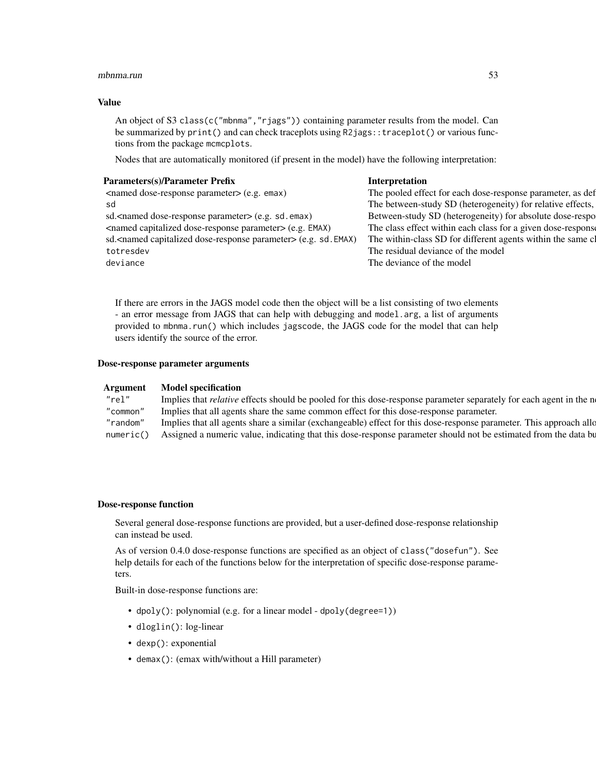#### mbnma.run 53

## Value

An object of S3 class(c("mbnma", "rjags")) containing parameter results from the model. Can be summarized by print() and can check traceplots using R2jags::traceplot() or various functions from the package mcmcplots.

Nodes that are automatically monitored (if present in the model) have the following interpretation:

| Parameters(s)/Parameter Prefix                                                   | Interpretation                                               |
|----------------------------------------------------------------------------------|--------------------------------------------------------------|
| <named dose-response="" parameter=""> (e.g. emax)</named>                        | The pooled effect for each dose-response parameter, as def   |
| sd                                                                               | The between-study SD (heterogeneity) for relative effects,   |
| sd. <named dose-response="" parameter=""> (e.g. sd. emax)</named>                | Between-study SD (heterogeneity) for absolute dose-respo     |
| <named capitalized="" dose-response="" parameter=""> (e.g. EMAX)</named>         | The class effect within each class for a given dose-response |
| sd. <named capitalized="" dose-response="" parameter=""> (e.g. sd. EMAX)</named> | The within-class SD for different agents within the same cl  |
| totresdev                                                                        | The residual deviance of the model                           |
| deviance                                                                         | The deviance of the model                                    |
|                                                                                  |                                                              |
|                                                                                  |                                                              |

If there are errors in the JAGS model code then the object will be a list consisting of two elements - an error message from JAGS that can help with debugging and model.arg, a list of arguments provided to mbnma.run() which includes jagscode, the JAGS code for the model that can help users identify the source of the error.

## Dose-response parameter arguments

| Argument | <b>Model specification</b>                                                                                                  |
|----------|-----------------------------------------------------------------------------------------------------------------------------|
| "rel'    | Implies that <i>relative</i> effects should be pooled for this dose-response parameter separately for each agent in the n   |
| "common" | Implies that all agents share the same common effect for this dose-response parameter.                                      |
|          | "random" Implies that all agents share a similar (exchangeable) effect for this dose-response parameter. This approach allo |
|          | numeric() Assigned a numeric value, indicating that this dose-response parameter should not be estimated from the data bu   |

#### Dose-response function

Several general dose-response functions are provided, but a user-defined dose-response relationship can instead be used.

As of version 0.4.0 dose-response functions are specified as an object of class("dosefun"). See help details for each of the functions below for the interpretation of specific dose-response parameters.

Built-in dose-response functions are:

- dpoly(): polynomial (e.g. for a linear model dpoly(degree=1))
- dloglin(): log-linear
- dexp(): exponential
- demax(): (emax with/without a Hill parameter)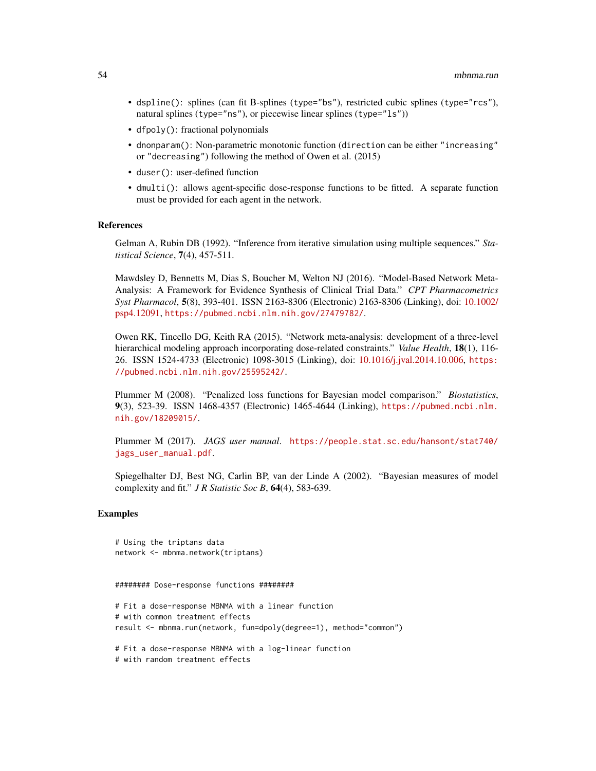- dspline(): splines (can fit B-splines (type="bs"), restricted cubic splines (type="rcs"), natural splines (type="ns"), or piecewise linear splines (type="ls"))
- dfpoly(): fractional polynomials
- dnonparam(): Non-parametric monotonic function (direction can be either "increasing" or "decreasing") following the method of Owen et al. (2015)
- duser(): user-defined function
- dmulti(): allows agent-specific dose-response functions to be fitted. A separate function must be provided for each agent in the network.

#### References

Gelman A, Rubin DB (1992). "Inference from iterative simulation using multiple sequences." *Statistical Science*, 7(4), 457-511.

Mawdsley D, Bennetts M, Dias S, Boucher M, Welton NJ (2016). "Model-Based Network Meta-Analysis: A Framework for Evidence Synthesis of Clinical Trial Data." *CPT Pharmacometrics Syst Pharmacol*, 5(8), 393-401. ISSN 2163-8306 (Electronic) 2163-8306 (Linking), doi: [10.1002/](https://doi.org/10.1002/psp4.12091) [psp4.12091,](https://doi.org/10.1002/psp4.12091) <https://pubmed.ncbi.nlm.nih.gov/27479782/>.

Owen RK, Tincello DG, Keith RA (2015). "Network meta-analysis: development of a three-level hierarchical modeling approach incorporating dose-related constraints." *Value Health*, 18(1), 116- 26. ISSN 1524-4733 (Electronic) 1098-3015 (Linking), doi: [10.1016/j.jval.2014.10.006,](https://doi.org/10.1016/j.jval.2014.10.006) [https:](https://pubmed.ncbi.nlm.nih.gov/25595242/) [//pubmed.ncbi.nlm.nih.gov/25595242/](https://pubmed.ncbi.nlm.nih.gov/25595242/).

Plummer M (2008). "Penalized loss functions for Bayesian model comparison." *Biostatistics*, 9(3), 523-39. ISSN 1468-4357 (Electronic) 1465-4644 (Linking), [https://pubmed.ncbi.nlm.](https://pubmed.ncbi.nlm.nih.gov/18209015/) [nih.gov/18209015/](https://pubmed.ncbi.nlm.nih.gov/18209015/).

Plummer M (2017). *JAGS user manual*. [https://people.stat.sc.edu/hansont/stat740/](https://people.stat.sc.edu/hansont/stat740/jags_user_manual.pdf) [jags\\_user\\_manual.pdf](https://people.stat.sc.edu/hansont/stat740/jags_user_manual.pdf).

Spiegelhalter DJ, Best NG, Carlin BP, van der Linde A (2002). "Bayesian measures of model complexity and fit." *J R Statistic Soc B*, 64(4), 583-639.

#### Examples

```
# Using the triptans data
network <- mbnma.network(triptans)
```
######## Dose-response functions ########

```
# Fit a dose-response MBNMA with a linear function
# with common treatment effects
result <- mbnma.run(network, fun=dpoly(degree=1), method="common")
```
# Fit a dose-response MBNMA with a log-linear function

```
# with random treatment effects
```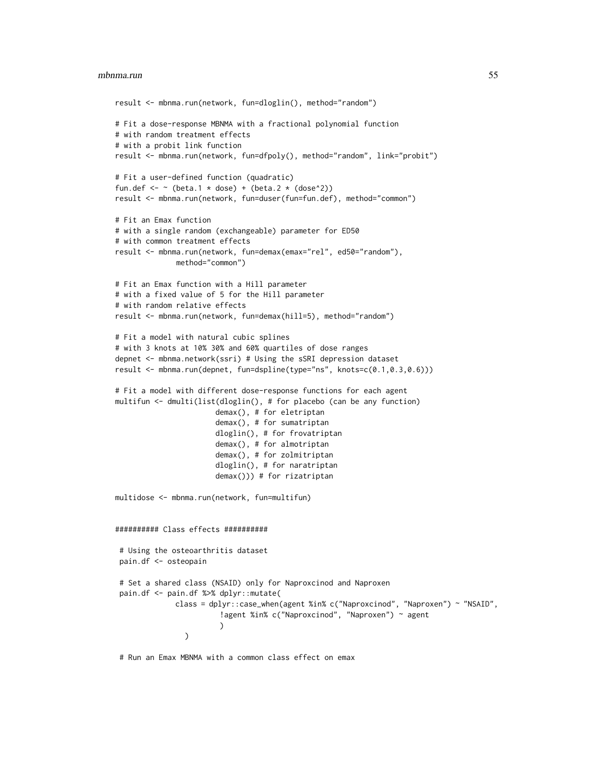#### mbnma.run 55

```
result <- mbnma.run(network, fun=dloglin(), method="random")
# Fit a dose-response MBNMA with a fractional polynomial function
# with random treatment effects
# with a probit link function
result <- mbnma.run(network, fun=dfpoly(), method="random", link="probit")
# Fit a user-defined function (quadratic)
fun.def \leq - \leq (beta.1 \neq dose) + (beta.2 \neq (dose<sup>\geq</sup>2))
result <- mbnma.run(network, fun=duser(fun=fun.def), method="common")
# Fit an Emax function
# with a single random (exchangeable) parameter for ED50
# with common treatment effects
result <- mbnma.run(network, fun=demax(emax="rel", ed50="random"),
              method="common")
# Fit an Emax function with a Hill parameter
# with a fixed value of 5 for the Hill parameter
# with random relative effects
result <- mbnma.run(network, fun=demax(hill=5), method="random")
# Fit a model with natural cubic splines
# with 3 knots at 10% 30% and 60% quartiles of dose ranges
depnet <- mbnma.network(ssri) # Using the sSRI depression dataset
result <- mbnma.run(depnet, fun=dspline(type="ns", knots=c(0.1,0.3,0.6)))
# Fit a model with different dose-response functions for each agent
multifun <- dmulti(list(dloglin(), # for placebo (can be any function)
                       demax(), # for eletriptan
                       demax(), # for sumatriptan
                       dloglin(), # for frovatriptan
                       demax(), # for almotriptan
                       demax(), # for zolmitriptan
                       dloglin(), # for naratriptan
                       demax())) # for rizatriptan
multidose <- mbnma.run(network, fun=multifun)
########## Class effects ##########
 # Using the osteoarthritis dataset
 pain.df <- osteopain
 # Set a shared class (NSAID) only for Naproxcinod and Naproxen
 pain.df <- pain.df %>% dplyr::mutate(
             class = dplyr::case_when(agent %in% c("Naproxcinod", "Naproxen") ~ "NSAID",
                        !agent %in% c("Naproxcinod", "Naproxen") ~ agent
                        \lambda)
```
# Run an Emax MBNMA with a common class effect on emax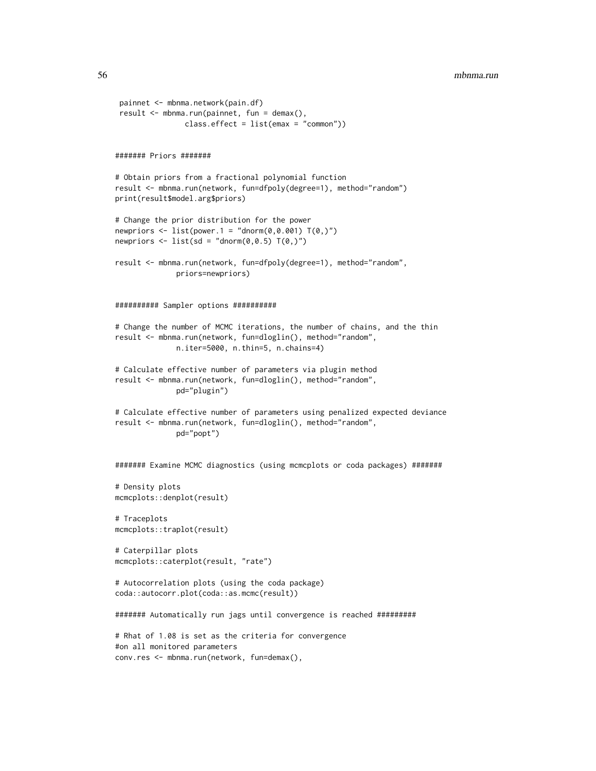```
painnet <- mbnma.network(pain.df)
result <- mbnma.run(painnet, fun = demax(),
                class.effect = list(emax = "common"))
####### Priors #######
# Obtain priors from a fractional polynomial function
result <- mbnma.run(network, fun=dfpoly(degree=1), method="random")
print(result$model.arg$priors)
# Change the prior distribution for the power
newpriors \leq list(power.1 = "dnorm(0, 0.001) T(0, )")newpriors \le list(sd = "dnorm(0,0.5) T(0,)")
result <- mbnma.run(network, fun=dfpoly(degree=1), method="random",
             priors=newpriors)
########## Sampler options ##########
# Change the number of MCMC iterations, the number of chains, and the thin
result <- mbnma.run(network, fun=dloglin(), method="random",
             n.iter=5000, n.thin=5, n.chains=4)
# Calculate effective number of parameters via plugin method
result <- mbnma.run(network, fun=dloglin(), method="random",
             pd="plugin")
# Calculate effective number of parameters using penalized expected deviance
result <- mbnma.run(network, fun=dloglin(), method="random",
             pd="popt")
####### Examine MCMC diagnostics (using mcmcplots or coda packages) #######
# Density plots
mcmcplots::denplot(result)
# Traceplots
mcmcplots::traplot(result)
# Caterpillar plots
mcmcplots::caterplot(result, "rate")
# Autocorrelation plots (using the coda package)
coda::autocorr.plot(coda::as.mcmc(result))
####### Automatically run jags until convergence is reached #########
# Rhat of 1.08 is set as the criteria for convergence
#on all monitored parameters
conv.res <- mbnma.run(network, fun=demax(),
```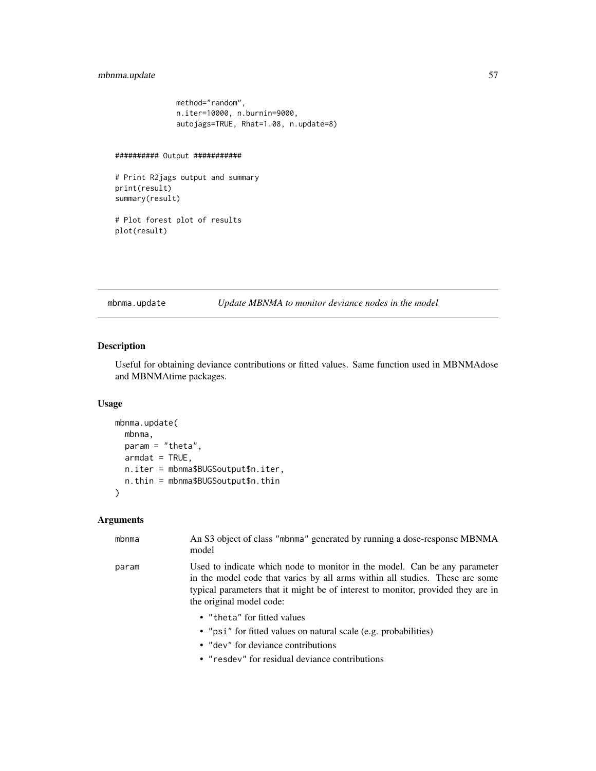## mbnma.update 57

```
method="random",
n.iter=10000, n.burnin=9000,
autojags=TRUE, Rhat=1.08, n.update=8)
```

```
########## Output ###########
```

```
# Print R2jags output and summary
print(result)
summary(result)
```

```
# Plot forest plot of results
plot(result)
```
mbnma.update *Update MBNMA to monitor deviance nodes in the model*

## Description

Useful for obtaining deviance contributions or fitted values. Same function used in MBNMAdose and MBNMAtime packages.

#### Usage

```
mbnma.update(
 mbnma,
 param = "theta",
 armdat = TRUE,n.iter = mbnma$BUGSoutput$n.iter,
 n.thin = mbnma$BUGSoutput$n.thin
)
```
## Arguments

| mbnma | An S3 object of class "mbnma" generated by running a dose-response MBNMA<br>model                                                                                                                                                                                         |
|-------|---------------------------------------------------------------------------------------------------------------------------------------------------------------------------------------------------------------------------------------------------------------------------|
| param | Used to indicate which node to monitor in the model. Can be any parameter<br>in the model code that varies by all arms within all studies. These are some<br>typical parameters that it might be of interest to monitor, provided they are in<br>the original model code: |
|       | • "theta" for fitted values<br>• "psi" for fitted values on natural scale (e.g. probabilities)                                                                                                                                                                            |
|       | • "dev" for deviance contributions                                                                                                                                                                                                                                        |

• "resdev" for residual deviance contributions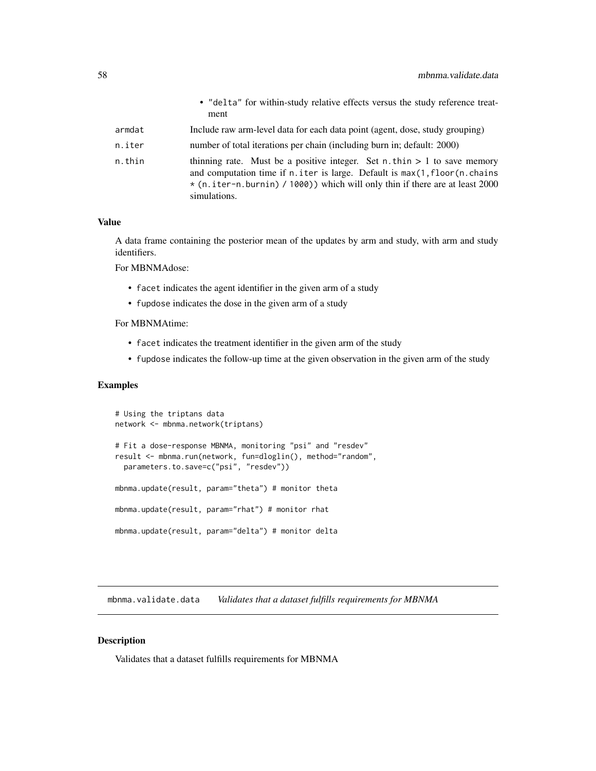|        | • "delta" for within-study relative effects versus the study reference treat-<br>ment                                                                                                                                                                          |
|--------|----------------------------------------------------------------------------------------------------------------------------------------------------------------------------------------------------------------------------------------------------------------|
| armdat | Include raw arm-level data for each data point (agent, dose, study grouping)                                                                                                                                                                                   |
| n.iter | number of total iterations per chain (including burn in; default: 2000)                                                                                                                                                                                        |
| n.thin | thinning rate. Must be a positive integer. Set $n$ . thin $> 1$ to save memory<br>and computation time if n. iter is large. Default is max(1, floor(n. chains)<br>$*(n.iter-n.burnin)$ / 1000) which will only thin if there are at least 2000<br>simulations. |

## Value

A data frame containing the posterior mean of the updates by arm and study, with arm and study identifiers.

For MBNMAdose:

- facet indicates the agent identifier in the given arm of a study
- fupdose indicates the dose in the given arm of a study

For MBNMAtime:

- facet indicates the treatment identifier in the given arm of the study
- fupdose indicates the follow-up time at the given observation in the given arm of the study

## Examples

```
# Using the triptans data
network <- mbnma.network(triptans)
# Fit a dose-response MBNMA, monitoring "psi" and "resdev"
result <- mbnma.run(network, fun=dloglin(), method="random",
 parameters.to.save=c("psi", "resdev"))
mbnma.update(result, param="theta") # monitor theta
mbnma.update(result, param="rhat") # monitor rhat
mbnma.update(result, param="delta") # monitor delta
```
mbnma.validate.data *Validates that a dataset fulfills requirements for MBNMA*

### Description

Validates that a dataset fulfills requirements for MBNMA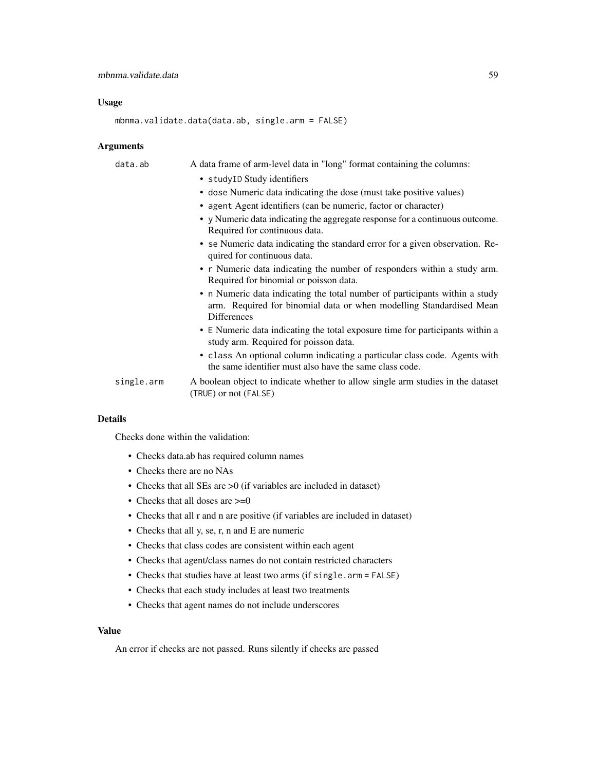#### Usage

mbnma.validate.data(data.ab, single.arm = FALSE)

#### Arguments

data.ab A data frame of arm-level data in "long" format containing the columns: • studyID Study identifiers • dose Numeric data indicating the dose (must take positive values) • agent Agent identifiers (can be numeric, factor or character) • y Numeric data indicating the aggregate response for a continuous outcome. Required for continuous data. • se Numeric data indicating the standard error for a given observation. Required for continuous data. • r Numeric data indicating the number of responders within a study arm. Required for binomial or poisson data. • n Numeric data indicating the total number of participants within a study arm. Required for binomial data or when modelling Standardised Mean Differences • E Numeric data indicating the total exposure time for participants within a study arm. Required for poisson data. • class An optional column indicating a particular class code. Agents with the same identifier must also have the same class code. single.arm A boolean object to indicate whether to allow single arm studies in the dataset (TRUE) or not (FALSE)

#### Details

Checks done within the validation:

- Checks data.ab has required column names
- Checks there are no NAs
- Checks that all SEs are >0 (if variables are included in dataset)
- Checks that all doses are  $\geq=0$
- Checks that all r and n are positive (if variables are included in dataset)
- Checks that all y, se, r, n and E are numeric
- Checks that class codes are consistent within each agent
- Checks that agent/class names do not contain restricted characters
- Checks that studies have at least two arms (if single.arm = FALSE)
- Checks that each study includes at least two treatments
- Checks that agent names do not include underscores

#### Value

An error if checks are not passed. Runs silently if checks are passed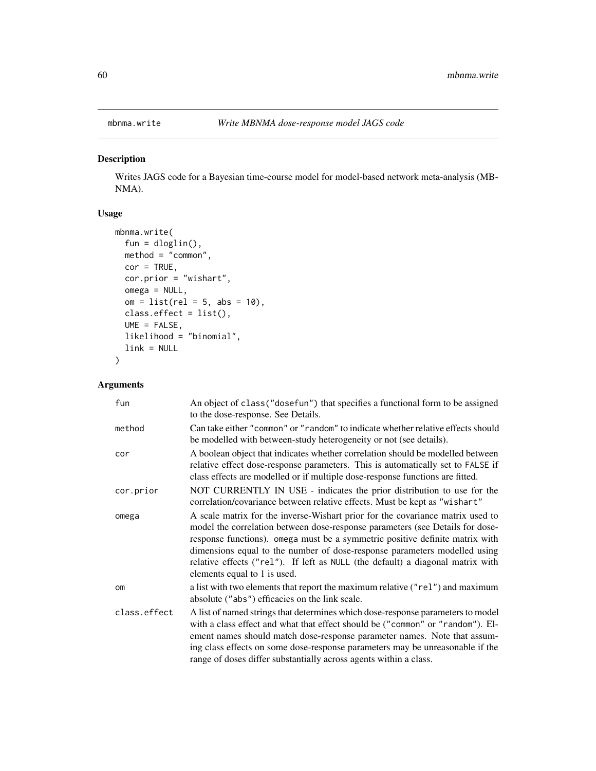## Description

Writes JAGS code for a Bayesian time-course model for model-based network meta-analysis (MB-NMA).

## Usage

```
mbnma.write(
 fun = dloglin(),
 method = "common",
 cor = TRUE,cor.prior = "wishart",
 omega = NULL,om = list(rel = 5, abs = 10),
 class.effect = list(),
 UME = FALSE,
 likelihood = "binomial",
  link = NULL
)
```

| fun          | An object of class ("dosefun") that specifies a functional form to be assigned<br>to the dose-response. See Details.                                                                                                                                                                                                                                                                                                                           |
|--------------|------------------------------------------------------------------------------------------------------------------------------------------------------------------------------------------------------------------------------------------------------------------------------------------------------------------------------------------------------------------------------------------------------------------------------------------------|
| method       | Can take either "common" or "random" to indicate whether relative effects should<br>be modelled with between-study heterogeneity or not (see details).                                                                                                                                                                                                                                                                                         |
| cor          | A boolean object that indicates whether correlation should be modelled between<br>relative effect dose-response parameters. This is automatically set to FALSE if<br>class effects are modelled or if multiple dose-response functions are fitted.                                                                                                                                                                                             |
| cor.prior    | NOT CURRENTLY IN USE - indicates the prior distribution to use for the<br>correlation/covariance between relative effects. Must be kept as "wishart"                                                                                                                                                                                                                                                                                           |
| omega        | A scale matrix for the inverse-Wishart prior for the covariance matrix used to<br>model the correlation between dose-response parameters (see Details for dose-<br>response functions). omega must be a symmetric positive definite matrix with<br>dimensions equal to the number of dose-response parameters modelled using<br>relative effects ("rel"). If left as NULL (the default) a diagonal matrix with<br>elements equal to 1 is used. |
| <b>om</b>    | a list with two elements that report the maximum relative ("rel") and maximum<br>absolute ("abs") efficacies on the link scale.                                                                                                                                                                                                                                                                                                                |
| class.effect | A list of named strings that determines which dose-response parameters to model<br>with a class effect and what that effect should be ("common" or "random"). El-<br>ement names should match dose-response parameter names. Note that assum-<br>ing class effects on some dose-response parameters may be unreasonable if the<br>range of doses differ substantially across agents within a class.                                            |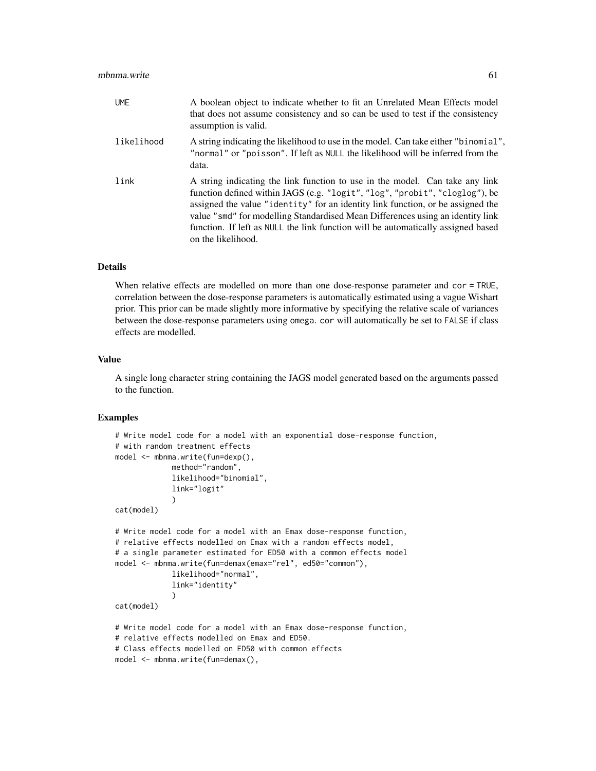| <b>UME</b> | A boolean object to indicate whether to fit an Unrelated Mean Effects model<br>that does not assume consistency and so can be used to test if the consistency<br>assumption is valid.                                                                                                                                                                                                                                                      |
|------------|--------------------------------------------------------------------------------------------------------------------------------------------------------------------------------------------------------------------------------------------------------------------------------------------------------------------------------------------------------------------------------------------------------------------------------------------|
| likelihood | A string indicating the likelihood to use in the model. Can take either "binomial",<br>"normal" or "poisson". If left as NULL the likelihood will be inferred from the<br>data.                                                                                                                                                                                                                                                            |
| link       | A string indicating the link function to use in the model. Can take any link<br>function defined within JAGS (e.g. "logit", "log", "probit", "cloglog"), be<br>assigned the value "identity" for an identity link function, or be assigned the<br>value "smd" for modelling Standardised Mean Differences using an identity link<br>function. If left as NULL the link function will be automatically assigned based<br>on the likelihood. |

When relative effects are modelled on more than one dose-response parameter and cor = TRUE, correlation between the dose-response parameters is automatically estimated using a vague Wishart prior. This prior can be made slightly more informative by specifying the relative scale of variances between the dose-response parameters using omega. cor will automatically be set to FALSE if class effects are modelled.

#### Value

A single long character string containing the JAGS model generated based on the arguments passed to the function.

## Examples

```
# Write model code for a model with an exponential dose-response function,
# with random treatment effects
model <- mbnma.write(fun=dexp(),
             method="random",
             likelihood="binomial",
             link="logit"
             )
cat(model)
# Write model code for a model with an Emax dose-response function,
# relative effects modelled on Emax with a random effects model,
# a single parameter estimated for ED50 with a common effects model
model <- mbnma.write(fun=demax(emax="rel", ed50="common"),
             likelihood="normal",
             link="identity"
             )
cat(model)
# Write model code for a model with an Emax dose-response function,
# relative effects modelled on Emax and ED50.
# Class effects modelled on ED50 with common effects
model <- mbnma.write(fun=demax(),
```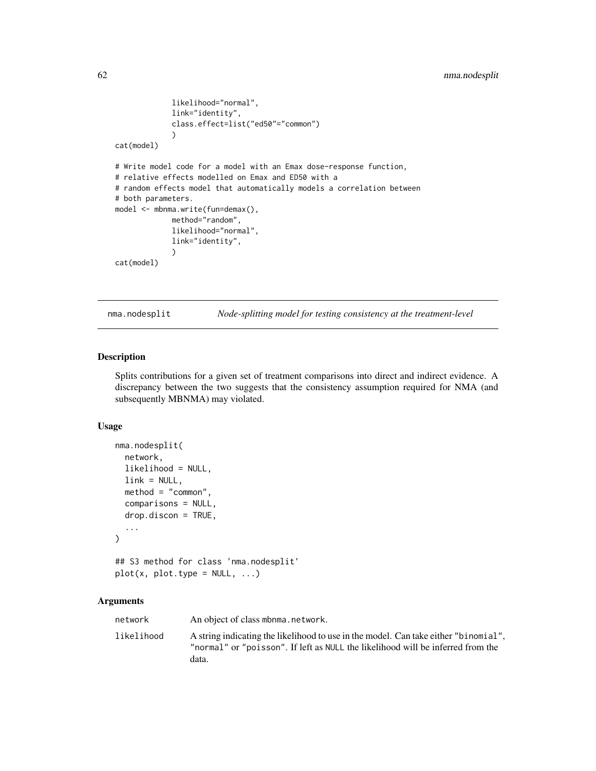```
likelihood="normal",
             link="identity",
             class.effect=list("ed50"="common")
             \lambdacat(model)
# Write model code for a model with an Emax dose-response function,
# relative effects modelled on Emax and ED50 with a
# random effects model that automatically models a correlation between
# both parameters.
model <- mbnma.write(fun=demax(),
             method="random",
             likelihood="normal",
             link="identity",
             )
cat(model)
```
nma.nodesplit *Node-splitting model for testing consistency at the treatment-level*

#### Description

Splits contributions for a given set of treatment comparisons into direct and indirect evidence. A discrepancy between the two suggests that the consistency assumption required for NMA (and subsequently MBNMA) may violated.

#### Usage

```
nma.nodesplit(
  network,
  likelihood = NULL,
  link = NULL,method = "common",
  comparisons = NULL,
  drop.discon = TRUE,
  ...
\mathcal{L}## S3 method for class 'nma.nodesplit'
plot(x, plot_type = NULL, ...)
```

| network    | An object of class mbnma, network.                                                                                                                                              |
|------------|---------------------------------------------------------------------------------------------------------------------------------------------------------------------------------|
| likelihood | A string indicating the likelihood to use in the model. Can take either "binomial",<br>"normal" or "poisson". If left as NULL the likelihood will be inferred from the<br>data. |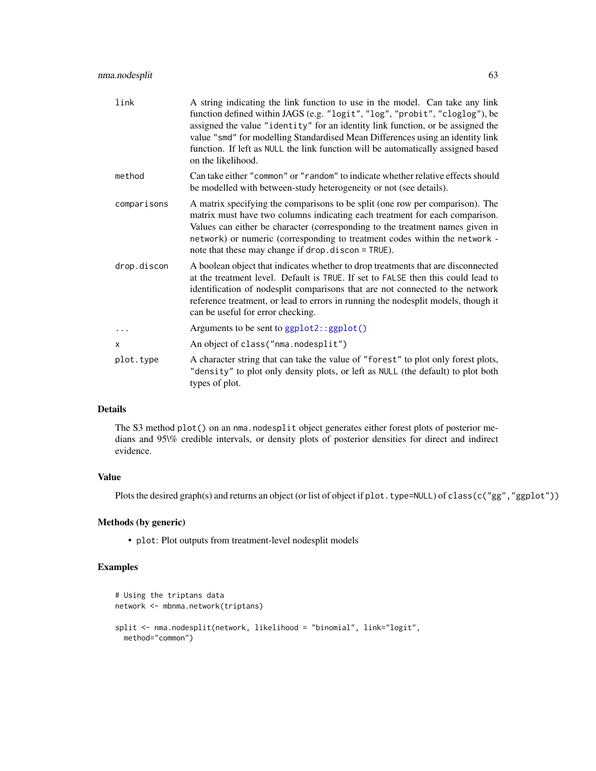| link        | A string indicating the link function to use in the model. Can take any link<br>function defined within JAGS (e.g. "logit", "log", "probit", "cloglog"), be<br>assigned the value "identity" for an identity link function, or be assigned the<br>value "smd" for modelling Standardised Mean Differences using an identity link<br>function. If left as NULL the link function will be automatically assigned based<br>on the likelihood. |
|-------------|--------------------------------------------------------------------------------------------------------------------------------------------------------------------------------------------------------------------------------------------------------------------------------------------------------------------------------------------------------------------------------------------------------------------------------------------|
| method      | Can take either "common" or "random" to indicate whether relative effects should<br>be modelled with between-study heterogeneity or not (see details).                                                                                                                                                                                                                                                                                     |
| comparisons | A matrix specifying the comparisons to be split (one row per comparison). The<br>matrix must have two columns indicating each treatment for each comparison.<br>Values can either be character (corresponding to the treatment names given in<br>network) or numeric (corresponding to treatment codes within the network -<br>note that these may change if drop. discon = TRUE).                                                         |
| drop.discon | A boolean object that indicates whether to drop treatments that are disconnected<br>at the treatment level. Default is TRUE. If set to FALSE then this could lead to<br>identification of nodesplit comparisons that are not connected to the network<br>reference treatment, or lead to errors in running the nodesplit models, though it<br>can be useful for error checking.                                                            |
|             | Arguments to be sent to ggplot2::ggplot()                                                                                                                                                                                                                                                                                                                                                                                                  |
| X           | An object of class ("nma.nodesplit")                                                                                                                                                                                                                                                                                                                                                                                                       |
| plot.type   | A character string that can take the value of "forest" to plot only forest plots,<br>"density" to plot only density plots, or left as NULL (the default) to plot both<br>types of plot.                                                                                                                                                                                                                                                    |

The S3 method plot() on an nma.nodesplit object generates either forest plots of posterior medians and 95\% credible intervals, or density plots of posterior densities for direct and indirect evidence.

## Value

Plots the desired graph(s) and returns an object (or list of object if plot.type=NULL) of class(c("gg","ggplot"))

## Methods (by generic)

• plot: Plot outputs from treatment-level nodesplit models

## Examples

```
# Using the triptans data
network <- mbnma.network(triptans)
split <- nma.nodesplit(network, likelihood = "binomial", link="logit",
 method="common")
```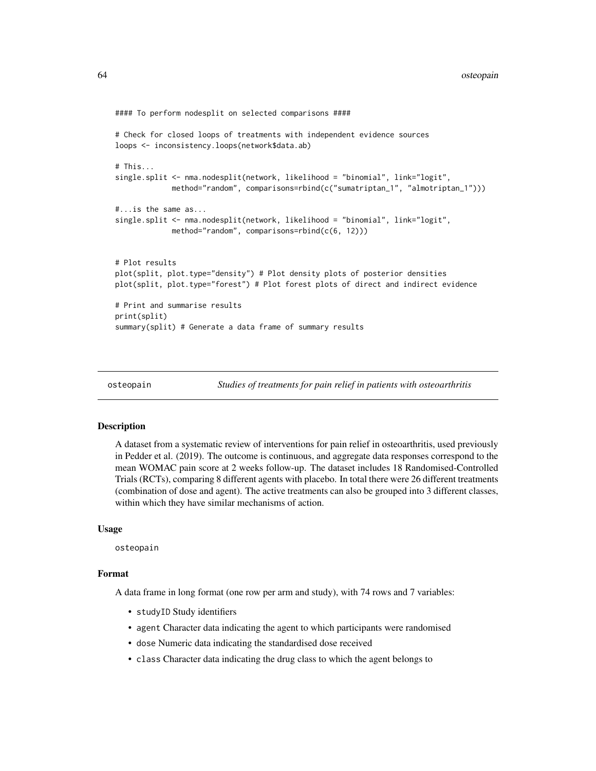```
#### To perform nodesplit on selected comparisons ####
# Check for closed loops of treatments with independent evidence sources
loops <- inconsistency.loops(network$data.ab)
# This...
single.split <- nma.nodesplit(network, likelihood = "binomial", link="logit",
             method="random", comparisons=rbind(c("sumatriptan_1", "almotriptan_1")))
#...is the same as...
single.split <- nma.nodesplit(network, likelihood = "binomial", link="logit",
             method="random", comparisons=rbind(c(6, 12)))
# Plot results
plot(split, plot.type="density") # Plot density plots of posterior densities
plot(split, plot.type="forest") # Plot forest plots of direct and indirect evidence
# Print and summarise results
print(split)
summary(split) # Generate a data frame of summary results
```

```
osteopain Studies of treatments for pain relief in patients with osteoarthritis
```
#### **Description**

A dataset from a systematic review of interventions for pain relief in osteoarthritis, used previously in Pedder et al. (2019). The outcome is continuous, and aggregate data responses correspond to the mean WOMAC pain score at 2 weeks follow-up. The dataset includes 18 Randomised-Controlled Trials (RCTs), comparing 8 different agents with placebo. In total there were 26 different treatments (combination of dose and agent). The active treatments can also be grouped into 3 different classes, within which they have similar mechanisms of action.

#### Usage

osteopain

## Format

A data frame in long format (one row per arm and study), with 74 rows and 7 variables:

- studyID Study identifiers
- agent Character data indicating the agent to which participants were randomised
- dose Numeric data indicating the standardised dose received
- class Character data indicating the drug class to which the agent belongs to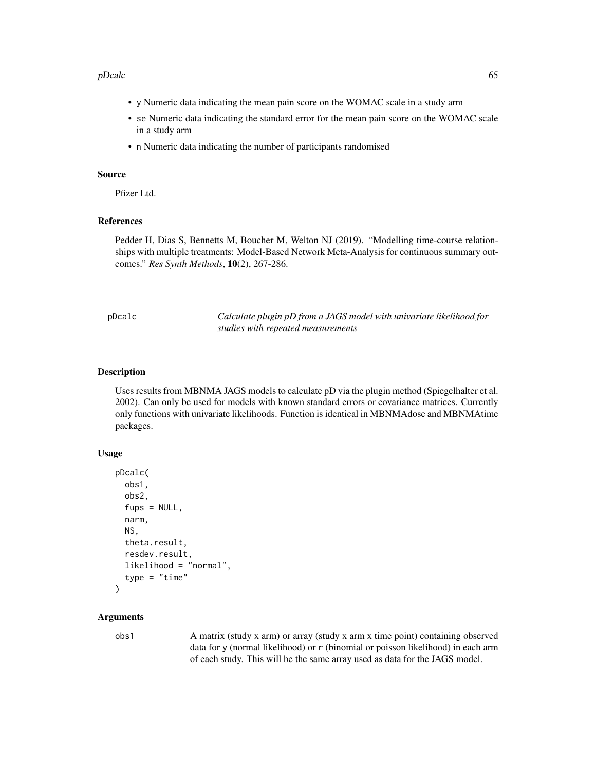#### pDcalc 65

- y Numeric data indicating the mean pain score on the WOMAC scale in a study arm
- se Numeric data indicating the standard error for the mean pain score on the WOMAC scale in a study arm
- n Numeric data indicating the number of participants randomised

#### Source

Pfizer Ltd.

## References

Pedder H, Dias S, Bennetts M, Boucher M, Welton NJ (2019). "Modelling time-course relationships with multiple treatments: Model-Based Network Meta-Analysis for continuous summary outcomes." *Res Synth Methods*, 10(2), 267-286.

Calculate plugin pD from a JAGS model with univariate likelihood for *studies with repeated measurements*

#### Description

Uses results from MBNMA JAGS models to calculate pD via the plugin method (Spiegelhalter et al. 2002). Can only be used for models with known standard errors or covariance matrices. Currently only functions with univariate likelihoods. Function is identical in MBNMAdose and MBNMAtime packages.

#### Usage

```
pDcalc(
  obs1,
  obs2,
  fups = NULL,narm,
  NS,
  theta.result,
  resdev.result,
  likelihood = "normal",
  type = "time"\lambda
```
#### Arguments

obs1 A matrix (study x arm) or array (study x arm x time point) containing observed data for y (normal likelihood) or r (binomial or poisson likelihood) in each arm of each study. This will be the same array used as data for the JAGS model.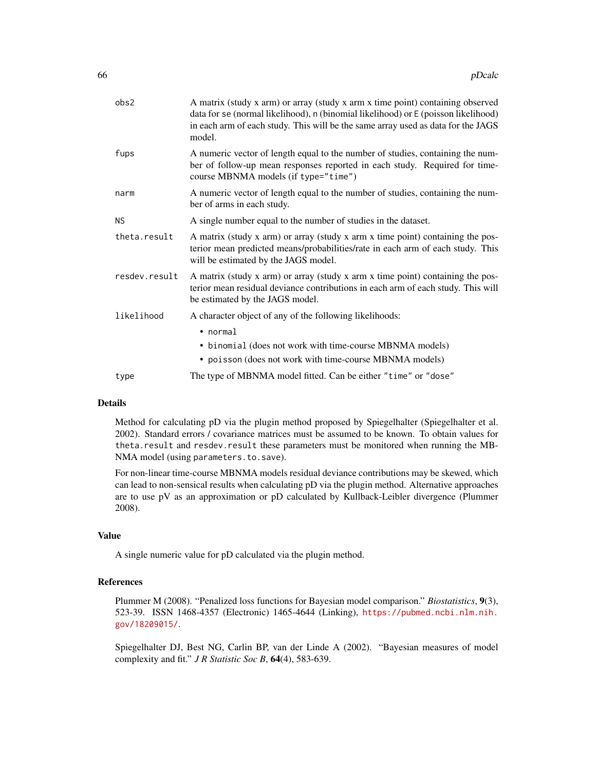| obs2          | A matrix (study x arm) or array (study x arm x time point) containing observed<br>data for se (normal likelihood), n (binomial likelihood) or E (poisson likelihood)<br>in each arm of each study. This will be the same array used as data for the JAGS<br>model. |
|---------------|--------------------------------------------------------------------------------------------------------------------------------------------------------------------------------------------------------------------------------------------------------------------|
| fups          | A numeric vector of length equal to the number of studies, containing the num-<br>ber of follow-up mean responses reported in each study. Required for time-<br>course MBNMA models (if type="time")                                                               |
| narm          | A numeric vector of length equal to the number of studies, containing the num-<br>ber of arms in each study.                                                                                                                                                       |
| <b>NS</b>     | A single number equal to the number of studies in the dataset.                                                                                                                                                                                                     |
| theta.result  | A matrix (study x arm) or array (study x arm x time point) containing the pos-<br>terior mean predicted means/probabilities/rate in each arm of each study. This<br>will be estimated by the JAGS model.                                                           |
| resdev.result | A matrix (study x arm) or array (study x arm x time point) containing the pos-<br>terior mean residual deviance contributions in each arm of each study. This will<br>be estimated by the JAGS model.                                                              |
| likelihood    | A character object of any of the following likelihoods:                                                                                                                                                                                                            |
|               | $\bullet$ normal                                                                                                                                                                                                                                                   |
|               | • binomial (does not work with time-course MBNMA models)                                                                                                                                                                                                           |
|               | • poisson (does not work with time-course MBNMA models)                                                                                                                                                                                                            |
| type          | The type of MBNMA model fitted. Can be either "time" or "dose"                                                                                                                                                                                                     |
|               |                                                                                                                                                                                                                                                                    |

Method for calculating pD via the plugin method proposed by Spiegelhalter (Spiegelhalter et al. 2002). Standard errors / covariance matrices must be assumed to be known. To obtain values for theta.result and resdev.result these parameters must be monitored when running the MB-NMA model (using parameters.to.save).

For non-linear time-course MBNMA models residual deviance contributions may be skewed, which can lead to non-sensical results when calculating pD via the plugin method. Alternative approaches are to use pV as an approximation or pD calculated by Kullback-Leibler divergence (Plummer 2008).

## Value

A single numeric value for pD calculated via the plugin method.

#### References

Plummer M (2008). "Penalized loss functions for Bayesian model comparison." *Biostatistics*, 9(3), 523-39. ISSN 1468-4357 (Electronic) 1465-4644 (Linking), [https://pubmed.ncbi.nlm.nih.](https://pubmed.ncbi.nlm.nih.gov/18209015/) [gov/18209015/](https://pubmed.ncbi.nlm.nih.gov/18209015/).

Spiegelhalter DJ, Best NG, Carlin BP, van der Linde A (2002). "Bayesian measures of model complexity and fit." *J R Statistic Soc B*, 64(4), 583-639.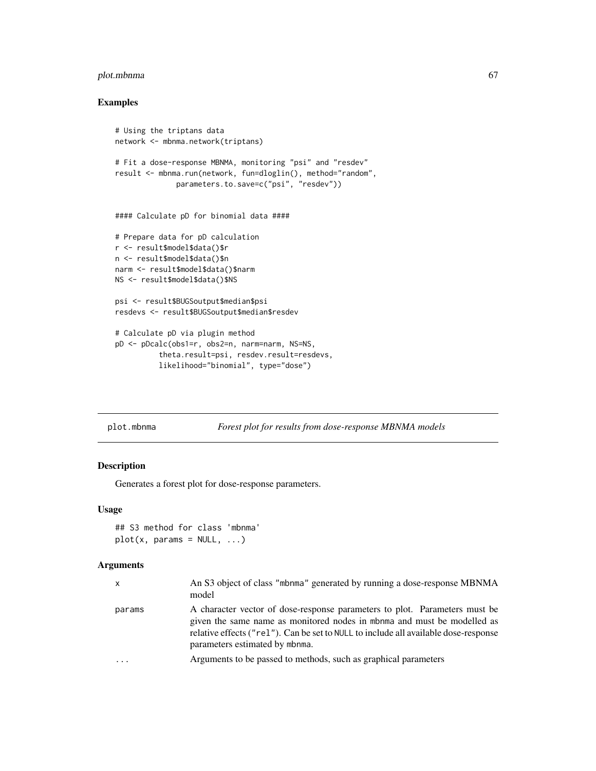## plot.mbnma 67

## Examples

```
# Using the triptans data
network <- mbnma.network(triptans)
# Fit a dose-response MBNMA, monitoring "psi" and "resdev"
result <- mbnma.run(network, fun=dloglin(), method="random",
              parameters.to.save=c("psi", "resdev"))
#### Calculate pD for binomial data ####
# Prepare data for pD calculation
r <- result$model$data()$r
n <- result$model$data()$n
narm <- result$model$data()$narm
NS <- result$model$data()$NS
psi <- result$BUGSoutput$median$psi
resdevs <- result$BUGSoutput$median$resdev
# Calculate pD via plugin method
pD <- pDcalc(obs1=r, obs2=n, narm=narm, NS=NS,
          theta.result=psi, resdev.result=resdevs,
          likelihood="binomial", type="dose")
```
## plot.mbnma *Forest plot for results from dose-response MBNMA models*

## Description

Generates a forest plot for dose-response parameters.

#### Usage

```
## S3 method for class 'mbnma'
plot(x, params = NULL, ...)
```

| X       | An S3 object of class "mbnma" generated by running a dose-response MBNMA<br>model                                                                                                                                                                                              |
|---------|--------------------------------------------------------------------------------------------------------------------------------------------------------------------------------------------------------------------------------------------------------------------------------|
| params  | A character vector of dose-response parameters to plot. Parameters must be<br>given the same name as monitored nodes in mbnma and must be modelled as<br>relative effects ("rel"). Can be set to NULL to include all available dose-response<br>parameters estimated by mbnma. |
| $\cdot$ | Arguments to be passed to methods, such as graphical parameters                                                                                                                                                                                                                |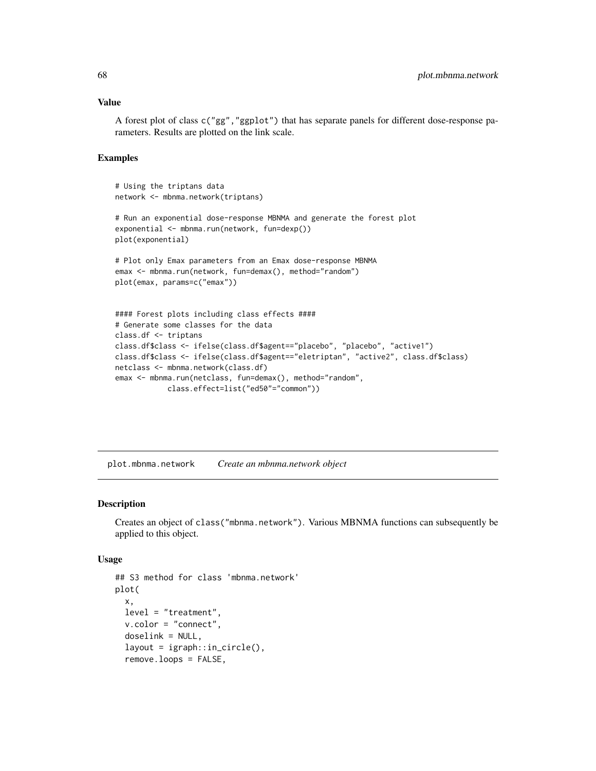A forest plot of class c("gg","ggplot") that has separate panels for different dose-response parameters. Results are plotted on the link scale.

#### Examples

```
# Using the triptans data
network <- mbnma.network(triptans)
# Run an exponential dose-response MBNMA and generate the forest plot
exponential <- mbnma.run(network, fun=dexp())
plot(exponential)
# Plot only Emax parameters from an Emax dose-response MBNMA
emax <- mbnma.run(network, fun=demax(), method="random")
plot(emax, params=c("emax"))
#### Forest plots including class effects ####
# Generate some classes for the data
class.df <- triptans
class.df$class <- ifelse(class.df$agent=="placebo", "placebo", "active1")
class.df$class <- ifelse(class.df$agent=="eletriptan", "active2", class.df$class)
netclass <- mbnma.network(class.df)
emax <- mbnma.run(netclass, fun=demax(), method="random",
            class.effect=list("ed50"="common"))
```
plot.mbnma.network *Create an mbnma.network object*

## Description

Creates an object of class("mbnma.network"). Various MBNMA functions can subsequently be applied to this object.

#### Usage

```
## S3 method for class 'mbnma.network'
plot(
  x,
 level = "treatment",
 v.color = "connect",
  doselink = NULL,
  layout = igraph::in_circle(),
  remove.loops = FALSE,
```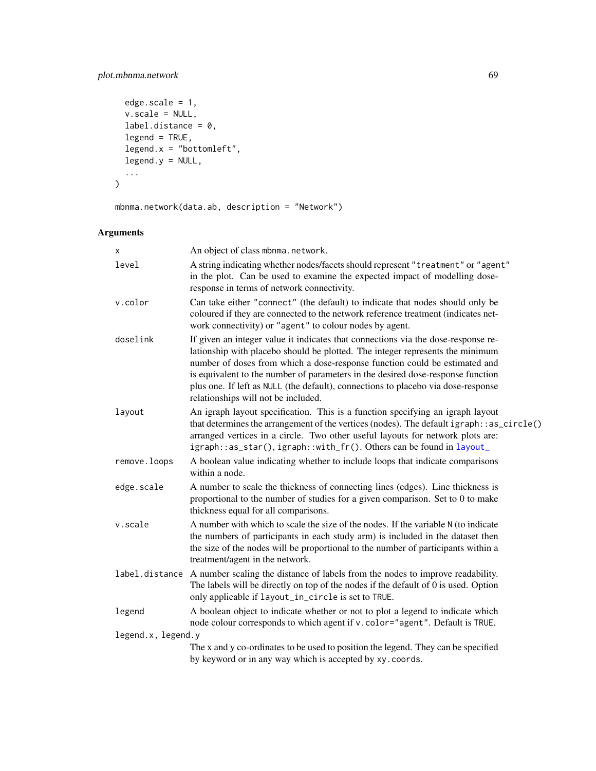## plot.mbnma.network 69

```
edge.scale = 1,
 v.scale = NULL,
 label.distance = 0,legend = TRUE,
 legend.x = "bottomleft",
 legend.y = NULL,
  ...
\mathcal{L}
```
mbnma.network(data.ab, description = "Network")

| x                  | An object of class mbnma.network.                                                                                                                                                                                                                                                                                                                                                                                                                               |  |
|--------------------|-----------------------------------------------------------------------------------------------------------------------------------------------------------------------------------------------------------------------------------------------------------------------------------------------------------------------------------------------------------------------------------------------------------------------------------------------------------------|--|
| level              | A string indicating whether nodes/facets should represent "treatment" or "agent"<br>in the plot. Can be used to examine the expected impact of modelling dose-<br>response in terms of network connectivity.                                                                                                                                                                                                                                                    |  |
| v.color            | Can take either "connect" (the default) to indicate that nodes should only be<br>coloured if they are connected to the network reference treatment (indicates net-<br>work connectivity) or "agent" to colour nodes by agent.                                                                                                                                                                                                                                   |  |
| doselink           | If given an integer value it indicates that connections via the dose-response re-<br>lationship with placebo should be plotted. The integer represents the minimum<br>number of doses from which a dose-response function could be estimated and<br>is equivalent to the number of parameters in the desired dose-response function<br>plus one. If left as NULL (the default), connections to placebo via dose-response<br>relationships will not be included. |  |
| layout             | An igraph layout specification. This is a function specifying an igraph layout<br>that determines the arrangement of the vertices (nodes). The default igraph::as_circle()<br>arranged vertices in a circle. Two other useful layouts for network plots are:<br>igraph::as_star(), igraph::with_fr(). Others can be found in layout_                                                                                                                            |  |
| remove.loops       | A boolean value indicating whether to include loops that indicate comparisons<br>within a node.                                                                                                                                                                                                                                                                                                                                                                 |  |
| edge.scale         | A number to scale the thickness of connecting lines (edges). Line thickness is<br>proportional to the number of studies for a given comparison. Set to 0 to make<br>thickness equal for all comparisons.                                                                                                                                                                                                                                                        |  |
| v.scale            | A number with which to scale the size of the nodes. If the variable N (to indicate<br>the numbers of participants in each study arm) is included in the dataset then<br>the size of the nodes will be proportional to the number of participants within a<br>treatment/agent in the network.                                                                                                                                                                    |  |
|                    | label.distance A number scaling the distance of labels from the nodes to improve readability.<br>The labels will be directly on top of the nodes if the default of 0 is used. Option<br>only applicable if layout_in_circle is set to TRUE.                                                                                                                                                                                                                     |  |
| legend             | A boolean object to indicate whether or not to plot a legend to indicate which<br>node colour corresponds to which agent if v. color="agent". Default is TRUE.                                                                                                                                                                                                                                                                                                  |  |
| legend.x, legend.y |                                                                                                                                                                                                                                                                                                                                                                                                                                                                 |  |
|                    | The x and y co-ordinates to be used to position the legend. They can be specified<br>by keyword or in any way which is accepted by xy.coords.                                                                                                                                                                                                                                                                                                                   |  |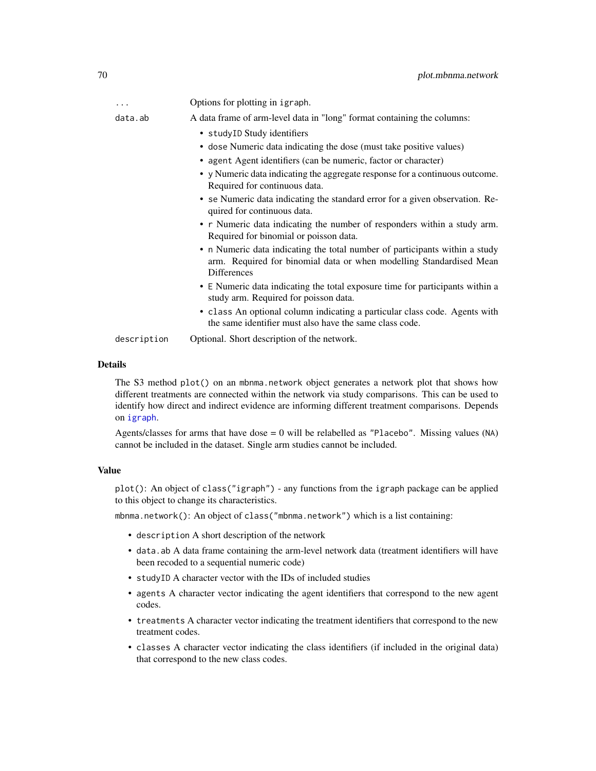| .           | Options for plotting in igraph.                                                                                                                                   |
|-------------|-------------------------------------------------------------------------------------------------------------------------------------------------------------------|
| data.ab     | A data frame of arm-level data in "long" format containing the columns:                                                                                           |
|             | • studyID Study identifiers                                                                                                                                       |
|             | • dose Numeric data indicating the dose (must take positive values)                                                                                               |
|             | • agent Agent identifiers (can be numeric, factor or character)                                                                                                   |
|             | • y Numeric data indicating the aggregate response for a continuous outcome.<br>Required for continuous data.                                                     |
|             | • se Numeric data indicating the standard error for a given observation. Re-<br>quired for continuous data.                                                       |
|             | • r Numeric data indicating the number of responders within a study arm.<br>Required for binomial or poisson data.                                                |
|             | • n Numeric data indicating the total number of participants within a study<br>arm. Required for binomial data or when modelling Standardised Mean<br>Differences |
|             | • E Numeric data indicating the total exposure time for participants within a<br>study arm. Required for poisson data.                                            |
|             | • class An optional column indicating a particular class code. Agents with<br>the same identifier must also have the same class code.                             |
| description | Optional. Short description of the network.                                                                                                                       |

The S3 method plot() on an mbnma.network object generates a network plot that shows how different treatments are connected within the network via study comparisons. This can be used to identify how direct and indirect evidence are informing different treatment comparisons. Depends on [igraph](#page-0-0).

Agents/classes for arms that have dose  $= 0$  will be relabelled as "Placebo". Missing values (NA) cannot be included in the dataset. Single arm studies cannot be included.

## Value

plot(): An object of class("igraph") - any functions from the igraph package can be applied to this object to change its characteristics.

mbnma.network(): An object of class("mbnma.network") which is a list containing:

- description A short description of the network
- data.ab A data frame containing the arm-level network data (treatment identifiers will have been recoded to a sequential numeric code)
- studyID A character vector with the IDs of included studies
- agents A character vector indicating the agent identifiers that correspond to the new agent codes.
- treatments A character vector indicating the treatment identifiers that correspond to the new treatment codes.
- classes A character vector indicating the class identifiers (if included in the original data) that correspond to the new class codes.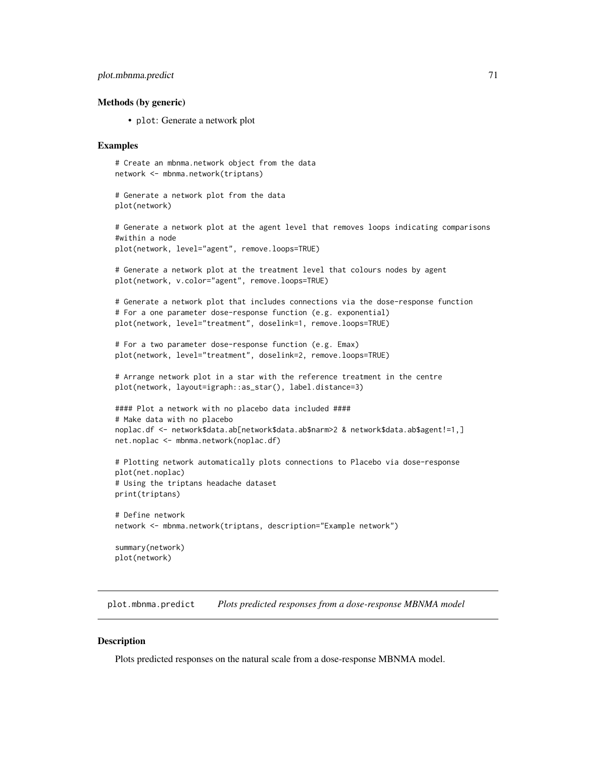## plot.mbnma.predict 71

#### Methods (by generic)

• plot: Generate a network plot

#### Examples

```
# Create an mbnma.network object from the data
network <- mbnma.network(triptans)
# Generate a network plot from the data
plot(network)
# Generate a network plot at the agent level that removes loops indicating comparisons
#within a node
plot(network, level="agent", remove.loops=TRUE)
# Generate a network plot at the treatment level that colours nodes by agent
plot(network, v.color="agent", remove.loops=TRUE)
# Generate a network plot that includes connections via the dose-response function
# For a one parameter dose-response function (e.g. exponential)
plot(network, level="treatment", doselink=1, remove.loops=TRUE)
```

```
# For a two parameter dose-response function (e.g. Emax)
plot(network, level="treatment", doselink=2, remove.loops=TRUE)
```

```
# Arrange network plot in a star with the reference treatment in the centre
plot(network, layout=igraph::as_star(), label.distance=3)
```

```
#### Plot a network with no placebo data included ####
# Make data with no placebo
noplac.df <- network$data.ab[network$data.ab$narm>2 & network$data.ab$agent!=1,]
net.noplac <- mbnma.network(noplac.df)
```

```
# Plotting network automatically plots connections to Placebo via dose-response
plot(net.noplac)
# Using the triptans headache dataset
print(triptans)
```

```
# Define network
network <- mbnma.network(triptans, description="Example network")
```
summary(network) plot(network)

plot.mbnma.predict *Plots predicted responses from a dose-response MBNMA model*

#### **Description**

Plots predicted responses on the natural scale from a dose-response MBNMA model.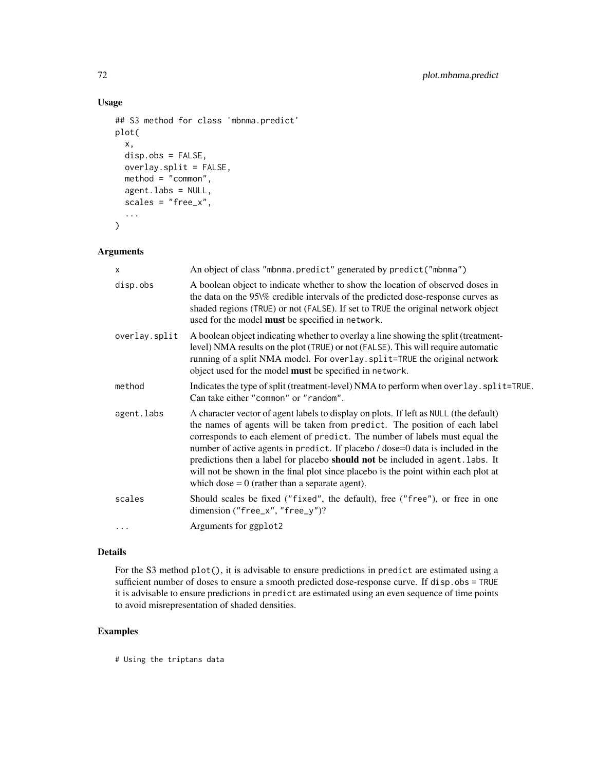## Usage

```
## S3 method for class 'mbnma.predict'
plot(
  x,
  disp.obs = FALSE,
  overlay.split = FALSE,
  method = "common",
  agent.labs = NULL,
  scales = "free_x",
  ...
\overline{\phantom{a}}
```
## Arguments

| X             | An object of class "mbnma.predict" generated by predict ("mbnma")                                                                                                                                                                                                                                                                                                                                                                                                                                                                                                 |
|---------------|-------------------------------------------------------------------------------------------------------------------------------------------------------------------------------------------------------------------------------------------------------------------------------------------------------------------------------------------------------------------------------------------------------------------------------------------------------------------------------------------------------------------------------------------------------------------|
| disp.obs      | A boolean object to indicate whether to show the location of observed doses in<br>the data on the 95\% credible intervals of the predicted dose-response curves as<br>shaded regions (TRUE) or not (FALSE). If set to TRUE the original network object<br>used for the model must be specified in network.                                                                                                                                                                                                                                                        |
| overlay.split | A boolean object indicating whether to overlay a line showing the split (treatment-<br>level) NMA results on the plot (TRUE) or not (FALSE). This will require automatic<br>running of a split NMA model. For overlay. split=TRUE the original network<br>object used for the model must be specified in network.                                                                                                                                                                                                                                                 |
| method        | Indicates the type of split (treatment-level) NMA to perform when overlay. split=TRUE.<br>Can take either "common" or "random".                                                                                                                                                                                                                                                                                                                                                                                                                                   |
| agent.labs    | A character vector of agent labels to display on plots. If left as NULL (the default)<br>the names of agents will be taken from predict. The position of each label<br>corresponds to each element of predict. The number of labels must equal the<br>number of active agents in predict. If placebo / dose=0 data is included in the<br>predictions then a label for placebo should not be included in agent. labs. It<br>will not be shown in the final plot since placebo is the point within each plot at<br>which dose $= 0$ (rather than a separate agent). |
| scales        | Should scales be fixed ("fixed", the default), free ("free"), or free in one<br>dimension ("free_x", "free_y")?                                                                                                                                                                                                                                                                                                                                                                                                                                                   |
|               | Arguments for ggplot2                                                                                                                                                                                                                                                                                                                                                                                                                                                                                                                                             |
|               |                                                                                                                                                                                                                                                                                                                                                                                                                                                                                                                                                                   |

## Details

For the S3 method plot(), it is advisable to ensure predictions in predict are estimated using a sufficient number of doses to ensure a smooth predicted dose-response curve. If disp.obs = TRUE it is advisable to ensure predictions in predict are estimated using an even sequence of time points to avoid misrepresentation of shaded densities.

## Examples

# Using the triptans data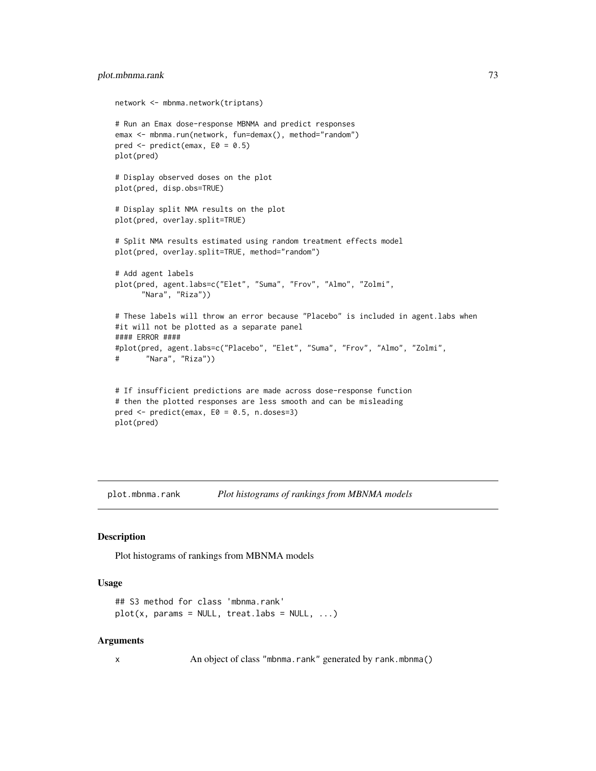```
network <- mbnma.network(triptans)
# Run an Emax dose-response MBNMA and predict responses
emax <- mbnma.run(network, fun=demax(), method="random")
pred \leq predict(emax, E0 = 0.5)
plot(pred)
# Display observed doses on the plot
plot(pred, disp.obs=TRUE)
# Display split NMA results on the plot
plot(pred, overlay.split=TRUE)
# Split NMA results estimated using random treatment effects model
plot(pred, overlay.split=TRUE, method="random")
# Add agent labels
plot(pred, agent.labs=c("Elet", "Suma", "Frov", "Almo", "Zolmi",
      "Nara", "Riza"))
# These labels will throw an error because "Placebo" is included in agent.labs when
#it will not be plotted as a separate panel
#### ERROR ####
#plot(pred, agent.labs=c("Placebo", "Elet", "Suma", "Frov", "Almo", "Zolmi",
# "Nara", "Riza"))
# If insufficient predictions are made across dose-response function
# then the plotted responses are less smooth and can be misleading
pred <- predict(emax, E0 = 0.5, n.doses=3)
plot(pred)
```
plot.mbnma.rank *Plot histograms of rankings from MBNMA models*

#### Description

Plot histograms of rankings from MBNMA models

#### Usage

```
## S3 method for class 'mbnma.rank'
plot(x, params = NULL, treat.labs = NULL, ...)
```
#### Arguments

x An object of class "mbnma.rank" generated by rank.mbnma()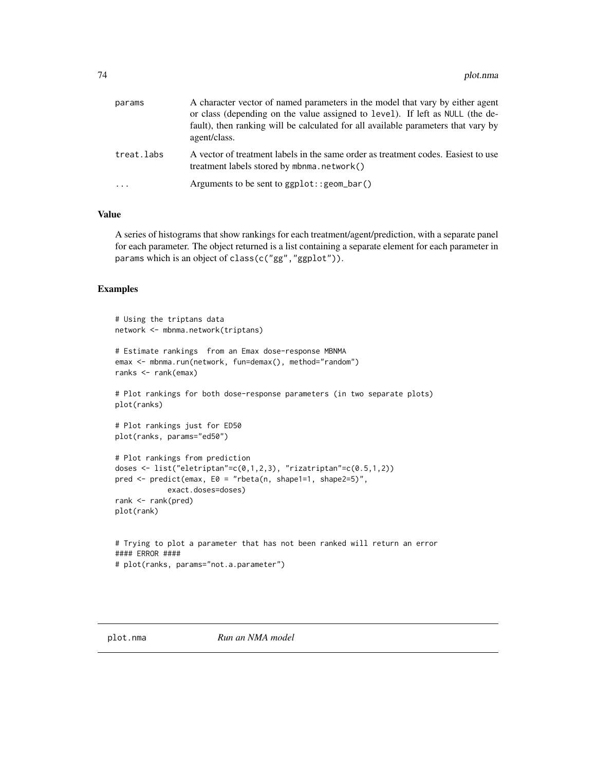<span id="page-73-0"></span>

| params     | A character vector of named parameters in the model that vary by either agent<br>or class (depending on the value assigned to level). If left as NULL (the de-<br>fault), then ranking will be calculated for all available parameters that vary by<br>agent/class. |
|------------|---------------------------------------------------------------------------------------------------------------------------------------------------------------------------------------------------------------------------------------------------------------------|
| treat.labs | A vector of treatment labels in the same order as treatment codes. Easiest to use<br>treatment labels stored by mbnma.network()                                                                                                                                     |
| .          | Arguments to be sent to $ggplot::geom\_bar()$                                                                                                                                                                                                                       |

# Value

A series of histograms that show rankings for each treatment/agent/prediction, with a separate panel for each parameter. The object returned is a list containing a separate element for each parameter in params which is an object of class(c("gg","ggplot")).

# Examples

```
# Using the triptans data
network <- mbnma.network(triptans)
# Estimate rankings from an Emax dose-response MBNMA
emax <- mbnma.run(network, fun=demax(), method="random")
ranks <- rank(emax)
# Plot rankings for both dose-response parameters (in two separate plots)
plot(ranks)
# Plot rankings just for ED50
plot(ranks, params="ed50")
# Plot rankings from prediction
doses <- list("eletriptan"=c(0,1,2,3), "rizatriptan"=c(0.5,1,2))
pred <- predict(emax, E0 = "rbeta(n, shape1=1, shape2=5)",
            exact.doses=doses)
rank <- rank(pred)
plot(rank)
# Trying to plot a parameter that has not been ranked will return an error
#### ERROR ####
# plot(ranks, params="not.a.parameter")
```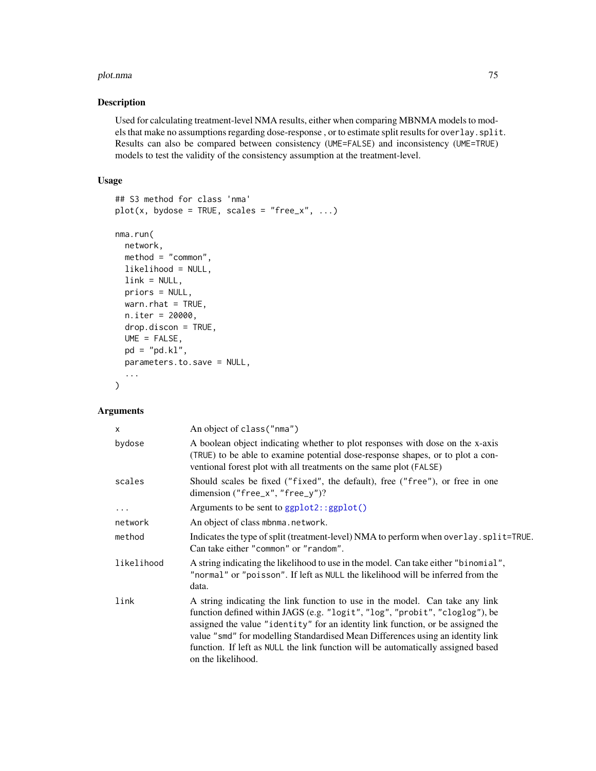#### <span id="page-74-0"></span>plot.nma and the contract of the contract of the contract of the contract of the contract of the contract of the contract of the contract of the contract of the contract of the contract of the contract of the contract of t

# Description

Used for calculating treatment-level NMA results, either when comparing MBNMA models to models that make no assumptions regarding dose-response , or to estimate split results for overlay.split. Results can also be compared between consistency (UME=FALSE) and inconsistency (UME=TRUE) models to test the validity of the consistency assumption at the treatment-level.

#### Usage

```
## S3 method for class 'nma'
plot(x, bydose = TRUE, scales = "free_x", ...)nma.run(
 network,
 method = "common",
 likelihood = NULL,
 link = NULL,
 priors = NULL,
 warn.rhat = TRUE,
 n.iter = 20000,
 drop.discon = TRUE,
 UME = FALSE,pd = "pd.kl",parameters.to.save = NULL,
  ...
)
```

| $\mathsf{x}$ | An object of class ("nma")                                                                                                                                                                                                                                                                                                                                                                                                                 |
|--------------|--------------------------------------------------------------------------------------------------------------------------------------------------------------------------------------------------------------------------------------------------------------------------------------------------------------------------------------------------------------------------------------------------------------------------------------------|
| bydose       | A boolean object indicating whether to plot responses with dose on the x-axis<br>(TRUE) to be able to examine potential dose-response shapes, or to plot a con-<br>ventional forest plot with all treatments on the same plot (FALSE)                                                                                                                                                                                                      |
| scales       | Should scales be fixed ("fixed", the default), free ("free"), or free in one<br>dimension ("free_x", "free_y")?                                                                                                                                                                                                                                                                                                                            |
| .            | Arguments to be sent to ggplot2::ggplot()                                                                                                                                                                                                                                                                                                                                                                                                  |
| network      | An object of class mbnma.network.                                                                                                                                                                                                                                                                                                                                                                                                          |
| method       | Indicates the type of split (treatment-level) NMA to perform when overlay. split=TRUE.<br>Can take either "common" or "random".                                                                                                                                                                                                                                                                                                            |
| likelihood   | A string indicating the likelihood to use in the model. Can take either "binomial",<br>"normal" or "poisson". If left as NULL the likelihood will be inferred from the<br>data.                                                                                                                                                                                                                                                            |
| link         | A string indicating the link function to use in the model. Can take any link<br>function defined within JAGS (e.g. "logit", "log", "probit", "cloglog"), be<br>assigned the value "identity" for an identity link function, or be assigned the<br>value "smd" for modelling Standardised Mean Differences using an identity link<br>function. If left as NULL the link function will be automatically assigned based<br>on the likelihood. |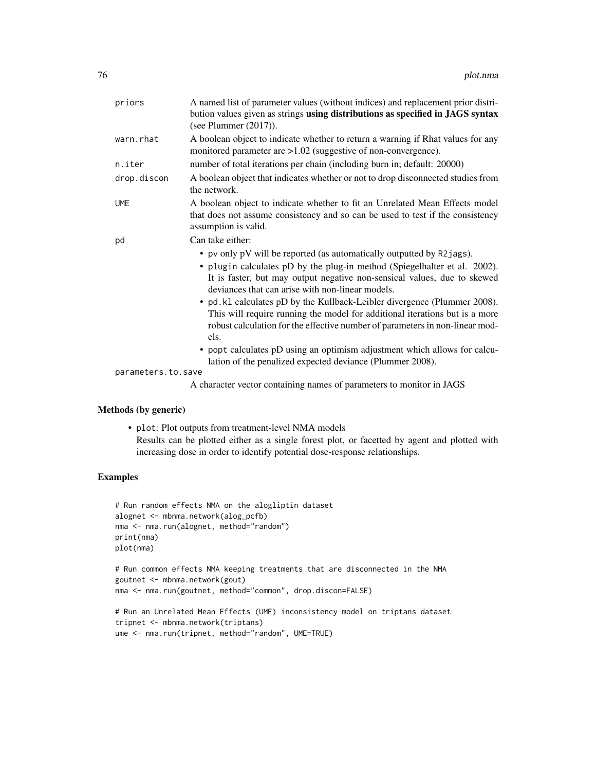| priors                      | A named list of parameter values (without indices) and replacement prior distri-<br>bution values given as strings using distributions as specified in JAGS syntax<br>(see Plummer $(2017)$ ).                                                                                                                                                                                                                                                                                                                                                                                                                                                                                   |
|-----------------------------|----------------------------------------------------------------------------------------------------------------------------------------------------------------------------------------------------------------------------------------------------------------------------------------------------------------------------------------------------------------------------------------------------------------------------------------------------------------------------------------------------------------------------------------------------------------------------------------------------------------------------------------------------------------------------------|
| warn.rhat                   | A boolean object to indicate whether to return a warning if Rhat values for any<br>monitored parameter are >1.02 (suggestive of non-convergence).                                                                                                                                                                                                                                                                                                                                                                                                                                                                                                                                |
| n.iter                      | number of total iterations per chain (including burn in; default: 20000)                                                                                                                                                                                                                                                                                                                                                                                                                                                                                                                                                                                                         |
| drop.discon                 | A boolean object that indicates whether or not to drop disconnected studies from<br>the network.                                                                                                                                                                                                                                                                                                                                                                                                                                                                                                                                                                                 |
| <b>UME</b>                  | A boolean object to indicate whether to fit an Unrelated Mean Effects model<br>that does not assume consistency and so can be used to test if the consistency<br>assumption is valid.                                                                                                                                                                                                                                                                                                                                                                                                                                                                                            |
| pd                          | Can take either:                                                                                                                                                                                                                                                                                                                                                                                                                                                                                                                                                                                                                                                                 |
|                             | • pv only pV will be reported (as automatically outputted by R2jags).<br>• plugin calculates pD by the plug-in method (Spiegelhalter et al. 2002).<br>It is faster, but may output negative non-sensical values, due to skewed<br>deviances that can arise with non-linear models.<br>• pd. k1 calculates pD by the Kullback-Leibler divergence (Plummer 2008).<br>This will require running the model for additional iterations but is a more<br>robust calculation for the effective number of parameters in non-linear mod-<br>els.<br>• popt calculates pD using an optimism adjustment which allows for calcu-<br>lation of the penalized expected deviance (Plummer 2008). |
| parameters.to.save          |                                                                                                                                                                                                                                                                                                                                                                                                                                                                                                                                                                                                                                                                                  |
|                             | A character vector containing names of parameters to monitor in JAGS                                                                                                                                                                                                                                                                                                                                                                                                                                                                                                                                                                                                             |
| <b>Methods</b> (by generic) |                                                                                                                                                                                                                                                                                                                                                                                                                                                                                                                                                                                                                                                                                  |
|                             | • plot: Plot outputs from treatment-level NMA models                                                                                                                                                                                                                                                                                                                                                                                                                                                                                                                                                                                                                             |

Results can be plotted either as a single forest plot, or facetted by agent and plotted with increasing dose in order to identify potential dose-response relationships.

# Examples

```
# Run random effects NMA on the alogliptin dataset
alognet <- mbnma.network(alog_pcfb)
nma <- nma.run(alognet, method="random")
print(nma)
plot(nma)
# Run common effects NMA keeping treatments that are disconnected in the NMA
goutnet <- mbnma.network(gout)
nma <- nma.run(goutnet, method="common", drop.discon=FALSE)
# Run an Unrelated Mean Effects (UME) inconsistency model on triptans dataset
```

```
tripnet <- mbnma.network(triptans)
ume <- nma.run(tripnet, method="random", UME=TRUE)
```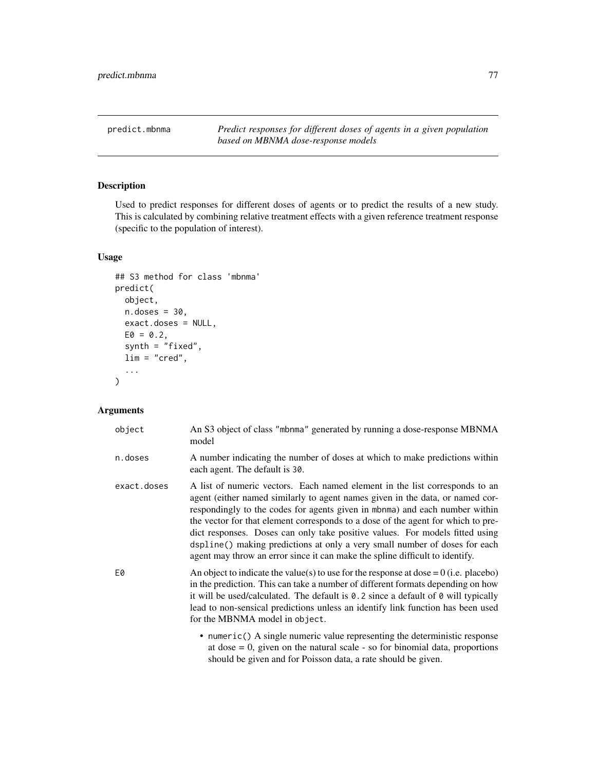<span id="page-76-0"></span>predict.mbnma *Predict responses for different doses of agents in a given population based on MBNMA dose-response models*

# Description

Used to predict responses for different doses of agents or to predict the results of a new study. This is calculated by combining relative treatment effects with a given reference treatment response (specific to the population of interest).

# Usage

```
## S3 method for class 'mbnma'
predict(
  object,
  n.doses = 30,exact.doses = NULL,
  E0 = 0.2,
  synth = "fixed",
  lim = "cred",
  ...
\mathcal{L}
```

| object      | An S3 object of class "mbnma" generated by running a dose-response MBNMA<br>model                                                                                                                                                                                                                                                                                                                                                                                                                                                                                             |
|-------------|-------------------------------------------------------------------------------------------------------------------------------------------------------------------------------------------------------------------------------------------------------------------------------------------------------------------------------------------------------------------------------------------------------------------------------------------------------------------------------------------------------------------------------------------------------------------------------|
| n.doses     | A number indicating the number of doses at which to make predictions within<br>each agent. The default is 30.                                                                                                                                                                                                                                                                                                                                                                                                                                                                 |
| exact.doses | A list of numeric vectors. Each named element in the list corresponds to an<br>agent (either named similarly to agent names given in the data, or named cor-<br>respondingly to the codes for agents given in mbnma) and each number within<br>the vector for that element corresponds to a dose of the agent for which to pre-<br>dict responses. Doses can only take positive values. For models fitted using<br>dspline() making predictions at only a very small number of doses for each<br>agent may throw an error since it can make the spline difficult to identify. |
| E0          | An object to indicate the value(s) to use for the response at dose = $0$ (i.e. placebo)<br>in the prediction. This can take a number of different formats depending on how<br>it will be used/calculated. The default is $0.2$ since a default of $0$ will typically<br>lead to non-sensical predictions unless an identify link function has been used<br>for the MBNMA model in object.                                                                                                                                                                                     |
|             | • numeric() A single numeric value representing the deterministic response<br>at dose $= 0$ , given on the natural scale - so for binomial data, proportions<br>should be given and for Poisson data, a rate should be given.                                                                                                                                                                                                                                                                                                                                                 |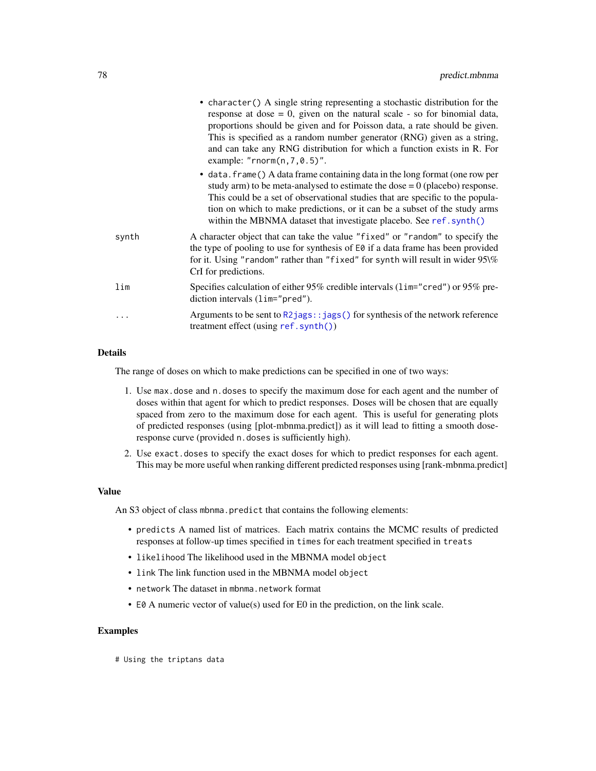<span id="page-77-0"></span>

|       | • character () A single string representing a stochastic distribution for the<br>response at dose $= 0$ , given on the natural scale - so for binomial data,<br>proportions should be given and for Poisson data, a rate should be given.<br>This is specified as a random number generator (RNG) given as a string,<br>and can take any RNG distribution for which a function exists in R. For<br>example: " $rnorm(n, 7, 0.5)$ ". |
|-------|-------------------------------------------------------------------------------------------------------------------------------------------------------------------------------------------------------------------------------------------------------------------------------------------------------------------------------------------------------------------------------------------------------------------------------------|
|       | • data. frame () A data frame containing data in the long format (one row per<br>study arm) to be meta-analysed to estimate the dose $= 0$ (placebo) response.<br>This could be a set of observational studies that are specific to the popula-<br>tion on which to make predictions, or it can be a subset of the study arms<br>within the MBNMA dataset that investigate placebo. See ref.synth()                                 |
| synth | A character object that can take the value "fixed" or "random" to specify the<br>the type of pooling to use for synthesis of E0 if a data frame has been provided<br>for it. Using "random" rather than "fixed" for synth will result in wider $95\%$<br>CrI for predictions.                                                                                                                                                       |
| lim   | Specifies calculation of either 95% credible intervals (1im="cred") or 95% pre-<br>diction intervals $(lim="pred")$ .                                                                                                                                                                                                                                                                                                               |
| .     | Arguments to be sent to $R2jags::jags()$ for synthesis of the network reference<br>treatment effect (using ref. synth())                                                                                                                                                                                                                                                                                                            |

# Details

The range of doses on which to make predictions can be specified in one of two ways:

- 1. Use max.dose and n.doses to specify the maximum dose for each agent and the number of doses within that agent for which to predict responses. Doses will be chosen that are equally spaced from zero to the maximum dose for each agent. This is useful for generating plots of predicted responses (using [plot-mbnma.predict]) as it will lead to fitting a smooth doseresponse curve (provided n.doses is sufficiently high).
- 2. Use exact.doses to specify the exact doses for which to predict responses for each agent. This may be more useful when ranking different predicted responses using [rank-mbnma.predict]

#### Value

An S3 object of class mbnma.predict that contains the following elements:

- predicts A named list of matrices. Each matrix contains the MCMC results of predicted responses at follow-up times specified in times for each treatment specified in treats
- likelihood The likelihood used in the MBNMA model object
- link The link function used in the MBNMA model object
- network The dataset in mbnma.network format
- E0 A numeric vector of value(s) used for E0 in the prediction, on the link scale.

#### Examples

# Using the triptans data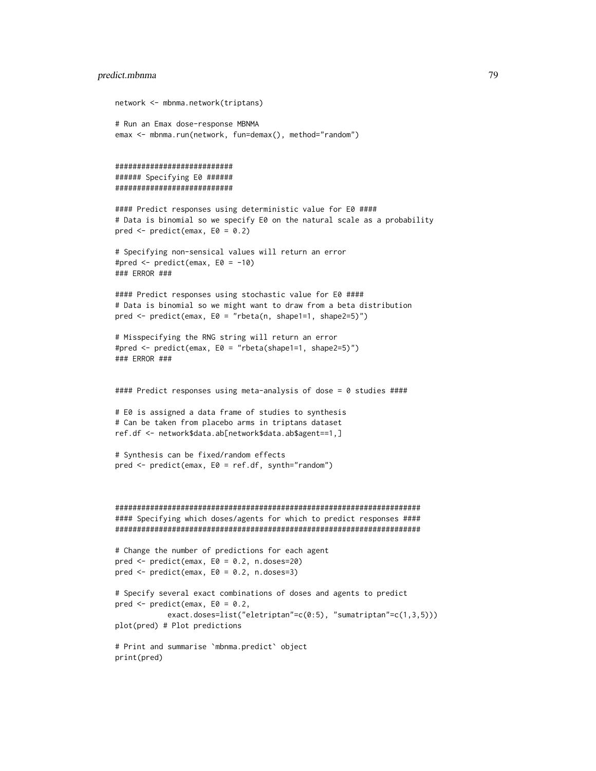#### predict.mbnma 79

network <- mbnma.network(triptans)

```
# Run an Emax dose-response MBNMA
emax <- mbnma.run(network, fun=demax(), method="random")
###########################
###### Specifying E0 ######
###########################
#### Predict responses using deterministic value for E0 ####
# Data is binomial so we specify E0 on the natural scale as a probability
pred \leq predict(emax, E0 = 0.2)
# Specifying non-sensical values will return an error
#pred <- predict(emax, E0 = -10)
### ERROR ###
#### Predict responses using stochastic value for E0 ####
# Data is binomial so we might want to draw from a beta distribution
pred <- predict(emax, E0 = "rbeta(n, shape1=1, shape2=5)")
# Misspecifying the RNG string will return an error
#pred <- predict(emax, E0 = "rbeta(shape1=1, shape2=5)")
### ERROR ###
#### Predict responses using meta-analysis of dose = 0 studies ####
# E0 is assigned a data frame of studies to synthesis
# Can be taken from placebo arms in triptans dataset
ref.df <- network$data.ab[network$data.ab$agent==1,]
# Synthesis can be fixed/random effects
pred <- predict(emax, E0 = ref.df, synth="random")
######################################################################
#### Specifying which doses/agents for which to predict responses ####
######################################################################
# Change the number of predictions for each agent
pred <- predict(emax, E0 = 0.2, n.doses=20)
pred \leq predict(emax, E0 = 0.2, n.doses=3)
# Specify several exact combinations of doses and agents to predict
pred \leq predict(emax, E0 = 0.2,
            exact.doses=list("eletriptan"=c(0:5), "sumatriptan"=c(1,3,5)))
plot(pred) # Plot predictions
# Print and summarise `mbnma.predict` object
print(pred)
```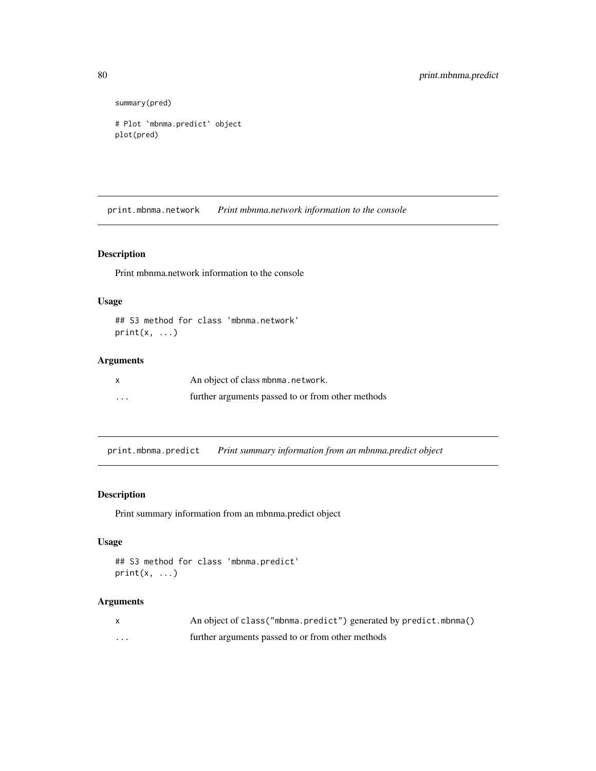```
summary(pred)
```

```
# Plot `mbnma.predict` object
plot(pred)
```
print.mbnma.network *Print mbnma.network information to the console*

#### Description

Print mbnma.network information to the console

# Usage

```
## S3 method for class 'mbnma.network'
print(x, \ldots)
```
# Arguments

| $\boldsymbol{\mathsf{x}}$ | An object of class mbnma.network.                 |
|---------------------------|---------------------------------------------------|
| $\cdots$                  | further arguments passed to or from other methods |

print.mbnma.predict *Print summary information from an mbnma.predict object*

# Description

Print summary information from an mbnma.predict object

# Usage

```
## S3 method for class 'mbnma.predict'
print(x, \ldots)
```

|          | An object of class ("mbnma.predict") generated by predict.mbnma() |
|----------|-------------------------------------------------------------------|
| $\cdots$ | further arguments passed to or from other methods                 |

<span id="page-79-0"></span>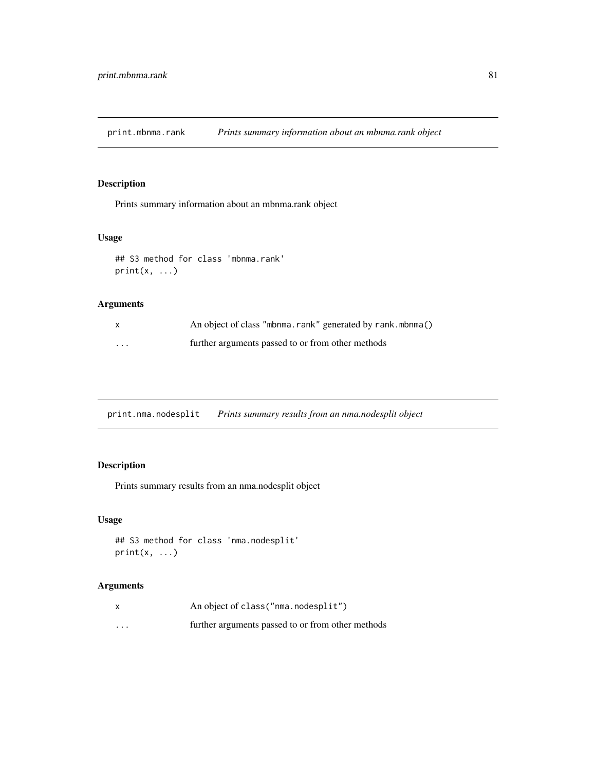<span id="page-80-0"></span>print.mbnma.rank *Prints summary information about an mbnma.rank object*

#### Description

Prints summary information about an mbnma.rank object

# Usage

```
## S3 method for class 'mbnma.rank'
print(x, \ldots)
```
# Arguments

|          | An object of class "mbnma.rank" generated by rank.mbnma() |
|----------|-----------------------------------------------------------|
| $\cdots$ | further arguments passed to or from other methods         |

print.nma.nodesplit *Prints summary results from an nma.nodesplit object*

# Description

Prints summary results from an nma.nodesplit object

# Usage

```
## S3 method for class 'nma.nodesplit'
print(x, \ldots)
```

| x        | An object of class ("nma.nodesplit")              |
|----------|---------------------------------------------------|
| $\cdots$ | further arguments passed to or from other methods |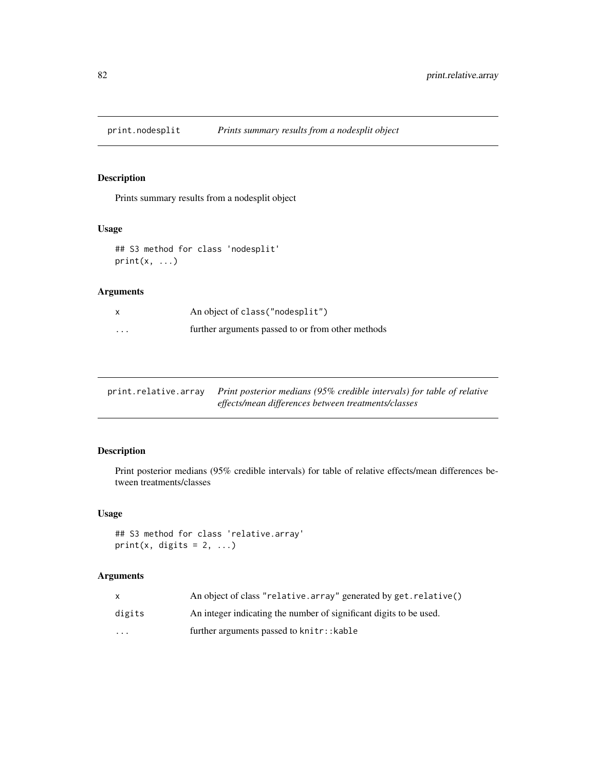<span id="page-81-0"></span>print.nodesplit *Prints summary results from a nodesplit object*

# Description

Prints summary results from a nodesplit object

#### Usage

```
## S3 method for class 'nodesplit'
print(x, \ldots)
```
# Arguments

| $\mathsf{x}$ | An object of class ("nodesplit")                  |
|--------------|---------------------------------------------------|
| $\cdots$     | further arguments passed to or from other methods |

| print.relative.array Print posterior medians (95% credible intervals) for table of relative |
|---------------------------------------------------------------------------------------------|
| effects/mean differences between treatments/classes                                         |

# Description

Print posterior medians (95% credible intervals) for table of relative effects/mean differences between treatments/classes

# Usage

```
## S3 method for class 'relative.array'
print(x, digits = 2, ...)
```

|                         | An object of class "relative.array" generated by get.relative()    |
|-------------------------|--------------------------------------------------------------------|
| digits                  | An integer indicating the number of significant digits to be used. |
| $\cdot$ $\cdot$ $\cdot$ | further arguments passed to knitr:: kable                          |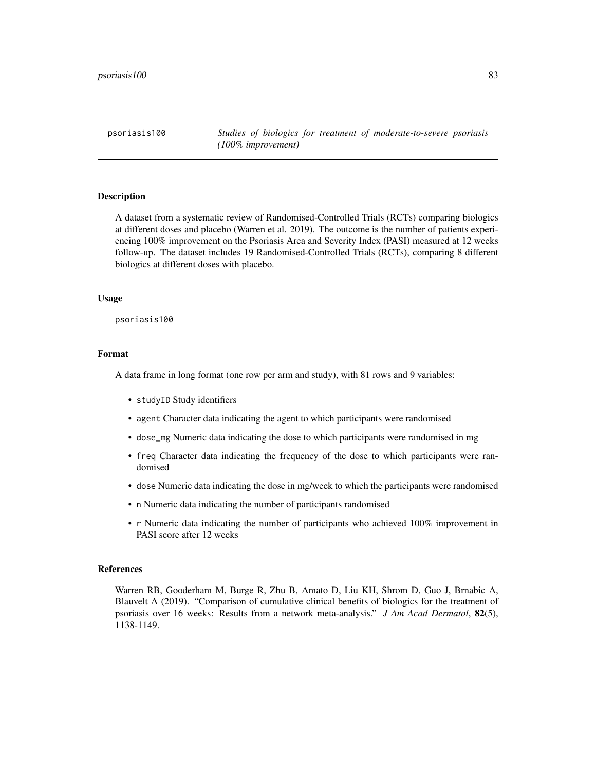<span id="page-82-0"></span>psoriasis100 *Studies of biologics for treatment of moderate-to-severe psoriasis (100% improvement)*

# Description

A dataset from a systematic review of Randomised-Controlled Trials (RCTs) comparing biologics at different doses and placebo (Warren et al. 2019). The outcome is the number of patients experiencing 100% improvement on the Psoriasis Area and Severity Index (PASI) measured at 12 weeks follow-up. The dataset includes 19 Randomised-Controlled Trials (RCTs), comparing 8 different biologics at different doses with placebo.

#### Usage

psoriasis100

#### Format

A data frame in long format (one row per arm and study), with 81 rows and 9 variables:

- studyID Study identifiers
- agent Character data indicating the agent to which participants were randomised
- dose\_mg Numeric data indicating the dose to which participants were randomised in mg
- freq Character data indicating the frequency of the dose to which participants were randomised
- dose Numeric data indicating the dose in mg/week to which the participants were randomised
- n Numeric data indicating the number of participants randomised
- r Numeric data indicating the number of participants who achieved 100% improvement in PASI score after 12 weeks

#### References

Warren RB, Gooderham M, Burge R, Zhu B, Amato D, Liu KH, Shrom D, Guo J, Brnabic A, Blauvelt A (2019). "Comparison of cumulative clinical benefits of biologics for the treatment of psoriasis over 16 weeks: Results from a network meta-analysis." *J Am Acad Dermatol*, 82(5), 1138-1149.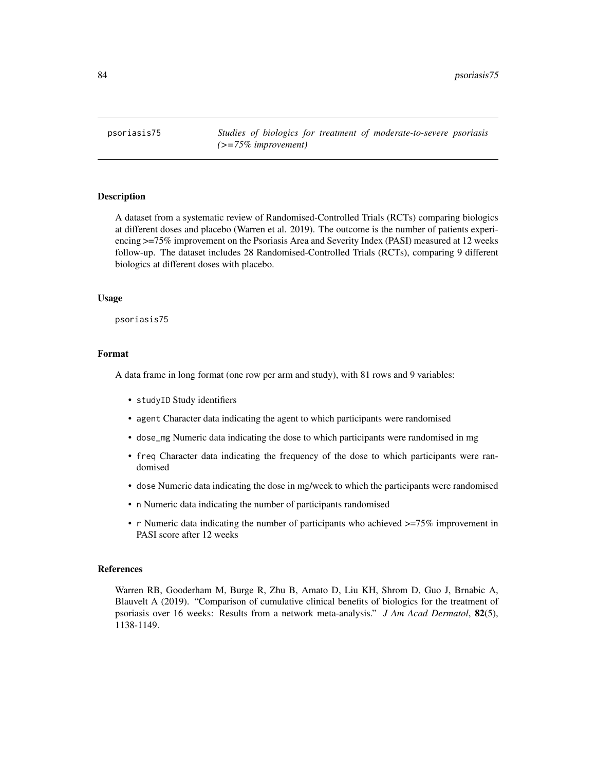<span id="page-83-0"></span>psoriasis75 *Studies of biologics for treatment of moderate-to-severe psoriasis (>=75% improvement)*

#### Description

A dataset from a systematic review of Randomised-Controlled Trials (RCTs) comparing biologics at different doses and placebo (Warren et al. 2019). The outcome is the number of patients experiencing >=75% improvement on the Psoriasis Area and Severity Index (PASI) measured at 12 weeks follow-up. The dataset includes 28 Randomised-Controlled Trials (RCTs), comparing 9 different biologics at different doses with placebo.

#### Usage

psoriasis75

#### Format

A data frame in long format (one row per arm and study), with 81 rows and 9 variables:

- studyID Study identifiers
- agent Character data indicating the agent to which participants were randomised
- dose\_mg Numeric data indicating the dose to which participants were randomised in mg
- freq Character data indicating the frequency of the dose to which participants were randomised
- dose Numeric data indicating the dose in mg/week to which the participants were randomised
- n Numeric data indicating the number of participants randomised
- r Numeric data indicating the number of participants who achieved  $\geq$ =75% improvement in PASI score after 12 weeks

#### References

Warren RB, Gooderham M, Burge R, Zhu B, Amato D, Liu KH, Shrom D, Guo J, Brnabic A, Blauvelt A (2019). "Comparison of cumulative clinical benefits of biologics for the treatment of psoriasis over 16 weeks: Results from a network meta-analysis." *J Am Acad Dermatol*, 82(5), 1138-1149.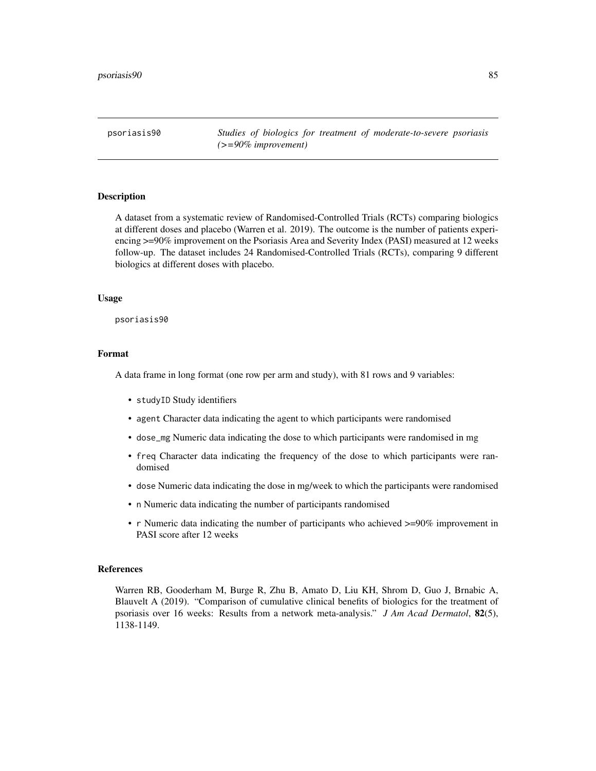<span id="page-84-0"></span>psoriasis90 *Studies of biologics for treatment of moderate-to-severe psoriasis (>=90% improvement)*

#### Description

A dataset from a systematic review of Randomised-Controlled Trials (RCTs) comparing biologics at different doses and placebo (Warren et al. 2019). The outcome is the number of patients experiencing >=90% improvement on the Psoriasis Area and Severity Index (PASI) measured at 12 weeks follow-up. The dataset includes 24 Randomised-Controlled Trials (RCTs), comparing 9 different biologics at different doses with placebo.

#### Usage

psoriasis90

#### Format

A data frame in long format (one row per arm and study), with 81 rows and 9 variables:

- studyID Study identifiers
- agent Character data indicating the agent to which participants were randomised
- dose\_mg Numeric data indicating the dose to which participants were randomised in mg
- freq Character data indicating the frequency of the dose to which participants were randomised
- dose Numeric data indicating the dose in mg/week to which the participants were randomised
- n Numeric data indicating the number of participants randomised
- r Numeric data indicating the number of participants who achieved  $\geq$ =90% improvement in PASI score after 12 weeks

#### References

Warren RB, Gooderham M, Burge R, Zhu B, Amato D, Liu KH, Shrom D, Guo J, Brnabic A, Blauvelt A (2019). "Comparison of cumulative clinical benefits of biologics for the treatment of psoriasis over 16 weeks: Results from a network meta-analysis." *J Am Acad Dermatol*, 82(5), 1138-1149.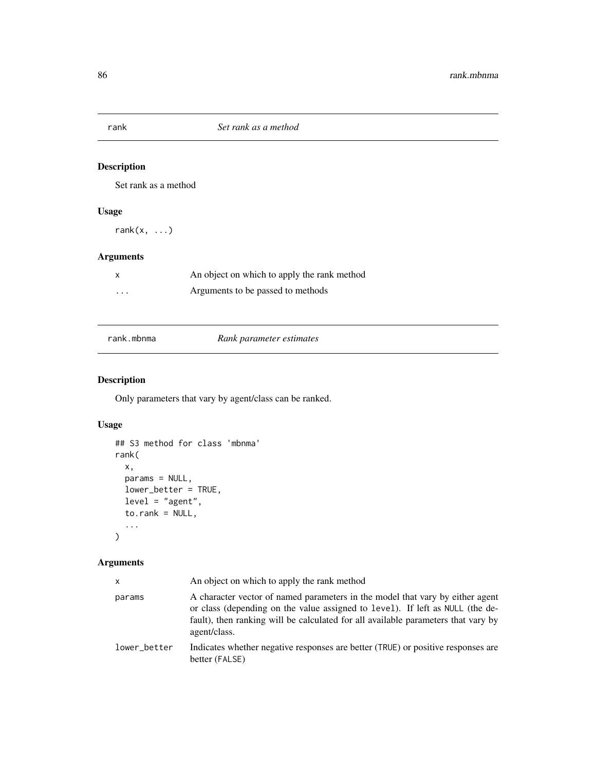<span id="page-85-0"></span>

# Description

Set rank as a method

# Usage

rank $(x, \ldots)$ 

# Arguments

|   | An object on which to apply the rank method |
|---|---------------------------------------------|
| . | Arguments to be passed to methods           |

rank.mbnma *Rank parameter estimates*

# Description

Only parameters that vary by agent/class can be ranked.

# Usage

```
## S3 method for class 'mbnma'
rank(
  x,
  params = NULL,
  lower_better = TRUE,
  level = "agent",
  to.rank = NULL,
  ...
\mathcal{L}
```

| x            | An object on which to apply the rank method                                                                                                                                                                                                                         |
|--------------|---------------------------------------------------------------------------------------------------------------------------------------------------------------------------------------------------------------------------------------------------------------------|
| params       | A character vector of named parameters in the model that vary by either agent<br>or class (depending on the value assigned to level). If left as NULL (the de-<br>fault), then ranking will be calculated for all available parameters that vary by<br>agent/class. |
| lower better | Indicates whether negative responses are better (TRUE) or positive responses are<br>better (FALSE)                                                                                                                                                                  |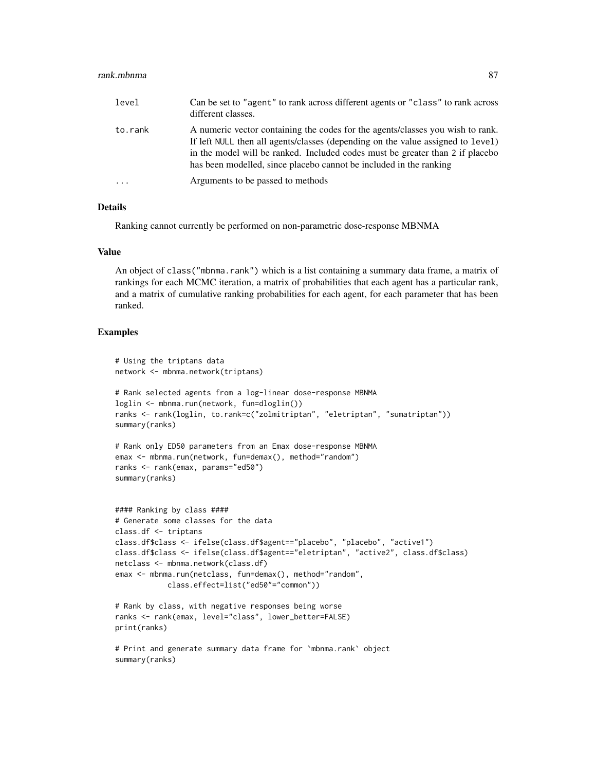#### rank.mbnma 87

| level    | Can be set to "agent" to rank across different agents or "class" to rank across<br>different classes.                                                                                                                                                                                                                    |
|----------|--------------------------------------------------------------------------------------------------------------------------------------------------------------------------------------------------------------------------------------------------------------------------------------------------------------------------|
| to.rank  | A numeric vector containing the codes for the agents/classes you wish to rank.<br>If left NULL then all agents/classes (depending on the value assigned to level)<br>in the model will be ranked. Included codes must be greater than 2 if placebo<br>has been modelled, since placebo cannot be included in the ranking |
| $\ddots$ | Arguments to be passed to methods                                                                                                                                                                                                                                                                                        |

#### Details

Ranking cannot currently be performed on non-parametric dose-response MBNMA

#### Value

An object of class("mbnma.rank") which is a list containing a summary data frame, a matrix of rankings for each MCMC iteration, a matrix of probabilities that each agent has a particular rank, and a matrix of cumulative ranking probabilities for each agent, for each parameter that has been ranked.

# Examples

summary(ranks)

```
# Using the triptans data
network <- mbnma.network(triptans)
# Rank selected agents from a log-linear dose-response MBNMA
loglin <- mbnma.run(network, fun=dloglin())
ranks <- rank(loglin, to.rank=c("zolmitriptan", "eletriptan", "sumatriptan"))
summary(ranks)
# Rank only ED50 parameters from an Emax dose-response MBNMA
emax <- mbnma.run(network, fun=demax(), method="random")
ranks <- rank(emax, params="ed50")
summary(ranks)
#### Ranking by class ####
# Generate some classes for the data
class.df <- triptans
class.df$class <- ifelse(class.df$agent=="placebo", "placebo", "active1")
class.df$class <- ifelse(class.df$agent=="eletriptan", "active2", class.df$class)
netclass <- mbnma.network(class.df)
emax <- mbnma.run(netclass, fun=demax(), method="random",
            class.effect=list("ed50"="common"))
# Rank by class, with negative responses being worse
ranks <- rank(emax, level="class", lower_better=FALSE)
print(ranks)
# Print and generate summary data frame for `mbnma.rank` object
```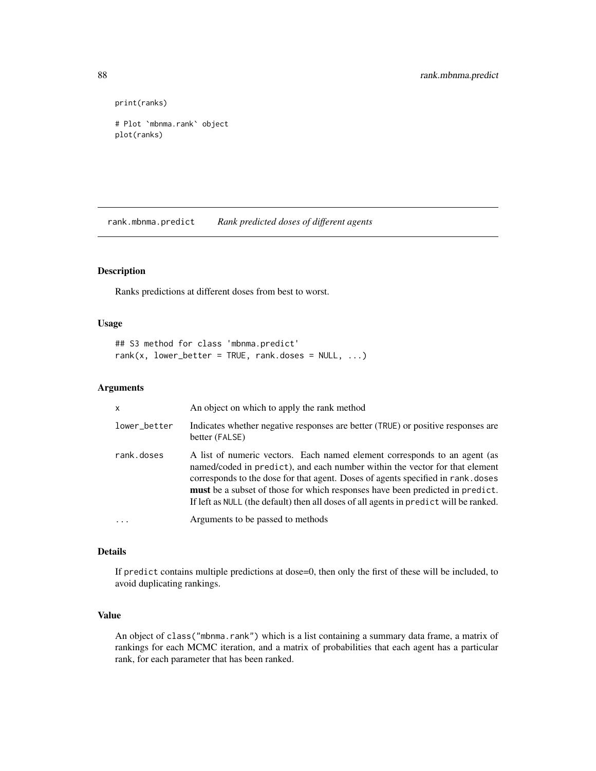```
print(ranks)
```

```
# Plot `mbnma.rank` object
plot(ranks)
```
rank.mbnma.predict *Rank predicted doses of different agents*

#### Description

Ranks predictions at different doses from best to worst.

#### Usage

```
## S3 method for class 'mbnma.predict'
rank(x, lower_better = TRUE, rank.doses = NULL, ...)
```
#### Arguments

| X            | An object on which to apply the rank method                                                                                                                                                                                                                                                                                                                                                                            |
|--------------|------------------------------------------------------------------------------------------------------------------------------------------------------------------------------------------------------------------------------------------------------------------------------------------------------------------------------------------------------------------------------------------------------------------------|
| lower_better | Indicates whether negative responses are better (TRUE) or positive responses are<br>better (FALSE)                                                                                                                                                                                                                                                                                                                     |
| rank.doses   | A list of numeric vectors. Each named element corresponds to an agent (as<br>named/coded in predict), and each number within the vector for that element<br>corresponds to the dose for that agent. Doses of agents specified in rank, doses<br>must be a subset of those for which responses have been predicted in predict.<br>If left as NULL (the default) then all doses of all agents in predict will be ranked. |
|              | Arguments to be passed to methods                                                                                                                                                                                                                                                                                                                                                                                      |

# Details

If predict contains multiple predictions at dose=0, then only the first of these will be included, to avoid duplicating rankings.

#### Value

An object of class("mbnma.rank") which is a list containing a summary data frame, a matrix of rankings for each MCMC iteration, and a matrix of probabilities that each agent has a particular rank, for each parameter that has been ranked.

<span id="page-87-0"></span>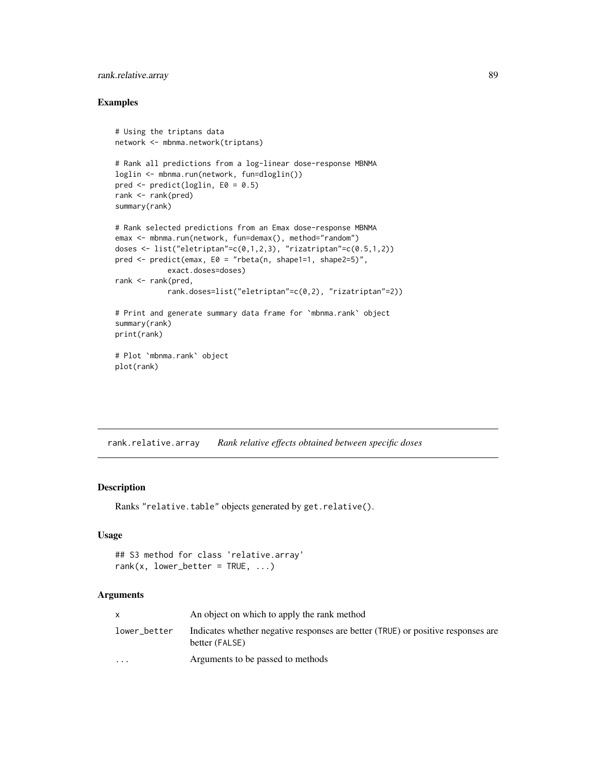# <span id="page-88-0"></span>rank.relative.array 89

#### Examples

```
# Using the triptans data
network <- mbnma.network(triptans)
# Rank all predictions from a log-linear dose-response MBNMA
loglin <- mbnma.run(network, fun=dloglin())
pred \leq predict(loglin, E0 = 0.5)
rank <- rank(pred)
summary(rank)
# Rank selected predictions from an Emax dose-response MBNMA
emax <- mbnma.run(network, fun=demax(), method="random")
doses \le list("eletriptan"=c(0,1,2,3), "rizatriptan"=c(0.5,1,2))
pred \leq predict(emax, E0 = "rbeta(n, shape1=1, shape2=5)",
            exact.doses=doses)
rank <- rank(pred,
            rank.doses=list("eletriptan"=c(0,2), "rizatriptan"=2))
# Print and generate summary data frame for `mbnma.rank` object
summary(rank)
print(rank)
# Plot `mbnma.rank` object
plot(rank)
```
rank.relative.array *Rank relative effects obtained between specific doses*

# Description

Ranks "relative.table" objects generated by get.relative().

#### Usage

```
## S3 method for class 'relative.array'
rank(x, lower_better = TRUE, ...)
```

|                      | An object on which to apply the rank method                                                        |
|----------------------|----------------------------------------------------------------------------------------------------|
| lower better         | Indicates whether negative responses are better (TRUE) or positive responses are<br>better (FALSE) |
| $\ddot{\phantom{0}}$ | Arguments to be passed to methods                                                                  |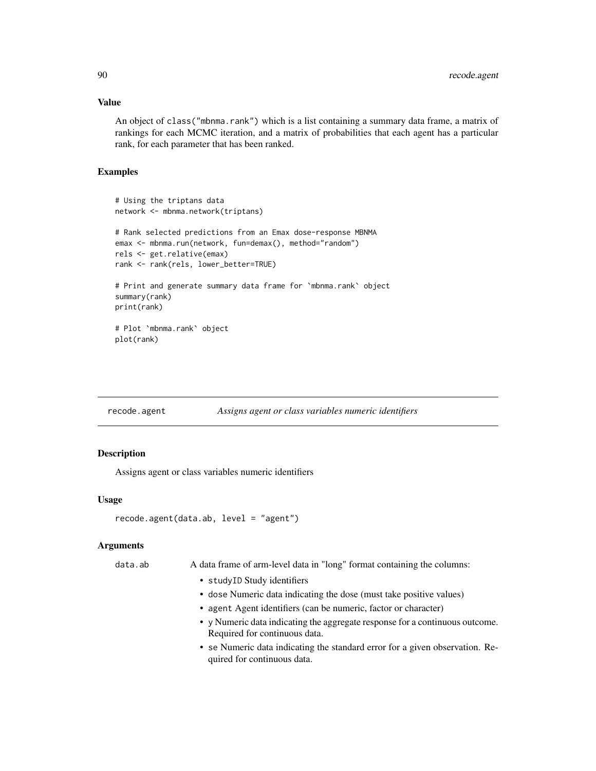#### Value

An object of class("mbnma.rank") which is a list containing a summary data frame, a matrix of rankings for each MCMC iteration, and a matrix of probabilities that each agent has a particular rank, for each parameter that has been ranked.

# Examples

```
# Using the triptans data
network <- mbnma.network(triptans)
# Rank selected predictions from an Emax dose-response MBNMA
emax <- mbnma.run(network, fun=demax(), method="random")
rels <- get.relative(emax)
rank <- rank(rels, lower_better=TRUE)
# Print and generate summary data frame for `mbnma.rank` object
summary(rank)
print(rank)
# Plot `mbnma.rank` object
plot(rank)
```

| recode.agent | Assigns agent or class variables numeric identifiers |  |
|--------------|------------------------------------------------------|--|
|              |                                                      |  |

#### Description

Assigns agent or class variables numeric identifiers

### Usage

```
recode.agent(data.ab, level = "agent")
```

| data.ab | A data frame of arm-level data in "long" format containing the columns:                                       |
|---------|---------------------------------------------------------------------------------------------------------------|
|         | • studyID Study identifiers                                                                                   |
|         | • dose Numeric data indicating the dose (must take positive values)                                           |
|         | • agent Agent identifiers (can be numeric, factor or character)                                               |
|         | • y Numeric data indicating the aggregate response for a continuous outcome.<br>Required for continuous data. |
|         | • se Numeric data indicating the standard error for a given observation. Re-<br>quired for continuous data.   |

<span id="page-89-0"></span>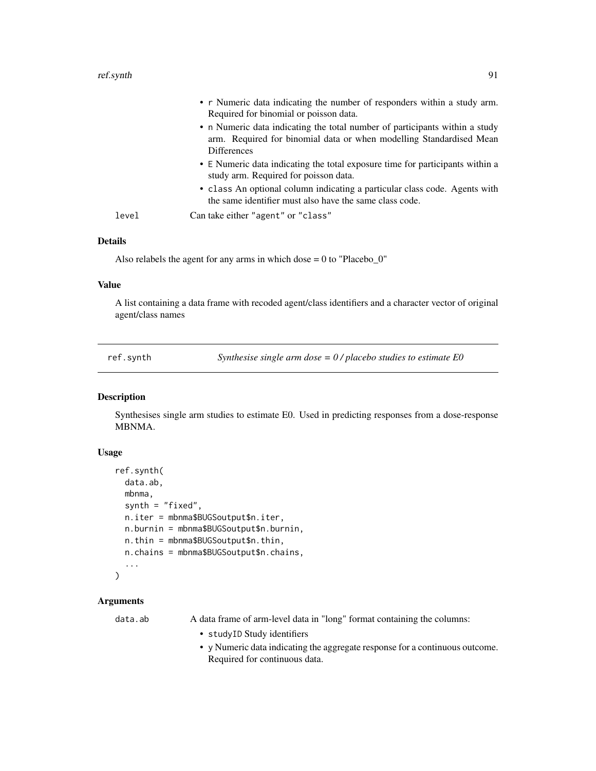<span id="page-90-1"></span>

|       | • r Numeric data indicating the number of responders within a study arm.<br>Required for binomial or poisson data.                                                       |
|-------|--------------------------------------------------------------------------------------------------------------------------------------------------------------------------|
|       | • n Numeric data indicating the total number of participants within a study<br>arm. Required for binomial data or when modelling Standardised Mean<br><b>Differences</b> |
|       | • E Numeric data indicating the total exposure time for participants within a<br>study arm. Required for poisson data.                                                   |
|       | • class An optional column indicating a particular class code. Agents with<br>the same identifier must also have the same class code.                                    |
| level | Can take either "agent" or "class"                                                                                                                                       |

#### Details

Also relabels the agent for any arms in which dose  $= 0$  to "Placebo $_0$ "

#### Value

A list containing a data frame with recoded agent/class identifiers and a character vector of original agent/class names

<span id="page-90-0"></span>ref.synth *Synthesise single arm dose = 0 / placebo studies to estimate E0*

# Description

Synthesises single arm studies to estimate E0. Used in predicting responses from a dose-response MBNMA.

#### Usage

```
ref.synth(
  data.ab,
 mbnma,
  synth = "fixed",n.iter = mbnma$BUGSoutput$n.iter,
  n.burnin = mbnma$BUGSoutput$n.burnin,
 n.thin = mbnma$BUGSoutput$n.thin,
 n.chains = mbnma$BUGSoutput$n.chains,
  ...
)
```
# **Arguments**

data.ab A data frame of arm-level data in "long" format containing the columns:

- studyID Study identifiers
- y Numeric data indicating the aggregate response for a continuous outcome. Required for continuous data.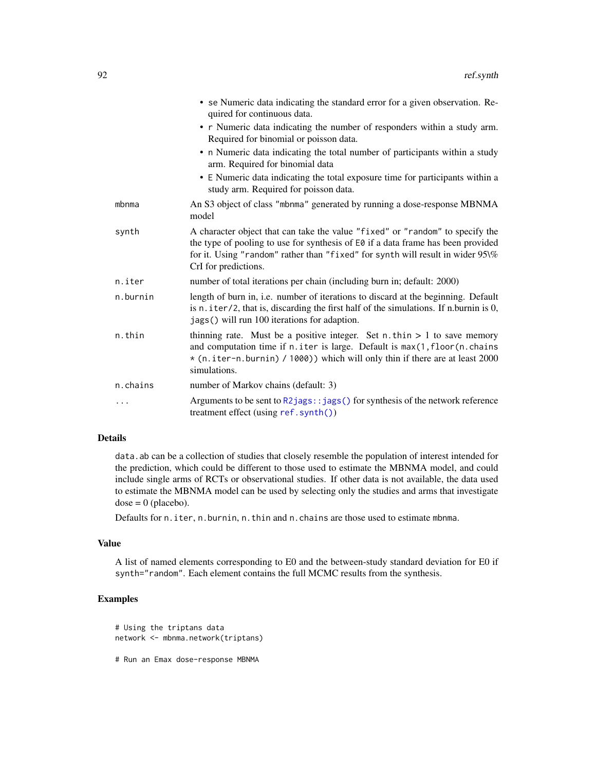<span id="page-91-0"></span>

|          | • se Numeric data indicating the standard error for a given observation. Re-<br>quired for continuous data.                                                                                                                                                                 |
|----------|-----------------------------------------------------------------------------------------------------------------------------------------------------------------------------------------------------------------------------------------------------------------------------|
|          | • r Numeric data indicating the number of responders within a study arm.<br>Required for binomial or poisson data.                                                                                                                                                          |
|          | • n Numeric data indicating the total number of participants within a study<br>arm. Required for binomial data                                                                                                                                                              |
|          | • E Numeric data indicating the total exposure time for participants within a<br>study arm. Required for poisson data.                                                                                                                                                      |
| mbnma    | An S3 object of class "mbnma" generated by running a dose-response MBNMA<br>model                                                                                                                                                                                           |
| synth    | A character object that can take the value "fixed" or "random" to specify the<br>the type of pooling to use for synthesis of E0 if a data frame has been provided<br>for it. Using "random" rather than "fixed" for synth will result in wider 95\%<br>CrI for predictions. |
| n.iter   | number of total iterations per chain (including burn in; default: 2000)                                                                                                                                                                                                     |
| n.burnin | length of burn in, i.e. number of iterations to discard at the beginning. Default<br>is n. iter/2, that is, discarding the first half of the simulations. If n.burnin is 0,<br>jags() will run 100 iterations for adaption.                                                 |
| n.thin   | thinning rate. Must be a positive integer. Set $n$ . thin $> 1$ to save memory<br>and computation time if n. iter is large. Default is max(1, floor(n. chains<br>* (n.iter-n.burnin) / 1000)) which will only thin if there are at least 2000<br>simulations.               |
| n.chains | number of Markov chains (default: 3)                                                                                                                                                                                                                                        |
| .        | Arguments to be sent to $R2jags::jags()$ for synthesis of the network reference<br>treatment effect (using ref.synth())                                                                                                                                                     |

# Details

data.ab can be a collection of studies that closely resemble the population of interest intended for the prediction, which could be different to those used to estimate the MBNMA model, and could include single arms of RCTs or observational studies. If other data is not available, the data used to estimate the MBNMA model can be used by selecting only the studies and arms that investigate  $dose = 0$  (placebo).

Defaults for n.iter, n.burnin, n.thin and n.chains are those used to estimate mbnma.

#### Value

A list of named elements corresponding to E0 and the between-study standard deviation for E0 if synth="random". Each element contains the full MCMC results from the synthesis.

# Examples

```
# Using the triptans data
network <- mbnma.network(triptans)
```
# Run an Emax dose-response MBNMA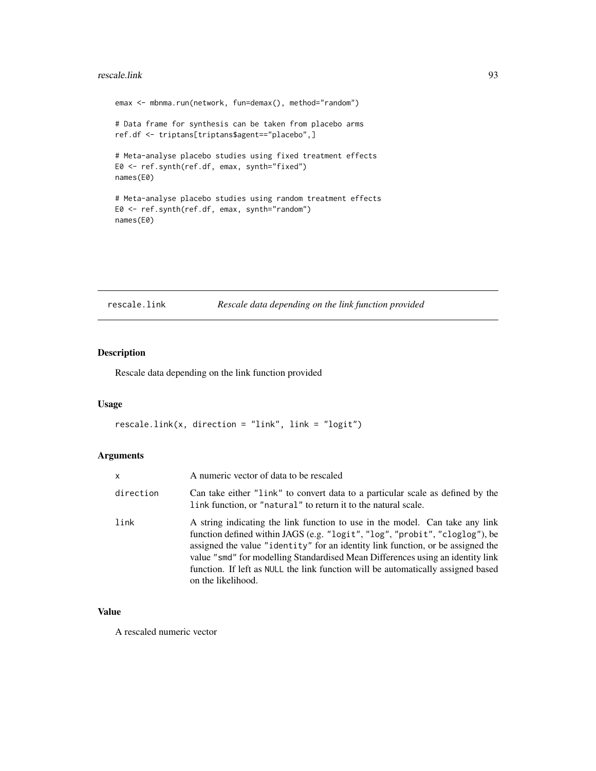#### <span id="page-92-0"></span>rescale.link 93

```
emax <- mbnma.run(network, fun=demax(), method="random")
# Data frame for synthesis can be taken from placebo arms
ref.df <- triptans[triptans$agent=="placebo",]
# Meta-analyse placebo studies using fixed treatment effects
E0 <- ref.synth(ref.df, emax, synth="fixed")
names(E0)
# Meta-analyse placebo studies using random treatment effects
E0 <- ref.synth(ref.df, emax, synth="random")
names(E0)
```
#### rescale.link *Rescale data depending on the link function provided*

# Description

Rescale data depending on the link function provided

## Usage

```
rescale.link(x, direction = "link", link = "logit")
```
# Arguments

| $\mathsf{x}$ | A numeric vector of data to be rescaled                                                                                                                                                                                                                                                                                                                                                                                                    |
|--------------|--------------------------------------------------------------------------------------------------------------------------------------------------------------------------------------------------------------------------------------------------------------------------------------------------------------------------------------------------------------------------------------------------------------------------------------------|
| direction    | Can take either "link" to convert data to a particular scale as defined by the<br>link function, or "natural" to return it to the natural scale.                                                                                                                                                                                                                                                                                           |
| link         | A string indicating the link function to use in the model. Can take any link<br>function defined within JAGS (e.g. "logit", "log", "probit", "cloglog"), be<br>assigned the value "identity" for an identity link function, or be assigned the<br>value "smd" for modelling Standardised Mean Differences using an identity link<br>function. If left as NULL the link function will be automatically assigned based<br>on the likelihood. |

# Value

A rescaled numeric vector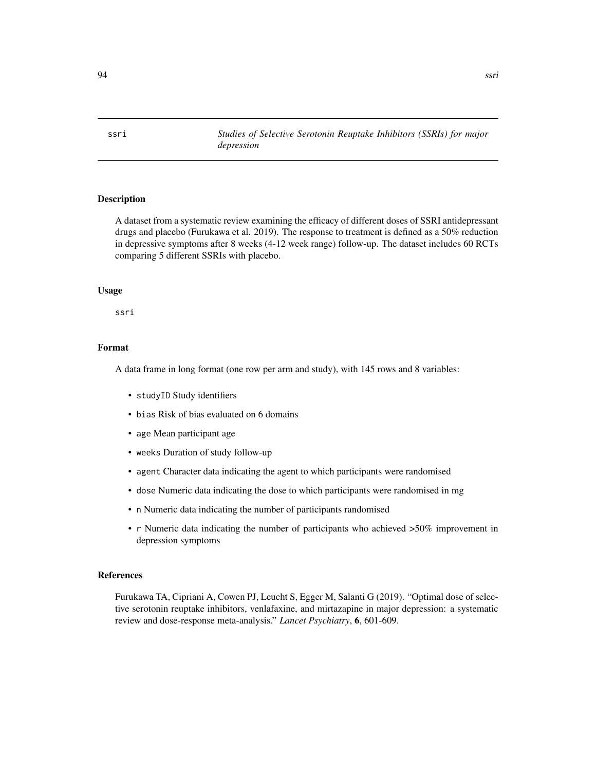## **Description**

A dataset from a systematic review examining the efficacy of different doses of SSRI antidepressant drugs and placebo (Furukawa et al. 2019). The response to treatment is defined as a 50% reduction in depressive symptoms after 8 weeks (4-12 week range) follow-up. The dataset includes 60 RCTs comparing 5 different SSRIs with placebo.

#### Usage

ssri

# Format

A data frame in long format (one row per arm and study), with 145 rows and 8 variables:

- studyID Study identifiers
- bias Risk of bias evaluated on 6 domains
- age Mean participant age
- weeks Duration of study follow-up
- agent Character data indicating the agent to which participants were randomised
- dose Numeric data indicating the dose to which participants were randomised in mg
- n Numeric data indicating the number of participants randomised
- r Numeric data indicating the number of participants who achieved >50% improvement in depression symptoms

#### References

Furukawa TA, Cipriani A, Cowen PJ, Leucht S, Egger M, Salanti G (2019). "Optimal dose of selective serotonin reuptake inhibitors, venlafaxine, and mirtazapine in major depression: a systematic review and dose-response meta-analysis." *Lancet Psychiatry*, 6, 601-609.

<span id="page-93-0"></span>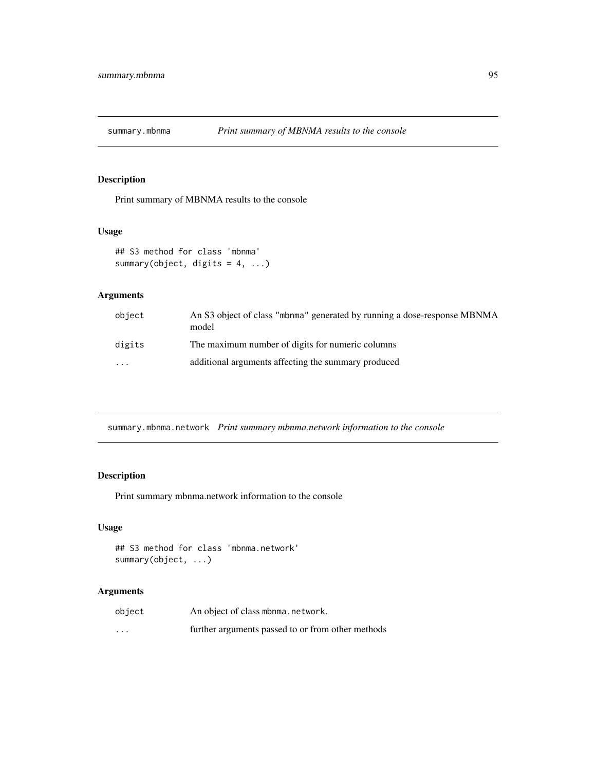<span id="page-94-0"></span>

# Description

Print summary of MBNMA results to the console

#### Usage

```
## S3 method for class 'mbnma'
summary(object, digits = 4, ...)
```
# Arguments

| object   | An S3 object of class "mbnma" generated by running a dose-response MBNMA<br>model |
|----------|-----------------------------------------------------------------------------------|
| digits   | The maximum number of digits for numeric columns                                  |
| $\cdots$ | additional arguments affecting the summary produced                               |

summary.mbnma.network *Print summary mbnma.network information to the console*

# Description

Print summary mbnma.network information to the console

# Usage

```
## S3 method for class 'mbnma.network'
summary(object, ...)
```

| object                  | An object of class mbnma.network.                 |
|-------------------------|---------------------------------------------------|
| $\cdot$ $\cdot$ $\cdot$ | further arguments passed to or from other methods |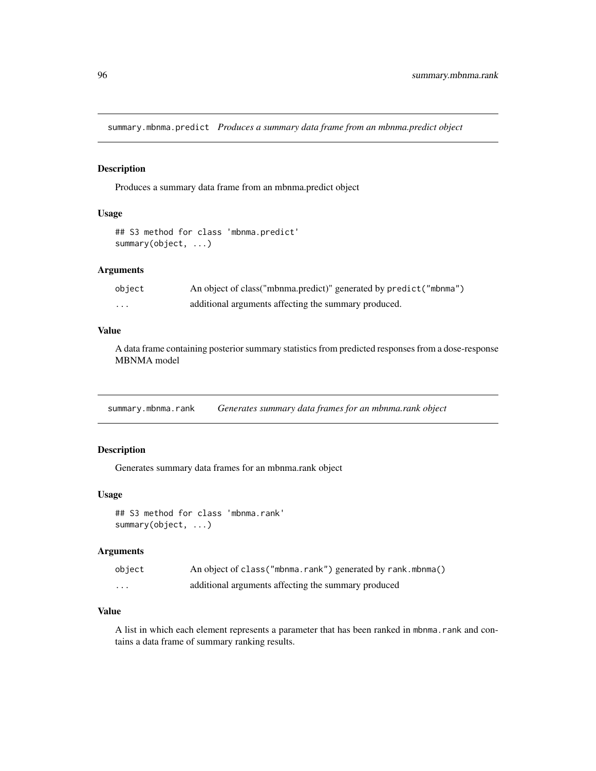<span id="page-95-0"></span>summary.mbnma.predict *Produces a summary data frame from an mbnma.predict object*

#### Description

Produces a summary data frame from an mbnma.predict object

# Usage

```
## S3 method for class 'mbnma.predict'
summary(object, ...)
```
#### Arguments

| object | An object of class("mbnma.predict)" generated by predict("mbnma") |
|--------|-------------------------------------------------------------------|
| .      | additional arguments affecting the summary produced.              |

#### Value

A data frame containing posterior summary statistics from predicted responses from a dose-response MBNMA model

summary.mbnma.rank *Generates summary data frames for an mbnma.rank object*

# Description

Generates summary data frames for an mbnma.rank object

#### Usage

## S3 method for class 'mbnma.rank' summary(object, ...)

# Arguments

| object | An object of class ("mbnma.rank") generated by rank.mbnma() |
|--------|-------------------------------------------------------------|
| .      | additional arguments affecting the summary produced         |

#### Value

A list in which each element represents a parameter that has been ranked in mbnma.rank and contains a data frame of summary ranking results.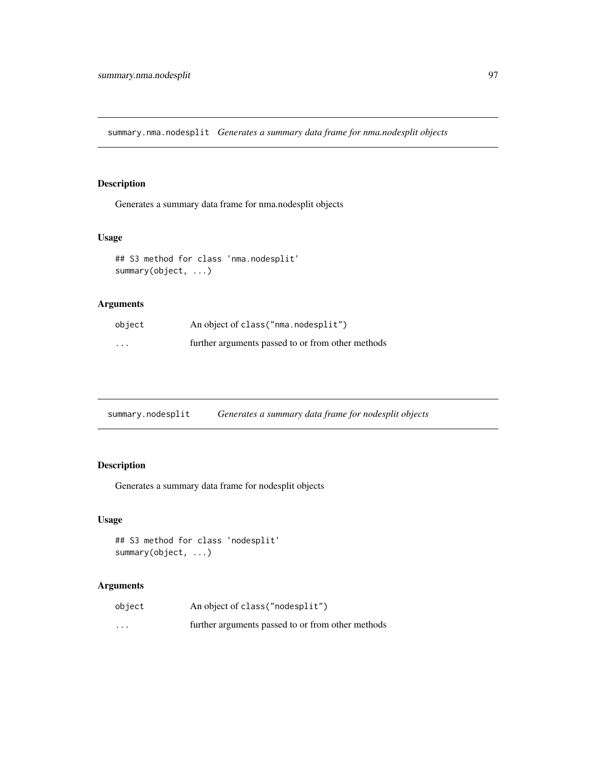<span id="page-96-0"></span>summary.nma.nodesplit *Generates a summary data frame for nma.nodesplit objects*

# Description

Generates a summary data frame for nma.nodesplit objects

# Usage

```
## S3 method for class 'nma.nodesplit'
summary(object, ...)
```
# Arguments

| object                  | An object of class ("nma.nodesplit")              |
|-------------------------|---------------------------------------------------|
| $\cdot$ $\cdot$ $\cdot$ | further arguments passed to or from other methods |

| summary.nodesplit | Generates a summary data frame for nodesplit objects |  |
|-------------------|------------------------------------------------------|--|
|                   |                                                      |  |

# Description

Generates a summary data frame for nodesplit objects

# Usage

```
## S3 method for class 'nodesplit'
summary(object, ...)
```

| object   | An object of class ("nodesplit")                  |
|----------|---------------------------------------------------|
| $\cdots$ | further arguments passed to or from other methods |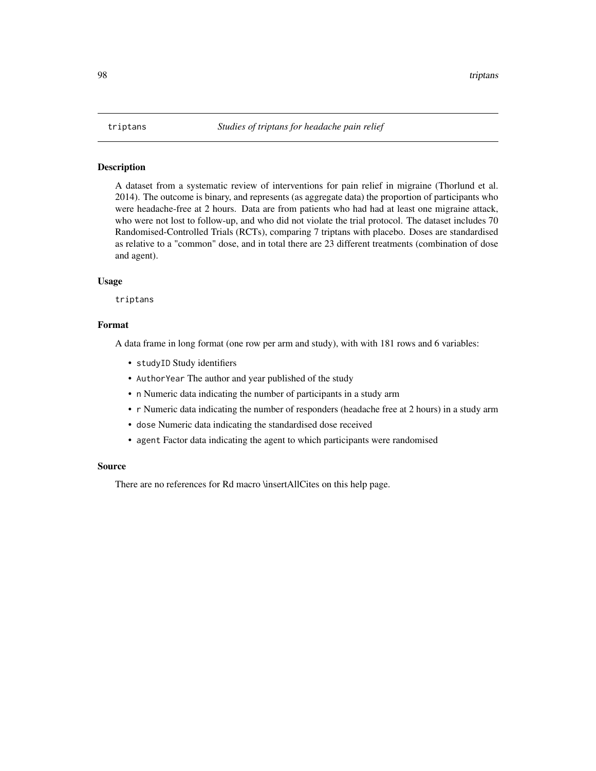#### <span id="page-97-0"></span>Description

A dataset from a systematic review of interventions for pain relief in migraine (Thorlund et al. 2014). The outcome is binary, and represents (as aggregate data) the proportion of participants who were headache-free at 2 hours. Data are from patients who had had at least one migraine attack, who were not lost to follow-up, and who did not violate the trial protocol. The dataset includes 70 Randomised-Controlled Trials (RCTs), comparing 7 triptans with placebo. Doses are standardised as relative to a "common" dose, and in total there are 23 different treatments (combination of dose and agent).

#### Usage

triptans

#### Format

A data frame in long format (one row per arm and study), with with 181 rows and 6 variables:

- studyID Study identifiers
- AuthorYear The author and year published of the study
- n Numeric data indicating the number of participants in a study arm
- r Numeric data indicating the number of responders (headache free at 2 hours) in a study arm
- dose Numeric data indicating the standardised dose received
- agent Factor data indicating the agent to which participants were randomised

#### Source

There are no references for Rd macro \insertAllCites on this help page.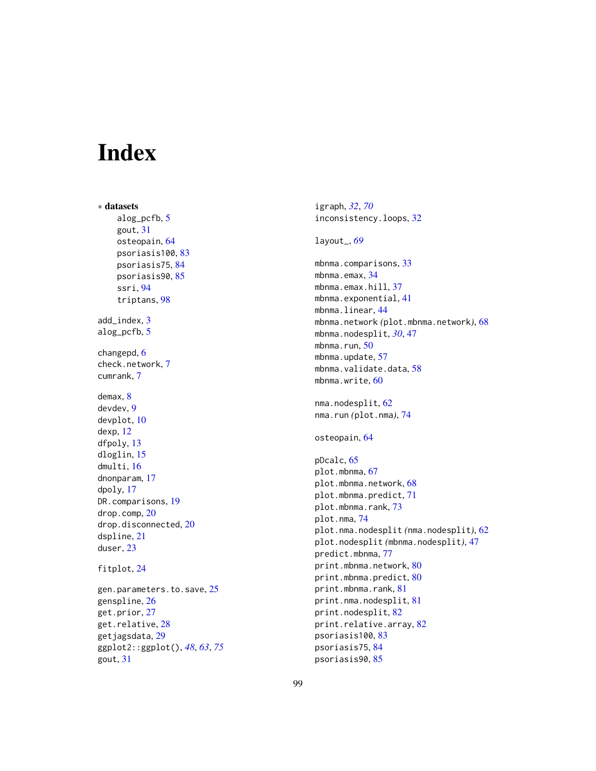# Index

∗ datasets alog\_pcfb, [5](#page-4-0) gout, [31](#page-30-0) osteopain, [64](#page-63-0) psoriasis100, [83](#page-82-0) psoriasis75, [84](#page-83-0) psoriasis90, [85](#page-84-0) ssri, [94](#page-93-0) triptans, [98](#page-97-0) add\_index, [3](#page-2-0) alog\_pcfb, [5](#page-4-0) changepd, [6](#page-5-0) check.network, [7](#page-6-0) cumrank, [7](#page-6-0) demax, [8](#page-7-0) devdev, [9](#page-8-0) devplot, [10](#page-9-0) dexp, [12](#page-11-0) dfpoly, [13](#page-12-0) dloglin, [15](#page-14-0) dmulti, [16](#page-15-0) dnonparam, [17](#page-16-0) dpoly, [17](#page-16-0) DR.comparisons, [19](#page-18-0) drop.comp, [20](#page-19-0) drop.disconnected, [20](#page-19-0) dspline, [21](#page-20-0) duser, [23](#page-22-0) fitplot, [24](#page-23-0) gen.parameters.to.save, [25](#page-24-0)

```
genspline, 26
get.prior, 27
get.relative, 28
getjagsdata, 29
ggplot2::ggplot(), 48, 63, 75
gout, 31
```
igraph, *[32](#page-31-0)*, *[70](#page-69-0)* inconsistency.loops, [32](#page-31-0) layout\_, *[69](#page-68-0)* mbnma.comparisons, [33](#page-32-0) mbnma.emax, [34](#page-33-0) mbnma.emax.hill, [37](#page-36-0) mbnma.exponential, [41](#page-40-0) mbnma.linear, [44](#page-43-0) mbnma.network *(*plot.mbnma.network*)*, [68](#page-67-0) mbnma.nodesplit, *[30](#page-29-0)*, [47](#page-46-0) mbnma.run, [50](#page-49-0) mbnma.update, [57](#page-56-0) mbnma.validate.data, [58](#page-57-0) mbnma.write, [60](#page-59-0) nma.nodesplit, [62](#page-61-0) nma.run *(*plot.nma*)*, [74](#page-73-0) osteopain, [64](#page-63-0) pDcalc, [65](#page-64-0) plot.mbnma, [67](#page-66-0) plot.mbnma.network, [68](#page-67-0) plot.mbnma.predict, [71](#page-70-0) plot.mbnma.rank, [73](#page-72-0) plot.nma, [74](#page-73-0) plot.nma.nodesplit *(*nma.nodesplit*)*, [62](#page-61-0) plot.nodesplit *(*mbnma.nodesplit*)*, [47](#page-46-0) predict.mbnma, [77](#page-76-0) print.mbnma.network, [80](#page-79-0) print.mbnma.predict, [80](#page-79-0) print.mbnma.rank, [81](#page-80-0) print.nma.nodesplit, [81](#page-80-0) print.nodesplit, [82](#page-81-0) print.relative.array, [82](#page-81-0) psoriasis100, [83](#page-82-0) psoriasis75, [84](#page-83-0) psoriasis90, [85](#page-84-0)